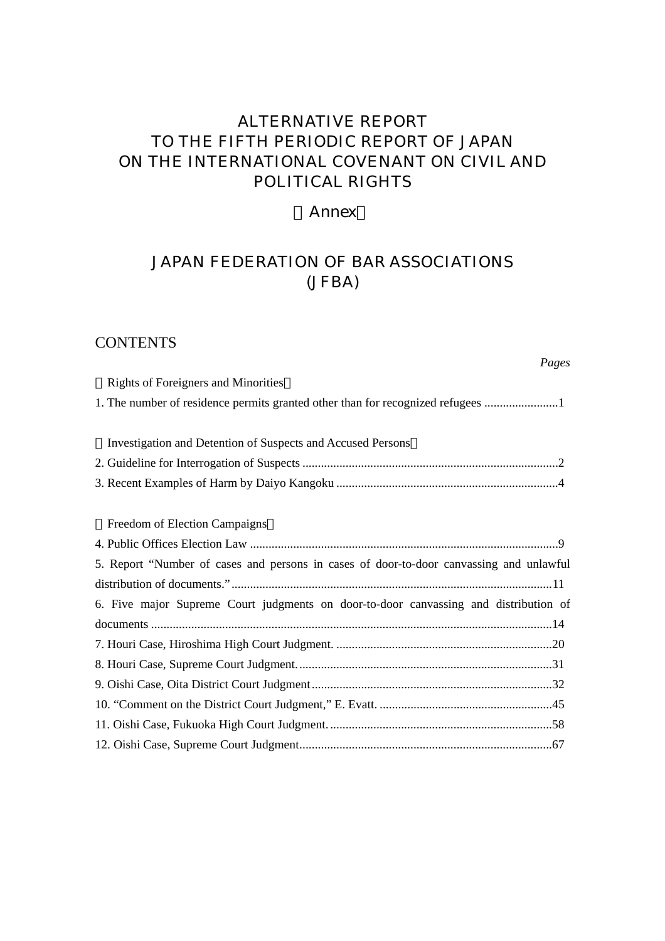# ALTERNATIVE REPORT TO THE FIFTH PERIODIC REPORT OF JAPAN ON THE INTERNATIONAL COVENANT ON CIVIL AND POLITICAL RIGHTS

## Annex

# JAPAN FEDERATION OF BAR ASSOCIATIONS (JFBA)

# **CONTENTS**

#### *Pages*

| <b>Rights of Foreigners and Minorities</b>                                              |
|-----------------------------------------------------------------------------------------|
| 1. The number of residence permits granted other than for recognized refugees           |
|                                                                                         |
| Investigation and Detention of Suspects and Accused Persons                             |
|                                                                                         |
|                                                                                         |
|                                                                                         |
| Freedom of Election Campaigns                                                           |
|                                                                                         |
| 5. Report "Number of cases and persons in cases of door-to-door canvassing and unlawful |
|                                                                                         |
| 6. Five major Supreme Court judgments on door-to-door canvassing and distribution of    |
|                                                                                         |
|                                                                                         |
|                                                                                         |
|                                                                                         |
|                                                                                         |
|                                                                                         |
|                                                                                         |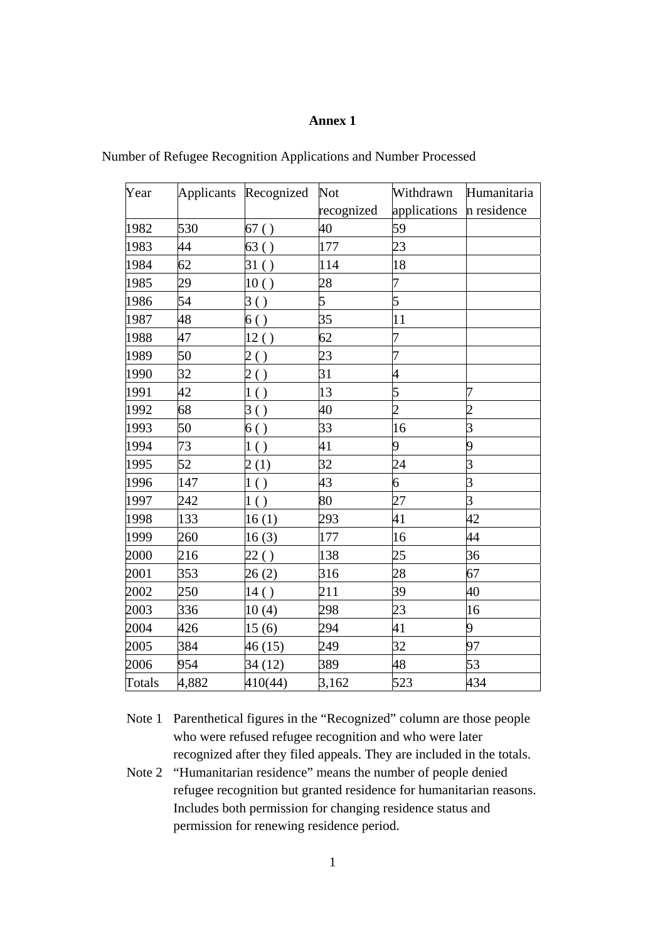## **Annex 1**

| Year   |       | Applicants Recognized | <b>Not</b> | Withdrawn      | Humanitaria    |
|--------|-------|-----------------------|------------|----------------|----------------|
|        |       |                       | recognized | applications   | n residence    |
| 1982   | 530   | 67()                  | 40         | 59             |                |
| 1983   | 44    | 63()                  | 177        | 23             |                |
| 1984   | 62    | 31()                  | 114        | 18             |                |
| 1985   | 29    | 10()                  | 28         | 7              |                |
| 1986   | 54    | 3()                   | 5          | $\overline{5}$ |                |
| 1987   | 48    | 6()                   | 35         | 11             |                |
| 1988   | 47    | 12()                  | 62         | 7              |                |
| 1989   | 50    | 2()                   | 23         | 7              |                |
| 1990   | 32    | 2()                   | 31         | $\overline{4}$ |                |
| 1991   | 42    | 1()                   | 13         | 5              | 7              |
| 1992   | 68    | 3()                   | 40         | $\overline{2}$ | $\overline{c}$ |
| 1993   | 50    | 6()                   | 33         | 16             | $\overline{3}$ |
| 1994   | 73    | 1()                   | 41         | 9              | 9              |
| 1995   | 52    | 2(1)                  | 32         | 24             | $\overline{3}$ |
| 1996   | 147   | 1()                   | 43         | 6              | $\overline{3}$ |
| 1997   | 242   | 1()                   | 80         | 27             | $\overline{3}$ |
| 1998   | 133   | 16(1)                 | 293        | 41             | 42             |
| 1999   | 260   | 16(3)                 | 177        | 16             | 44             |
| 2000   | 216   | 22()                  | 138        | 25             | 36             |
| 2001   | 353   | 26(2)                 | 316        | 28             | 67             |
| 2002   | 250   | 14()                  | 211        | 39             | 40             |
| 2003   | 336   | 10(4)                 | 298        | 23             | 16             |
| 2004   | 426   | 15(6)                 | 294        | 41             | 9              |
| 2005   | 384   | 46(15)                | 249        | 32             | 97             |
| 2006   | 954   | 34 (12)               | 389        | 48             | 53             |
| Totals | 4,882 | 410(44)               | 3,162      | 523            | 434            |

Number of Refugee Recognition Applications and Number Processed

Note 1 Parenthetical figures in the "Recognized" column are those people who were refused refugee recognition and who were later recognized after they filed appeals. They are included in the totals.

Note 2 "Humanitarian residence" means the number of people denied refugee recognition but granted residence for humanitarian reasons. Includes both permission for changing residence status and permission for renewing residence period.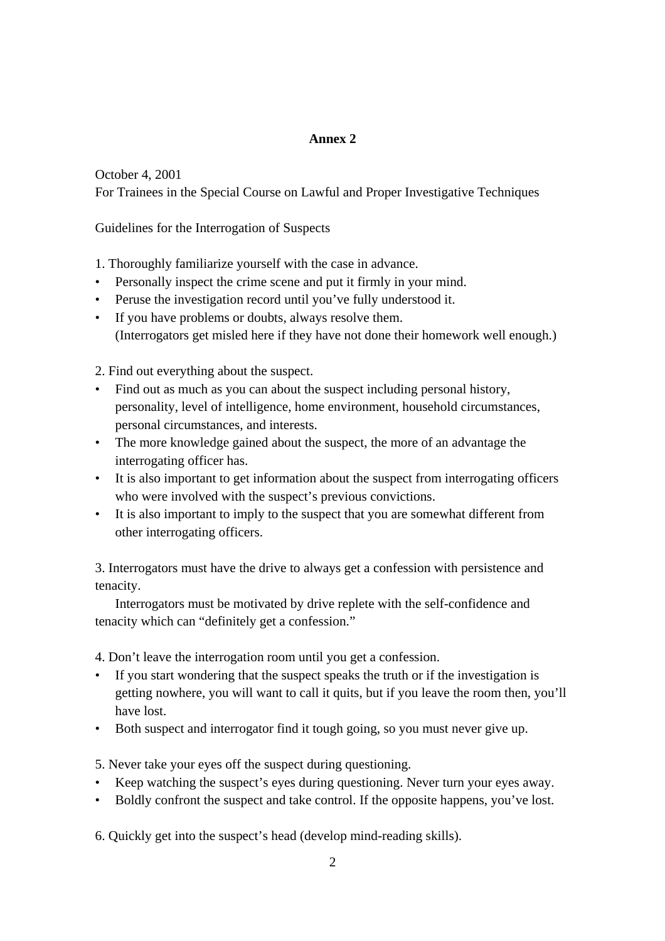## **Annex 2**

October 4, 2001 For Trainees in the Special Course on Lawful and Proper Investigative Techniques

Guidelines for the Interrogation of Suspects

1. Thoroughly familiarize yourself with the case in advance.

- Personally inspect the crime scene and put it firmly in your mind.
- Peruse the investigation record until you've fully understood it.
- If you have problems or doubts, always resolve them. (Interrogators get misled here if they have not done their homework well enough.)

2. Find out everything about the suspect.

- Find out as much as you can about the suspect including personal history, personality, level of intelligence, home environment, household circumstances, personal circumstances, and interests.
- The more knowledge gained about the suspect, the more of an advantage the interrogating officer has.
- It is also important to get information about the suspect from interrogating officers who were involved with the suspect's previous convictions.
- It is also important to imply to the suspect that you are somewhat different from other interrogating officers.

3. Interrogators must have the drive to always get a confession with persistence and tenacity.

 Interrogators must be motivated by drive replete with the self-confidence and tenacity which can "definitely get a confession."

4. Don't leave the interrogation room until you get a confession.

- If you start wondering that the suspect speaks the truth or if the investigation is getting nowhere, you will want to call it quits, but if you leave the room then, you'll have lost.
- Both suspect and interrogator find it tough going, so you must never give up.

5. Never take your eyes off the suspect during questioning.

- Keep watching the suspect's eyes during questioning. Never turn your eyes away.
- Boldly confront the suspect and take control. If the opposite happens, you've lost.

6. Quickly get into the suspect's head (develop mind-reading skills).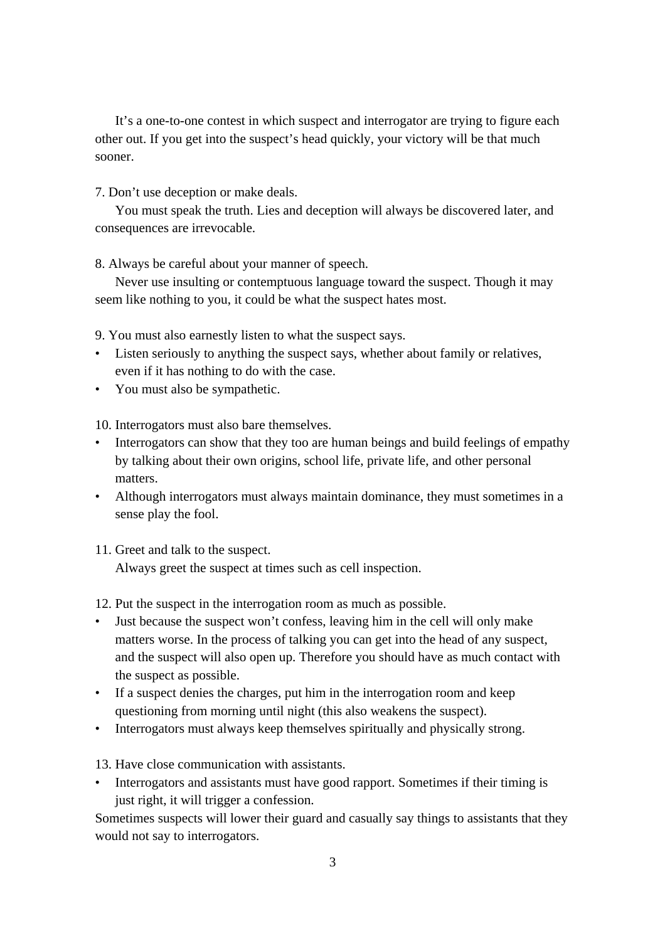It's a one-to-one contest in which suspect and interrogator are trying to figure each other out. If you get into the suspect's head quickly, your victory will be that much sooner.

7. Don't use deception or make deals.

 You must speak the truth. Lies and deception will always be discovered later, and consequences are irrevocable.

8. Always be careful about your manner of speech.

 Never use insulting or contemptuous language toward the suspect. Though it may seem like nothing to you, it could be what the suspect hates most.

9. You must also earnestly listen to what the suspect says.

- Listen seriously to anything the suspect says, whether about family or relatives, even if it has nothing to do with the case.
- You must also be sympathetic.

10. Interrogators must also bare themselves.

- Interrogators can show that they too are human beings and build feelings of empathy by talking about their own origins, school life, private life, and other personal matters.
- Although interrogators must always maintain dominance, they must sometimes in a sense play the fool.
- 11. Greet and talk to the suspect. Always greet the suspect at times such as cell inspection.

12. Put the suspect in the interrogation room as much as possible.

- Just because the suspect won't confess, leaving him in the cell will only make matters worse. In the process of talking you can get into the head of any suspect, and the suspect will also open up. Therefore you should have as much contact with the suspect as possible.
- If a suspect denies the charges, put him in the interrogation room and keep questioning from morning until night (this also weakens the suspect).
- Interrogators must always keep themselves spiritually and physically strong.
- 13. Have close communication with assistants.
- Interrogators and assistants must have good rapport. Sometimes if their timing is just right, it will trigger a confession.

Sometimes suspects will lower their guard and casually say things to assistants that they would not say to interrogators.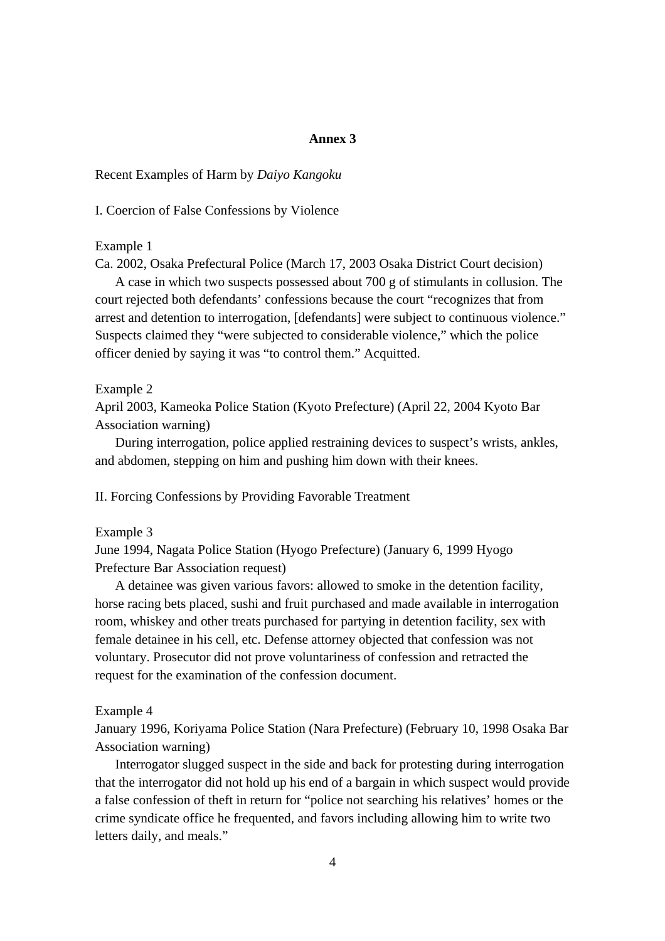## **Annex 3**

Recent Examples of Harm by *Daiyo Kangoku*

I. Coercion of False Confessions by Violence

Example 1

Ca. 2002, Osaka Prefectural Police (March 17, 2003 Osaka District Court decision)

 A case in which two suspects possessed about 700 g of stimulants in collusion. The court rejected both defendants' confessions because the court "recognizes that from arrest and detention to interrogation, [defendants] were subject to continuous violence." Suspects claimed they "were subjected to considerable violence," which the police officer denied by saying it was "to control them." Acquitted.

#### Example 2

April 2003, Kameoka Police Station (Kyoto Prefecture) (April 22, 2004 Kyoto Bar Association warning)

 During interrogation, police applied restraining devices to suspect's wrists, ankles, and abdomen, stepping on him and pushing him down with their knees.

II. Forcing Confessions by Providing Favorable Treatment

Example 3

June 1994, Nagata Police Station (Hyogo Prefecture) (January 6, 1999 Hyogo Prefecture Bar Association request)

 A detainee was given various favors: allowed to smoke in the detention facility, horse racing bets placed, sushi and fruit purchased and made available in interrogation room, whiskey and other treats purchased for partying in detention facility, sex with female detainee in his cell, etc. Defense attorney objected that confession was not voluntary. Prosecutor did not prove voluntariness of confession and retracted the request for the examination of the confession document.

Example 4

January 1996, Koriyama Police Station (Nara Prefecture) (February 10, 1998 Osaka Bar Association warning)

 Interrogator slugged suspect in the side and back for protesting during interrogation that the interrogator did not hold up his end of a bargain in which suspect would provide a false confession of theft in return for "police not searching his relatives' homes or the crime syndicate office he frequented, and favors including allowing him to write two letters daily, and meals."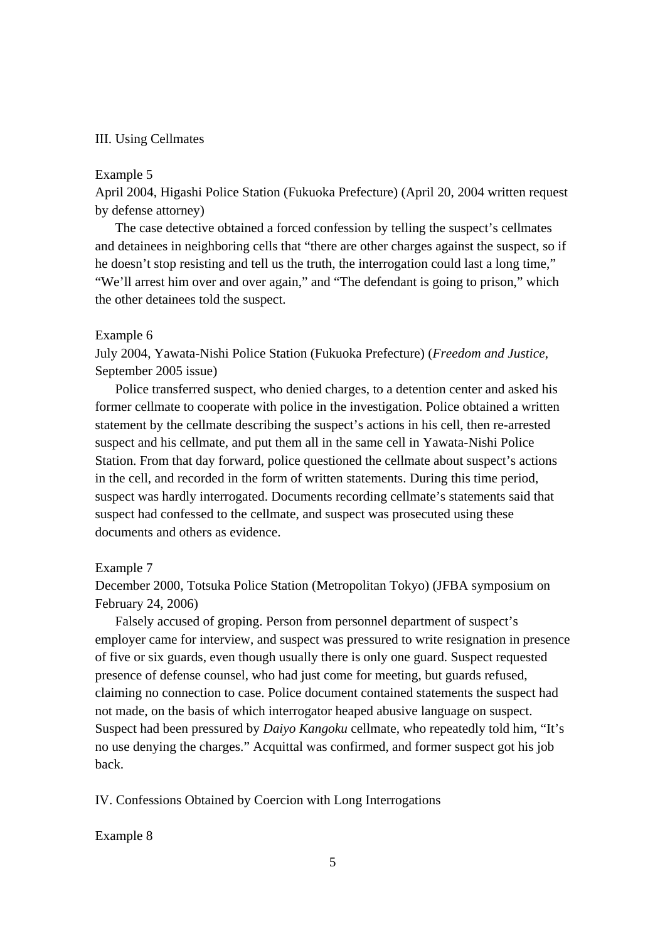#### III. Using Cellmates

#### Example 5

April 2004, Higashi Police Station (Fukuoka Prefecture) (April 20, 2004 written request by defense attorney)

 The case detective obtained a forced confession by telling the suspect's cellmates and detainees in neighboring cells that "there are other charges against the suspect, so if he doesn't stop resisting and tell us the truth, the interrogation could last a long time," "We'll arrest him over and over again," and "The defendant is going to prison," which the other detainees told the suspect.

#### Example 6

July 2004, Yawata-Nishi Police Station (Fukuoka Prefecture) (*Freedom and Justice*, September 2005 issue)

 Police transferred suspect, who denied charges, to a detention center and asked his former cellmate to cooperate with police in the investigation. Police obtained a written statement by the cellmate describing the suspect's actions in his cell, then re-arrested suspect and his cellmate, and put them all in the same cell in Yawata-Nishi Police Station. From that day forward, police questioned the cellmate about suspect's actions in the cell, and recorded in the form of written statements. During this time period, suspect was hardly interrogated. Documents recording cellmate's statements said that suspect had confessed to the cellmate, and suspect was prosecuted using these documents and others as evidence.

### Example 7

December 2000, Totsuka Police Station (Metropolitan Tokyo) (JFBA symposium on February 24, 2006)

 Falsely accused of groping. Person from personnel department of suspect's employer came for interview, and suspect was pressured to write resignation in presence of five or six guards, even though usually there is only one guard. Suspect requested presence of defense counsel, who had just come for meeting, but guards refused, claiming no connection to case. Police document contained statements the suspect had not made, on the basis of which interrogator heaped abusive language on suspect. Suspect had been pressured by *Daiyo Kangoku* cellmate, who repeatedly told him, "It's no use denying the charges." Acquittal was confirmed, and former suspect got his job back.

IV. Confessions Obtained by Coercion with Long Interrogations

#### Example 8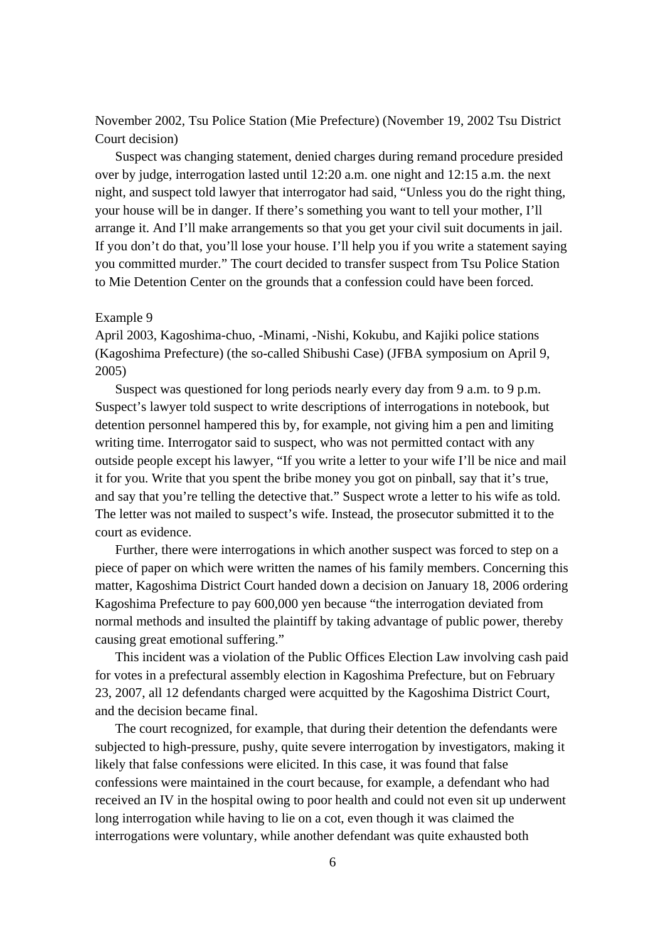November 2002, Tsu Police Station (Mie Prefecture) (November 19, 2002 Tsu District Court decision)

 Suspect was changing statement, denied charges during remand procedure presided over by judge, interrogation lasted until 12:20 a.m. one night and 12:15 a.m. the next night, and suspect told lawyer that interrogator had said, "Unless you do the right thing, your house will be in danger. If there's something you want to tell your mother, I'll arrange it. And I'll make arrangements so that you get your civil suit documents in jail. If you don't do that, you'll lose your house. I'll help you if you write a statement saying you committed murder." The court decided to transfer suspect from Tsu Police Station to Mie Detention Center on the grounds that a confession could have been forced.

#### Example 9

April 2003, Kagoshima-chuo, -Minami, -Nishi, Kokubu, and Kajiki police stations (Kagoshima Prefecture) (the so-called Shibushi Case) (JFBA symposium on April 9, 2005)

 Suspect was questioned for long periods nearly every day from 9 a.m. to 9 p.m. Suspect's lawyer told suspect to write descriptions of interrogations in notebook, but detention personnel hampered this by, for example, not giving him a pen and limiting writing time. Interrogator said to suspect, who was not permitted contact with any outside people except his lawyer, "If you write a letter to your wife I'll be nice and mail it for you. Write that you spent the bribe money you got on pinball, say that it's true, and say that you're telling the detective that." Suspect wrote a letter to his wife as told. The letter was not mailed to suspect's wife. Instead, the prosecutor submitted it to the court as evidence.

 Further, there were interrogations in which another suspect was forced to step on a piece of paper on which were written the names of his family members. Concerning this matter, Kagoshima District Court handed down a decision on January 18, 2006 ordering Kagoshima Prefecture to pay 600,000 yen because "the interrogation deviated from normal methods and insulted the plaintiff by taking advantage of public power, thereby causing great emotional suffering."

 This incident was a violation of the Public Offices Election Law involving cash paid for votes in a prefectural assembly election in Kagoshima Prefecture, but on February 23, 2007, all 12 defendants charged were acquitted by the Kagoshima District Court, and the decision became final.

 The court recognized, for example, that during their detention the defendants were subjected to high-pressure, pushy, quite severe interrogation by investigators, making it likely that false confessions were elicited. In this case, it was found that false confessions were maintained in the court because, for example, a defendant who had received an IV in the hospital owing to poor health and could not even sit up underwent long interrogation while having to lie on a cot, even though it was claimed the interrogations were voluntary, while another defendant was quite exhausted both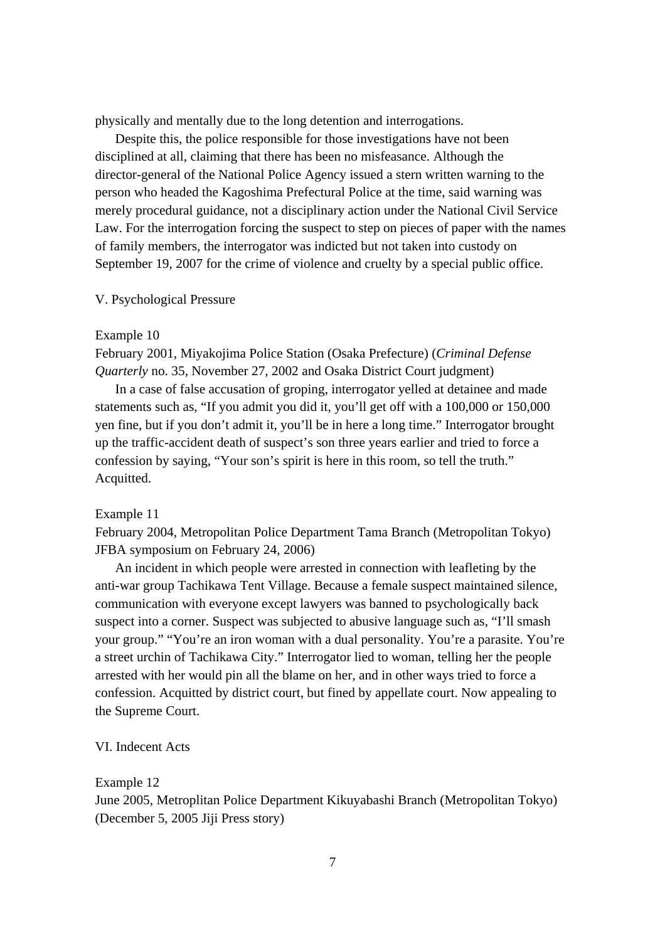physically and mentally due to the long detention and interrogations.

 Despite this, the police responsible for those investigations have not been disciplined at all, claiming that there has been no misfeasance. Although the director-general of the National Police Agency issued a stern written warning to the person who headed the Kagoshima Prefectural Police at the time, said warning was merely procedural guidance, not a disciplinary action under the National Civil Service Law. For the interrogation forcing the suspect to step on pieces of paper with the names of family members, the interrogator was indicted but not taken into custody on September 19, 2007 for the crime of violence and cruelty by a special public office.

#### V. Psychological Pressure

#### Example 10

February 2001, Miyakojima Police Station (Osaka Prefecture) (*Criminal Defense Quarterly* no. 35, November 27, 2002 and Osaka District Court judgment)

 In a case of false accusation of groping, interrogator yelled at detainee and made statements such as, "If you admit you did it, you'll get off with a 100,000 or 150,000 yen fine, but if you don't admit it, you'll be in here a long time." Interrogator brought up the traffic-accident death of suspect's son three years earlier and tried to force a confession by saying, "Your son's spirit is here in this room, so tell the truth." Acquitted.

#### Example 11

February 2004, Metropolitan Police Department Tama Branch (Metropolitan Tokyo) JFBA symposium on February 24, 2006)

 An incident in which people were arrested in connection with leafleting by the anti-war group Tachikawa Tent Village. Because a female suspect maintained silence, communication with everyone except lawyers was banned to psychologically back suspect into a corner. Suspect was subjected to abusive language such as, "I'll smash your group." "You're an iron woman with a dual personality. You're a parasite. You're a street urchin of Tachikawa City." Interrogator lied to woman, telling her the people arrested with her would pin all the blame on her, and in other ways tried to force a confession. Acquitted by district court, but fined by appellate court. Now appealing to the Supreme Court.

## VI. Indecent Acts

#### Example 12

June 2005, Metroplitan Police Department Kikuyabashi Branch (Metropolitan Tokyo) (December 5, 2005 Jiji Press story)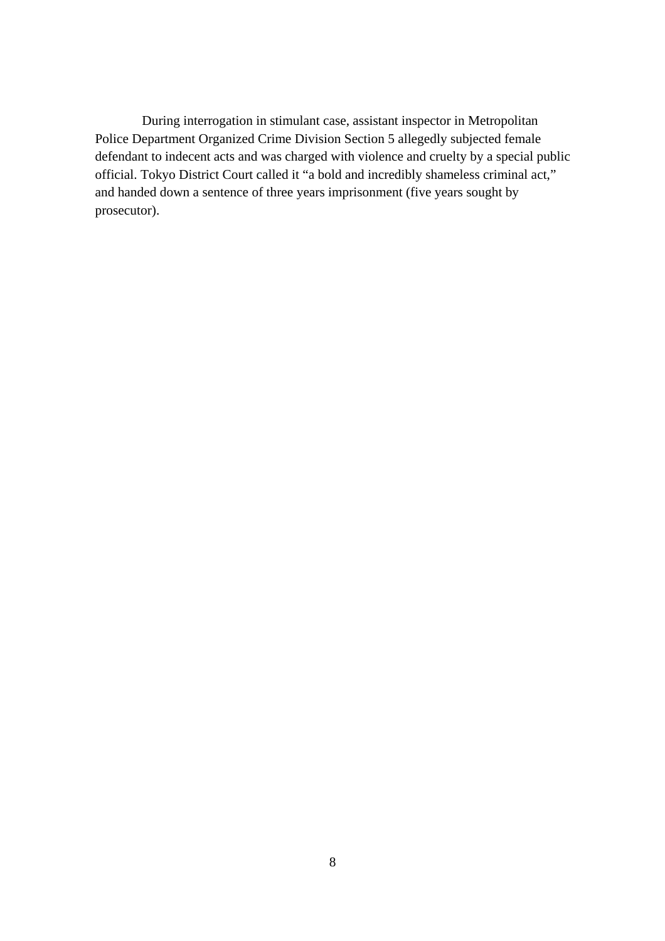During interrogation in stimulant case, assistant inspector in Metropolitan Police Department Organized Crime Division Section 5 allegedly subjected female defendant to indecent acts and was charged with violence and cruelty by a special public official. Tokyo District Court called it "a bold and incredibly shameless criminal act," and handed down a sentence of three years imprisonment (five years sought by prosecutor).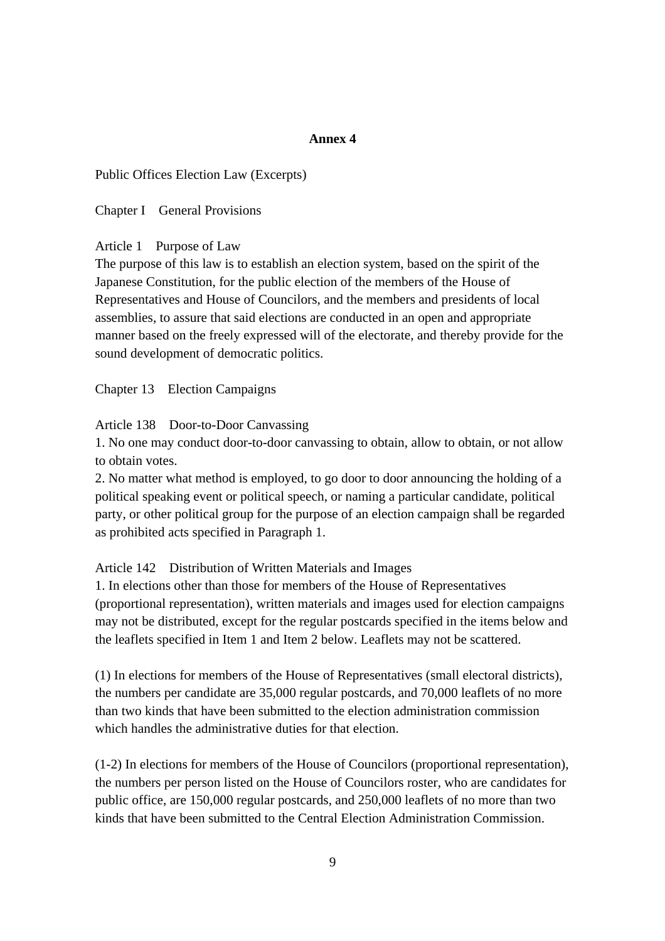## **Annex 4**

Public Offices Election Law (Excerpts)

Chapter I General Provisions

## Article 1 Purpose of Law

The purpose of this law is to establish an election system, based on the spirit of the Japanese Constitution, for the public election of the members of the House of Representatives and House of Councilors, and the members and presidents of local assemblies, to assure that said elections are conducted in an open and appropriate manner based on the freely expressed will of the electorate, and thereby provide for the sound development of democratic politics.

Chapter 13 Election Campaigns

#### Article 138 Door-to-Door Canvassing

1. No one may conduct door-to-door canvassing to obtain, allow to obtain, or not allow to obtain votes.

2. No matter what method is employed, to go door to door announcing the holding of a political speaking event or political speech, or naming a particular candidate, political party, or other political group for the purpose of an election campaign shall be regarded as prohibited acts specified in Paragraph 1.

### Article 142 Distribution of Written Materials and Images

1. In elections other than those for members of the House of Representatives (proportional representation), written materials and images used for election campaigns may not be distributed, except for the regular postcards specified in the items below and the leaflets specified in Item 1 and Item 2 below. Leaflets may not be scattered.

(1) In elections for members of the House of Representatives (small electoral districts), the numbers per candidate are 35,000 regular postcards, and 70,000 leaflets of no more than two kinds that have been submitted to the election administration commission which handles the administrative duties for that election.

(1-2) In elections for members of the House of Councilors (proportional representation), the numbers per person listed on the House of Councilors roster, who are candidates for public office, are 150,000 regular postcards, and 250,000 leaflets of no more than two kinds that have been submitted to the Central Election Administration Commission.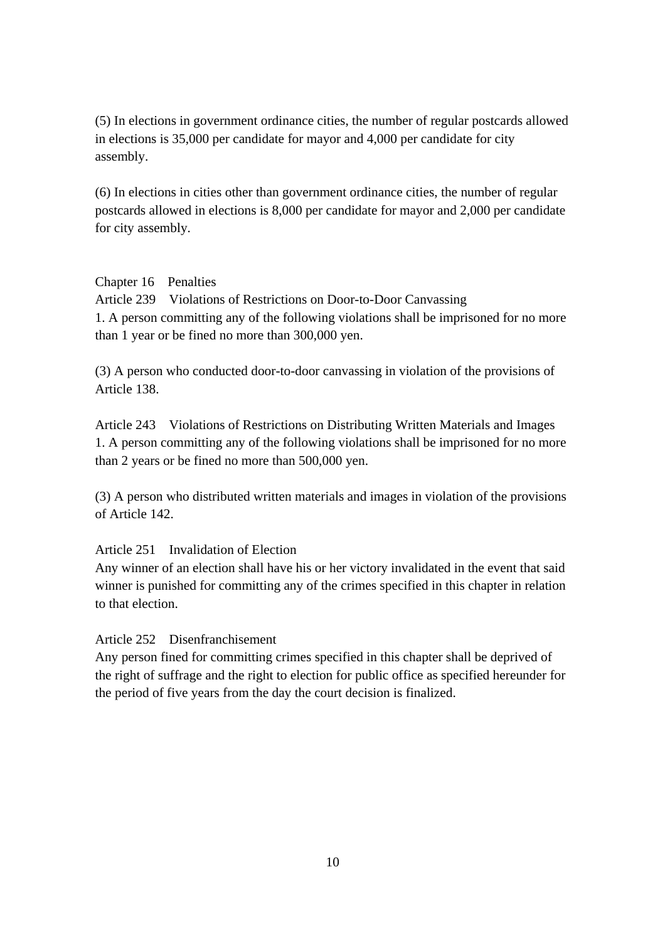(5) In elections in government ordinance cities, the number of regular postcards allowed in elections is 35,000 per candidate for mayor and 4,000 per candidate for city assembly.

(6) In elections in cities other than government ordinance cities, the number of regular postcards allowed in elections is 8,000 per candidate for mayor and 2,000 per candidate for city assembly.

## Chapter 16 Penalties

Article 239 Violations of Restrictions on Door-to-Door Canvassing 1. A person committing any of the following violations shall be imprisoned for no more than 1 year or be fined no more than 300,000 yen.

(3) A person who conducted door-to-door canvassing in violation of the provisions of Article 138.

Article 243 Violations of Restrictions on Distributing Written Materials and Images 1. A person committing any of the following violations shall be imprisoned for no more than 2 years or be fined no more than 500,000 yen.

(3) A person who distributed written materials and images in violation of the provisions of Article 142.

## Article 251 Invalidation of Election

Any winner of an election shall have his or her victory invalidated in the event that said winner is punished for committing any of the crimes specified in this chapter in relation to that election.

## Article 252 Disenfranchisement

Any person fined for committing crimes specified in this chapter shall be deprived of the right of suffrage and the right to election for public office as specified hereunder for the period of five years from the day the court decision is finalized.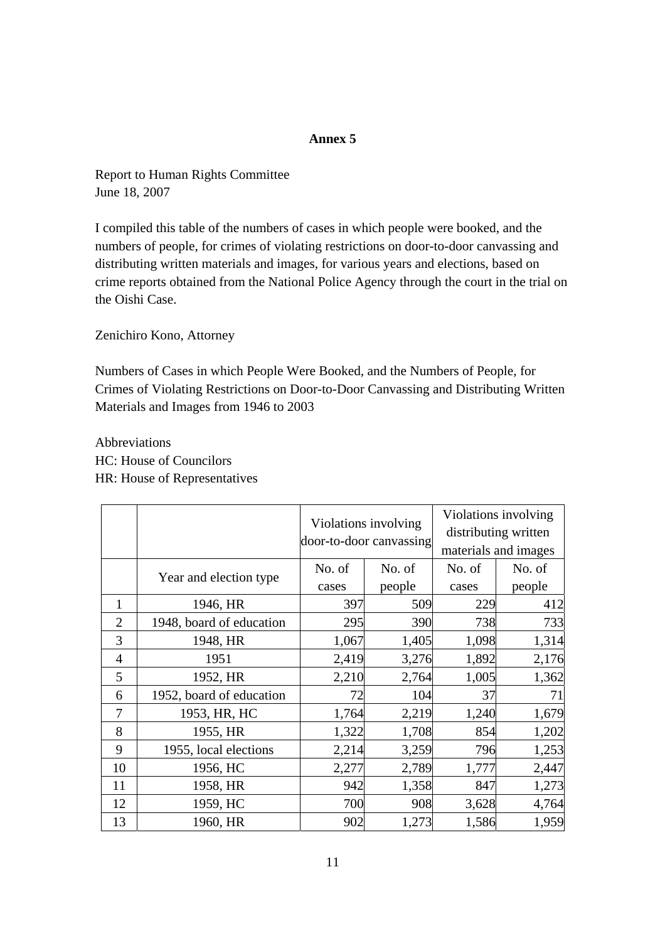## **Annex 5**

Report to Human Rights Committee June 18, 2007

I compiled this table of the numbers of cases in which people were booked, and the numbers of people, for crimes of violating restrictions on door-to-door canvassing and distributing written materials and images, for various years and elections, based on crime reports obtained from the National Police Agency through the court in the trial on the Oishi Case.

Zenichiro Kono, Attorney

Numbers of Cases in which People Were Booked, and the Numbers of People, for Crimes of Violating Restrictions on Door-to-Door Canvassing and Distributing Written Materials and Images from 1946 to 2003

Abbreviations HC: House of Councilors HR: House of Representatives

|                |                          | Violations involving<br>door-to-door canvassing |        | Violations involving<br>distributing written<br>materials and images |        |
|----------------|--------------------------|-------------------------------------------------|--------|----------------------------------------------------------------------|--------|
|                | Year and election type   | No. of                                          | No. of | No. of                                                               | No. of |
|                |                          | cases                                           | people | cases                                                                | people |
| 1              | 1946, HR                 | 397                                             | 509    | 229                                                                  | 412    |
| $\overline{2}$ | 1948, board of education | 295                                             | 390    | 738                                                                  | 733    |
| 3              | 1948, HR                 | 1,067                                           | 1,405  | 1,098                                                                | 1,314  |
| $\overline{4}$ | 1951                     | 2,419                                           | 3,276  | 1,892                                                                | 2,176  |
| 5              | 1952, HR                 | 2,210                                           | 2,764  | 1,005                                                                | 1,362  |
| 6              | 1952, board of education | 72                                              | 104    | 37                                                                   | 71     |
| 7              | 1953, HR, HC             | 1,764                                           | 2,219  | 1,240                                                                | 1,679  |
| 8              | 1955, HR                 | 1,322                                           | 1,708  | 854                                                                  | 1,202  |
| 9              | 1955, local elections    | 2,214                                           | 3,259  | 796                                                                  | 1,253  |
| 10             | 1956, HC                 | 2,277                                           | 2,789  | 1,777                                                                | 2,447  |
| 11             | 1958, HR                 | 942                                             | 1,358  | 847                                                                  | 1,273  |
| 12             | 1959, HC                 | 700                                             | 908    | 3,628                                                                | 4,764  |
| 13             | 1960, HR                 | 902                                             | 1,273  | 1,586                                                                | 1,959  |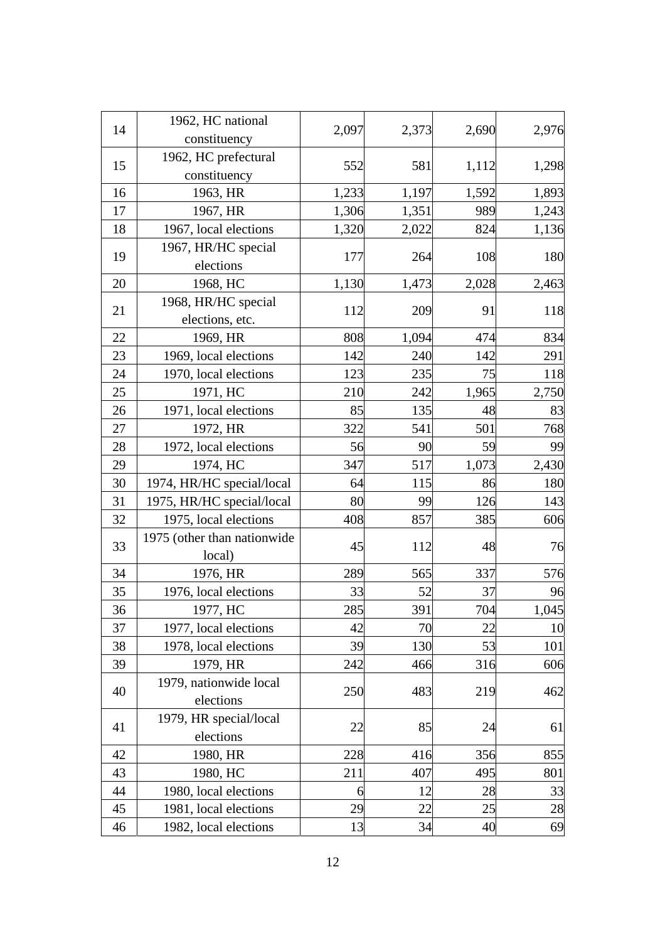|    | 1962, HC national           | 2,097 |       | 2,690 | 2,976 |
|----|-----------------------------|-------|-------|-------|-------|
| 14 | constituency                |       | 2,373 |       |       |
| 15 | 1962, HC prefectural        |       |       |       | 1,298 |
|    | constituency                | 552   | 581   | 1,112 |       |
| 16 | 1963, HR                    | 1,233 | 1,197 | 1,592 | 1,893 |
| 17 | 1967, HR                    | 1,306 | 1,351 | 989   | 1,243 |
| 18 | 1967, local elections       | 1,320 | 2,022 | 824   | 1,136 |
|    | 1967, HR/HC special         |       |       |       |       |
| 19 | elections                   | 177   | 264   | 108   | 180   |
| 20 | 1968, HC                    | 1,130 | 1,473 | 2,028 | 2,463 |
|    | 1968, HR/HC special         |       |       |       |       |
| 21 | elections, etc.             | 112   | 209   | 91    | 118   |
| 22 | 1969, HR                    | 808   | 1,094 | 474   | 834   |
| 23 | 1969, local elections       | 142   | 240   | 142   | 291   |
| 24 | 1970, local elections       | 123   | 235   | 75    | 118   |
| 25 | 1971, HC                    | 210   | 242   | 1,965 | 2,750 |
| 26 | 1971, local elections       | 85    | 135   | 48    | 83    |
| 27 | 1972, HR                    | 322   | 541   | 501   | 768   |
| 28 | 1972, local elections       | 56    | 90    | 59    | 99    |
| 29 | 1974, HC                    | 347   | 517   | 1,073 | 2,430 |
| 30 | 1974, HR/HC special/local   | 64    | 115   | 86    | 180   |
| 31 | 1975, HR/HC special/local   | 80    | 99    | 126   | 143   |
| 32 | 1975, local elections       | 408   | 857   | 385   | 606   |
|    | 1975 (other than nationwide |       |       |       |       |
| 33 | local)                      | 45    | 112   | 48    | 76    |
| 34 | 1976, HR                    | 289   | 565   | 337   | 576   |
| 35 | 1976, local elections       | 33    | 52    | 37    | 96    |
| 36 | 1977, HC                    | 285   | 391   | 704   | 1,045 |
| 37 | 1977, local elections       | 42    | 70    | 22    | 10    |
| 38 | 1978, local elections       | 39    | 130   | 53    | 101   |
| 39 | 1979, HR                    | 242   | 466   | 316   | 606   |
|    | 1979, nationwide local      |       |       |       |       |
| 40 | elections                   | 250   | 483   | 219   | 462   |
| 41 | 1979, HR special/local      | 22    |       | 24    | 61    |
|    | elections                   |       | 85    |       |       |
| 42 | 1980, HR                    | 228   | 416   | 356   | 855   |
| 43 | 1980, HC                    | 211   | 407   | 495   | 801   |
| 44 | 1980, local elections       | 6     | 12    | 28    | 33    |
| 45 | 1981, local elections       | 29    | 22    | 25    | 28    |
| 46 | 1982, local elections       | 13    | 34    | 40    | 69    |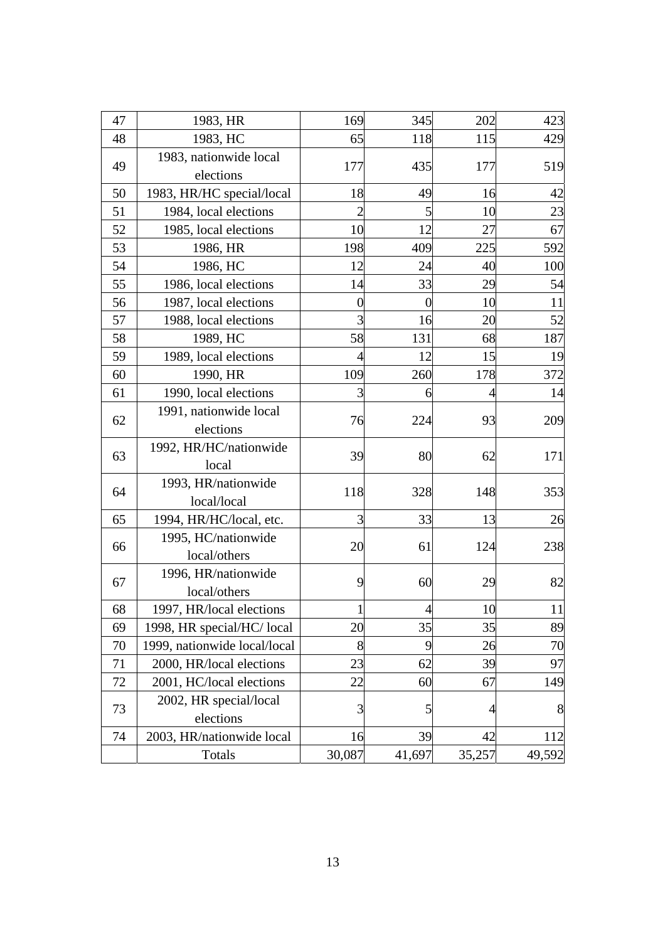| 47 | 1983, HR                            | 169            | 345            | 202    | 423    |
|----|-------------------------------------|----------------|----------------|--------|--------|
| 48 | 1983, HC                            | 65             | 118            | 115    | 429    |
| 49 | 1983, nationwide local              | 177            | 435            | 177    | 519    |
|    | elections                           |                |                |        |        |
| 50 | 1983, HR/HC special/local           | 18             | 49             | 16     | 42     |
| 51 | 1984, local elections               | 2              | 5              | 10     | 23     |
| 52 | 1985, local elections               | 10             | 12             | 27     | 67     |
| 53 | 1986, HR                            | 198            | 409            | 225    | 592    |
| 54 | 1986, HC                            | 12             | 24             | 40     | 100    |
| 55 | 1986, local elections               | 14             | 33             | 29     | 54     |
| 56 | 1987, local elections               | $\overline{0}$ | $\overline{0}$ | 10     | 11     |
| 57 | 1988, local elections               | 3              | 16             | 20     | 52     |
| 58 | 1989, HC                            | 58             | 131            | 68     | 187    |
| 59 | 1989, local elections               | 4              | 12             | 15     | 19     |
| 60 | 1990, HR                            | 109            | 260            | 178    | 372    |
| 61 | 1990, local elections               | 3              | 6              |        | 14     |
| 62 | 1991, nationwide local<br>elections | 76             | 224            | 93     | 209    |
| 63 | 1992, HR/HC/nationwide<br>local     | 39             | 80             | 62     | 171    |
| 64 | 1993, HR/nationwide<br>local/local  | 118            | 328            | 148    | 353    |
| 65 | 1994, HR/HC/local, etc.             | 3              | 33             | 13     | 26     |
| 66 | 1995, HC/nationwide<br>local/others | 20             | 61             | 124    | 238    |
| 67 | 1996, HR/nationwide<br>local/others | 9              | 60             | 29     | 82     |
| 68 | 1997, HR/local elections            | $\mathbf 1$    |                | 10     | 11     |
| 69 | 1998, HR special/HC/local           | 20             | 35             | 35     | 89     |
| 70 | 1999, nationwide local/local        | 8              | 9              | 26     | 70     |
| 71 | 2000, HR/local elections            | 23             | 62             | 39     | 97     |
| 72 | 2001, HC/local elections            | 22             | 60             | 67     | 149    |
| 73 | 2002, HR special/local<br>elections | 3              | 5              | 4      | 8      |
| 74 | 2003, HR/nationwide local           | 16             | 39             | 42     | 112    |
|    | Totals                              | 30,087         | 41,697         | 35,257 | 49,592 |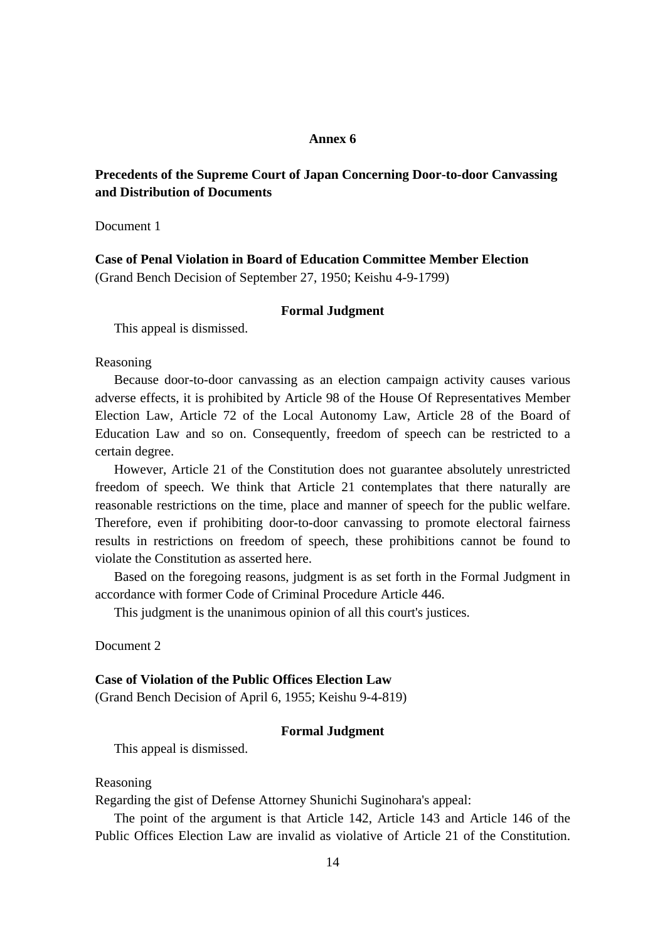## **Annex 6**

## **Precedents of the Supreme Court of Japan Concerning Door-to-door Canvassing and Distribution of Documents**

Document 1

**Case of Penal Violation in Board of Education Committee Member Election**  (Grand Bench Decision of September 27, 1950; Keishu 4-9-1799)

#### **Formal Judgment**

This appeal is dismissed.

Reasoning

 Because door-to-door canvassing as an election campaign activity causes various adverse effects, it is prohibited by Article 98 of the House Of Representatives Member Election Law, Article 72 of the Local Autonomy Law, Article 28 of the Board of Education Law and so on. Consequently, freedom of speech can be restricted to a certain degree.

 However, Article 21 of the Constitution does not guarantee absolutely unrestricted freedom of speech. We think that Article 21 contemplates that there naturally are reasonable restrictions on the time, place and manner of speech for the public welfare. Therefore, even if prohibiting door-to-door canvassing to promote electoral fairness results in restrictions on freedom of speech, these prohibitions cannot be found to violate the Constitution as asserted here.

 Based on the foregoing reasons, judgment is as set forth in the Formal Judgment in accordance with former Code of Criminal Procedure Article 446.

This judgment is the unanimous opinion of all this court's justices.

Document<sub>2</sub>

### **Case of Violation of the Public Offices Election Law**

(Grand Bench Decision of April 6, 1955; Keishu 9-4-819)

### **Formal Judgment**

This appeal is dismissed.

Reasoning

Regarding the gist of Defense Attorney Shunichi Suginohara's appeal:

 The point of the argument is that Article 142, Article 143 and Article 146 of the Public Offices Election Law are invalid as violative of Article 21 of the Constitution.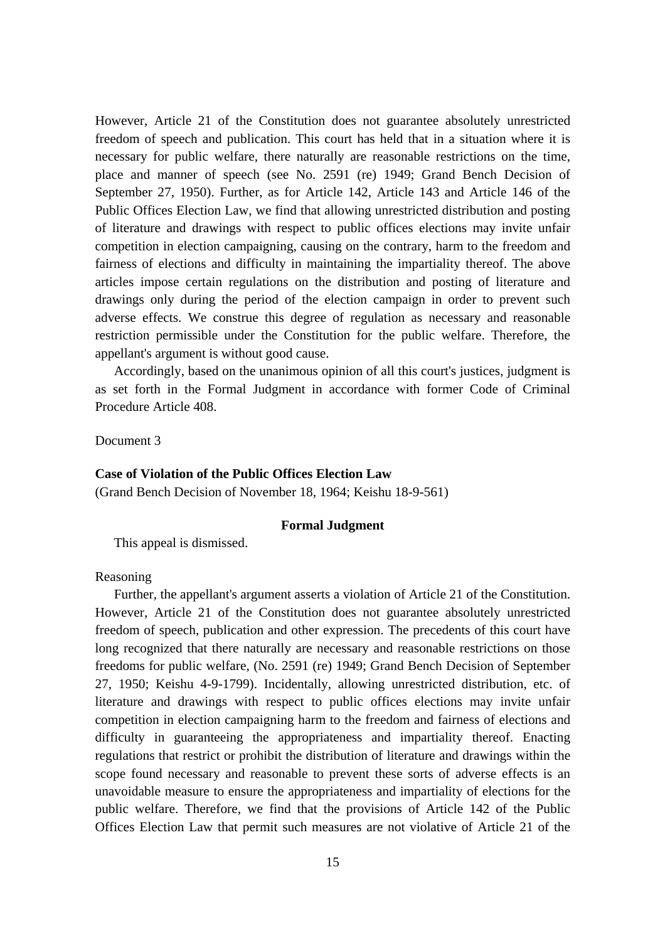However, Article 21 of the Constitution does not guarantee absolutely unrestricted freedom of speech and publication. This court has held that in a situation where it is necessary for public welfare, there naturally are reasonable restrictions on the time, place and manner of speech (see No. 2591 (re) 1949; Grand Bench Decision of September 27, 1950). Further, as for Article 142, Article 143 and Article 146 of the Public Offices Election Law, we find that allowing unrestricted distribution and posting of literature and drawings with respect to public offices elections may invite unfair competition in election campaigning, causing on the contrary, harm to the freedom and fairness of elections and difficulty in maintaining the impartiality thereof. The above articles impose certain regulations on the distribution and posting of literature and drawings only during the period of the election campaign in order to prevent such adverse effects. We construe this degree of regulation as necessary and reasonable restriction permissible under the Constitution for the public welfare. Therefore, the appellant's argument is without good cause.

 Accordingly, based on the unanimous opinion of all this court's justices, judgment is as set forth in the Formal Judgment in accordance with former Code of Criminal Procedure Article 408.

Document 3

#### **Case of Violation of the Public Offices Election Law**

(Grand Bench Decision of November 18, 1964; Keishu 18-9-561)

#### **Formal Judgment**

This appeal is dismissed.

Reasoning

 Further, the appellant's argument asserts a violation of Article 21 of the Constitution. However, Article 21 of the Constitution does not guarantee absolutely unrestricted freedom of speech, publication and other expression. The precedents of this court have long recognized that there naturally are necessary and reasonable restrictions on those freedoms for public welfare, (No. 2591 (re) 1949; Grand Bench Decision of September 27, 1950; Keishu 4-9-1799). Incidentally, allowing unrestricted distribution, etc. of literature and drawings with respect to public offices elections may invite unfair competition in election campaigning harm to the freedom and fairness of elections and difficulty in guaranteeing the appropriateness and impartiality thereof. Enacting regulations that restrict or prohibit the distribution of literature and drawings within the scope found necessary and reasonable to prevent these sorts of adverse effects is an unavoidable measure to ensure the appropriateness and impartiality of elections for the public welfare. Therefore, we find that the provisions of Article 142 of the Public Offices Election Law that permit such measures are not violative of Article 21 of the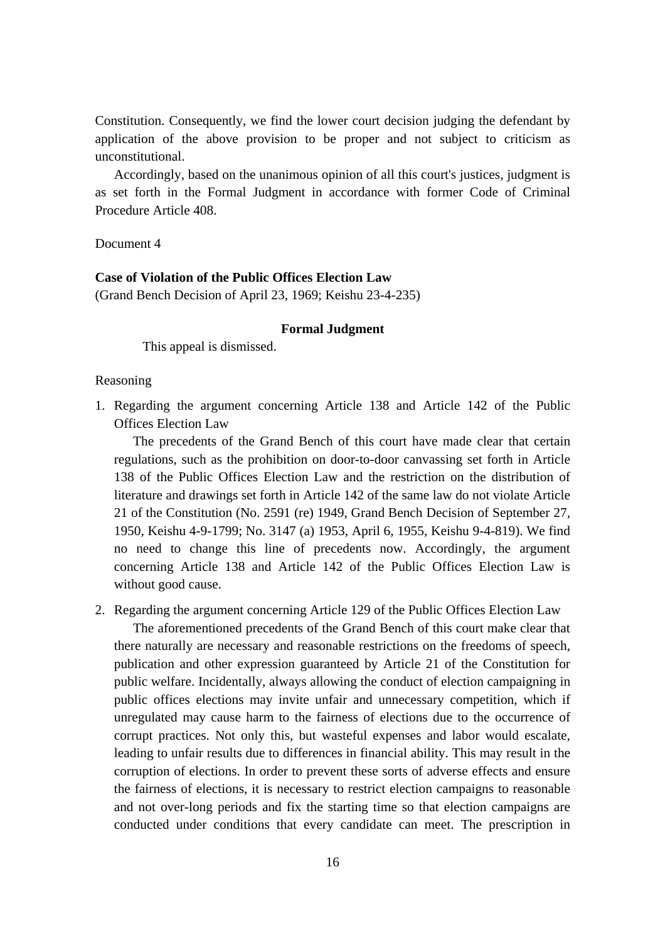Constitution. Consequently, we find the lower court decision judging the defendant by application of the above provision to be proper and not subject to criticism as unconstitutional.

 Accordingly, based on the unanimous opinion of all this court's justices, judgment is as set forth in the Formal Judgment in accordance with former Code of Criminal Procedure Article 408.

Document 4

## **Case of Violation of the Public Offices Election Law**

(Grand Bench Decision of April 23, 1969; Keishu 23-4-235)

#### **Formal Judgment**

This appeal is dismissed.

#### Reasoning

1. Regarding the argument concerning Article 138 and Article 142 of the Public Offices Election Law

 The precedents of the Grand Bench of this court have made clear that certain regulations, such as the prohibition on door-to-door canvassing set forth in Article 138 of the Public Offices Election Law and the restriction on the distribution of literature and drawings set forth in Article 142 of the same law do not violate Article 21 of the Constitution (No. 2591 (re) 1949, Grand Bench Decision of September 27, 1950, Keishu 4-9-1799; No. 3147 (a) 1953, April 6, 1955, Keishu 9-4-819). We find no need to change this line of precedents now. Accordingly, the argument concerning Article 138 and Article 142 of the Public Offices Election Law is without good cause.

2. Regarding the argument concerning Article 129 of the Public Offices Election Law

 The aforementioned precedents of the Grand Bench of this court make clear that there naturally are necessary and reasonable restrictions on the freedoms of speech, publication and other expression guaranteed by Article 21 of the Constitution for public welfare. Incidentally, always allowing the conduct of election campaigning in public offices elections may invite unfair and unnecessary competition, which if unregulated may cause harm to the fairness of elections due to the occurrence of corrupt practices. Not only this, but wasteful expenses and labor would escalate, leading to unfair results due to differences in financial ability. This may result in the corruption of elections. In order to prevent these sorts of adverse effects and ensure the fairness of elections, it is necessary to restrict election campaigns to reasonable and not over-long periods and fix the starting time so that election campaigns are conducted under conditions that every candidate can meet. The prescription in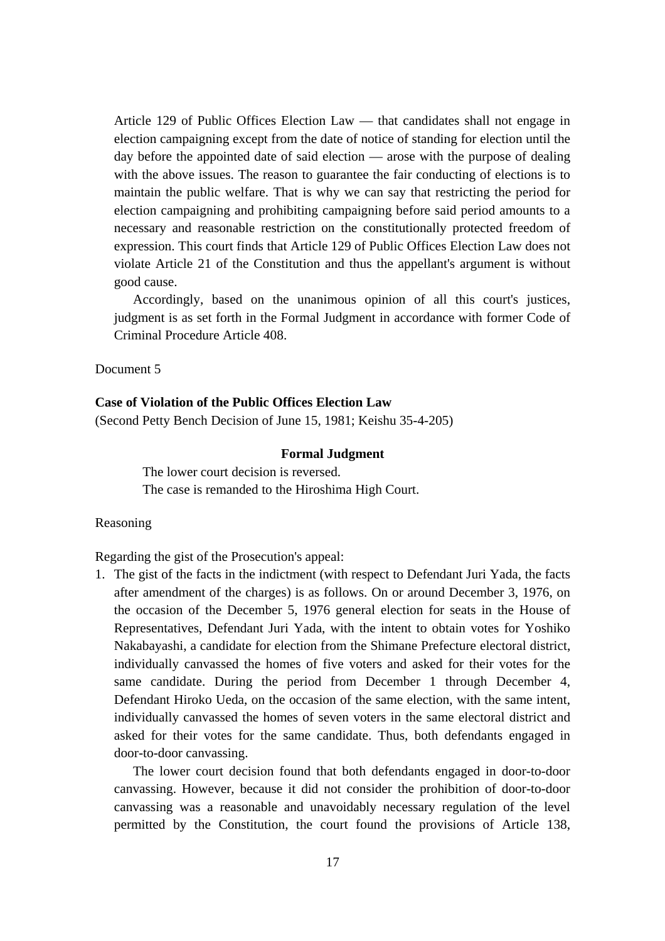Article 129 of Public Offices Election Law — that candidates shall not engage in election campaigning except from the date of notice of standing for election until the day before the appointed date of said election — arose with the purpose of dealing with the above issues. The reason to guarantee the fair conducting of elections is to maintain the public welfare. That is why we can say that restricting the period for election campaigning and prohibiting campaigning before said period amounts to a necessary and reasonable restriction on the constitutionally protected freedom of expression. This court finds that Article 129 of Public Offices Election Law does not violate Article 21 of the Constitution and thus the appellant's argument is without good cause.

 Accordingly, based on the unanimous opinion of all this court's justices, judgment is as set forth in the Formal Judgment in accordance with former Code of Criminal Procedure Article 408.

Document 5

### **Case of Violation of the Public Offices Election Law**

(Second Petty Bench Decision of June 15, 1981; Keishu 35-4-205)

#### **Formal Judgment**

The lower court decision is reversed. The case is remanded to the Hiroshima High Court.

#### Reasoning

Regarding the gist of the Prosecution's appeal:

1. The gist of the facts in the indictment (with respect to Defendant Juri Yada, the facts after amendment of the charges) is as follows. On or around December 3, 1976, on the occasion of the December 5, 1976 general election for seats in the House of Representatives, Defendant Juri Yada, with the intent to obtain votes for Yoshiko Nakabayashi, a candidate for election from the Shimane Prefecture electoral district, individually canvassed the homes of five voters and asked for their votes for the same candidate. During the period from December 1 through December 4, Defendant Hiroko Ueda, on the occasion of the same election, with the same intent, individually canvassed the homes of seven voters in the same electoral district and asked for their votes for the same candidate. Thus, both defendants engaged in door-to-door canvassing.

 The lower court decision found that both defendants engaged in door-to-door canvassing. However, because it did not consider the prohibition of door-to-door canvassing was a reasonable and unavoidably necessary regulation of the level permitted by the Constitution, the court found the provisions of Article 138,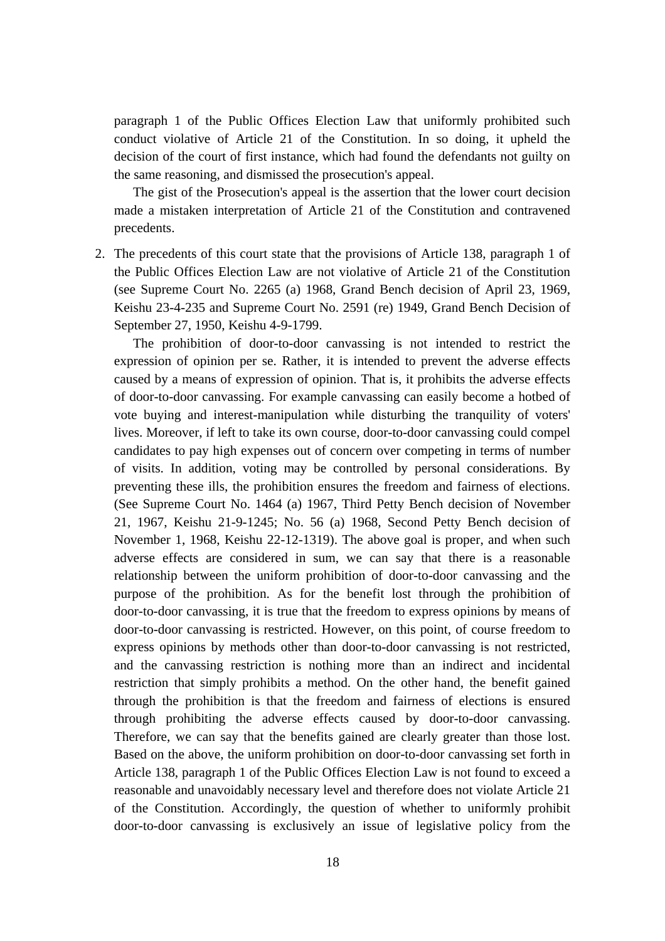paragraph 1 of the Public Offices Election Law that uniformly prohibited such conduct violative of Article 21 of the Constitution. In so doing, it upheld the decision of the court of first instance, which had found the defendants not guilty on the same reasoning, and dismissed the prosecution's appeal.

 The gist of the Prosecution's appeal is the assertion that the lower court decision made a mistaken interpretation of Article 21 of the Constitution and contravened precedents.

2. The precedents of this court state that the provisions of Article 138, paragraph 1 of the Public Offices Election Law are not violative of Article 21 of the Constitution (see Supreme Court No. 2265 (a) 1968, Grand Bench decision of April 23, 1969, Keishu 23-4-235 and Supreme Court No. 2591 (re) 1949, Grand Bench Decision of September 27, 1950, Keishu 4-9-1799.

 The prohibition of door-to-door canvassing is not intended to restrict the expression of opinion per se. Rather, it is intended to prevent the adverse effects caused by a means of expression of opinion. That is, it prohibits the adverse effects of door-to-door canvassing. For example canvassing can easily become a hotbed of vote buying and interest-manipulation while disturbing the tranquility of voters' lives. Moreover, if left to take its own course, door-to-door canvassing could compel candidates to pay high expenses out of concern over competing in terms of number of visits. In addition, voting may be controlled by personal considerations. By preventing these ills, the prohibition ensures the freedom and fairness of elections. (See Supreme Court No. 1464 (a) 1967, Third Petty Bench decision of November 21, 1967, Keishu 21-9-1245; No. 56 (a) 1968, Second Petty Bench decision of November 1, 1968, Keishu 22-12-1319). The above goal is proper, and when such adverse effects are considered in sum, we can say that there is a reasonable relationship between the uniform prohibition of door-to-door canvassing and the purpose of the prohibition. As for the benefit lost through the prohibition of door-to-door canvassing, it is true that the freedom to express opinions by means of door-to-door canvassing is restricted. However, on this point, of course freedom to express opinions by methods other than door-to-door canvassing is not restricted, and the canvassing restriction is nothing more than an indirect and incidental restriction that simply prohibits a method. On the other hand, the benefit gained through the prohibition is that the freedom and fairness of elections is ensured through prohibiting the adverse effects caused by door-to-door canvassing. Therefore, we can say that the benefits gained are clearly greater than those lost. Based on the above, the uniform prohibition on door-to-door canvassing set forth in Article 138, paragraph 1 of the Public Offices Election Law is not found to exceed a reasonable and unavoidably necessary level and therefore does not violate Article 21 of the Constitution. Accordingly, the question of whether to uniformly prohibit door-to-door canvassing is exclusively an issue of legislative policy from the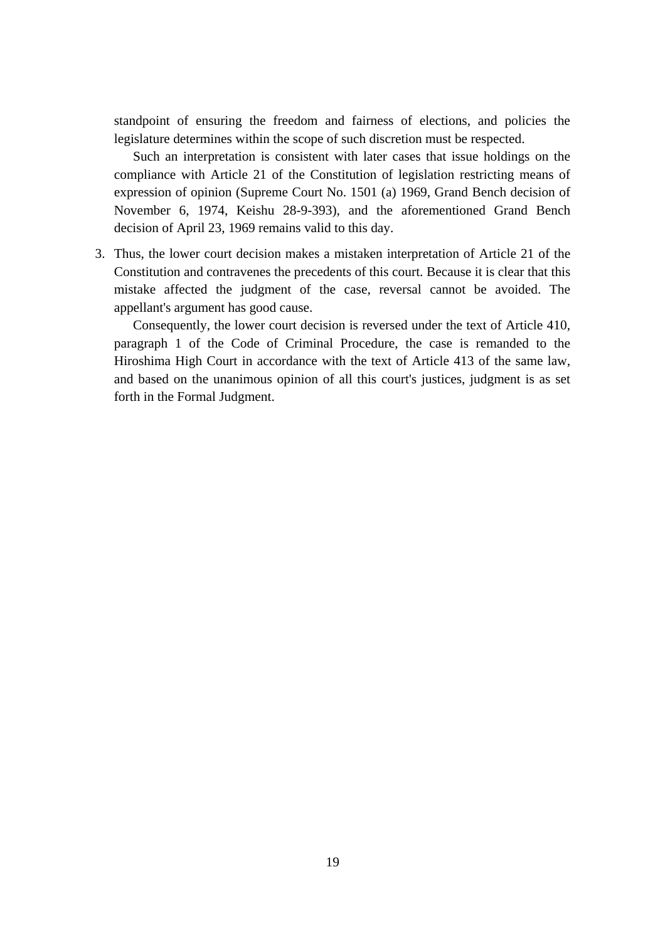standpoint of ensuring the freedom and fairness of elections, and policies the legislature determines within the scope of such discretion must be respected.

 Such an interpretation is consistent with later cases that issue holdings on the compliance with Article 21 of the Constitution of legislation restricting means of expression of opinion (Supreme Court No. 1501 (a) 1969, Grand Bench decision of November 6, 1974, Keishu 28-9-393), and the aforementioned Grand Bench decision of April 23, 1969 remains valid to this day.

3. Thus, the lower court decision makes a mistaken interpretation of Article 21 of the Constitution and contravenes the precedents of this court. Because it is clear that this mistake affected the judgment of the case, reversal cannot be avoided. The appellant's argument has good cause.

 Consequently, the lower court decision is reversed under the text of Article 410, paragraph 1 of the Code of Criminal Procedure, the case is remanded to the Hiroshima High Court in accordance with the text of Article 413 of the same law, and based on the unanimous opinion of all this court's justices, judgment is as set forth in the Formal Judgment.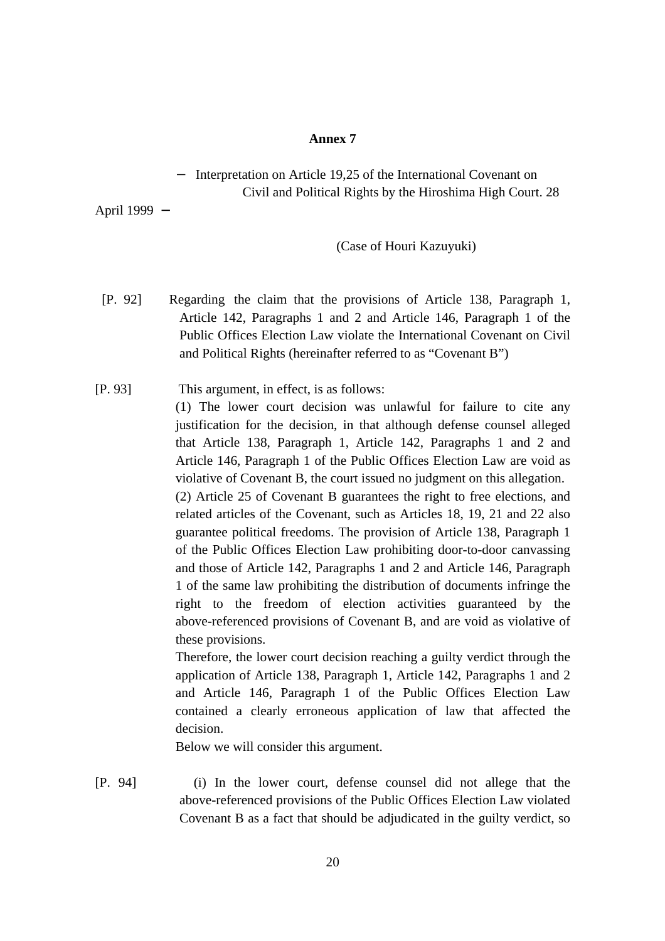#### **Annex 7**

## Interpretation on Article 19,25 of the International Covenant on Civil and Political Rights by the Hiroshima High Court. 28

April 1999

#### (Case of Houri Kazuyuki)

- [P. 92] Regarding the claim that the provisions of Article 138, Paragraph 1, Article 142, Paragraphs 1 and 2 and Article 146, Paragraph 1 of the Public Offices Election Law violate the International Covenant on Civil and Political Rights (hereinafter referred to as "Covenant B")
- [P. 93] This argument, in effect, is as follows:

(1) The lower court decision was unlawful for failure to cite any justification for the decision, in that although defense counsel alleged that Article 138, Paragraph 1, Article 142, Paragraphs 1 and 2 and Article 146, Paragraph 1 of the Public Offices Election Law are void as violative of Covenant B, the court issued no judgment on this allegation. (2) Article 25 of Covenant B guarantees the right to free elections, and

related articles of the Covenant, such as Articles 18, 19, 21 and 22 also guarantee political freedoms. The provision of Article 138, Paragraph 1 of the Public Offices Election Law prohibiting door-to-door canvassing and those of Article 142, Paragraphs 1 and 2 and Article 146, Paragraph 1 of the same law prohibiting the distribution of documents infringe the right to the freedom of election activities guaranteed by the above-referenced provisions of Covenant B, and are void as violative of these provisions.

Therefore, the lower court decision reaching a guilty verdict through the application of Article 138, Paragraph 1, Article 142, Paragraphs 1 and 2 and Article 146, Paragraph 1 of the Public Offices Election Law contained a clearly erroneous application of law that affected the decision.

Below we will consider this argument.

[P. 94] (i) In the lower court, defense counsel did not allege that the above-referenced provisions of the Public Offices Election Law violated Covenant B as a fact that should be adjudicated in the guilty verdict, so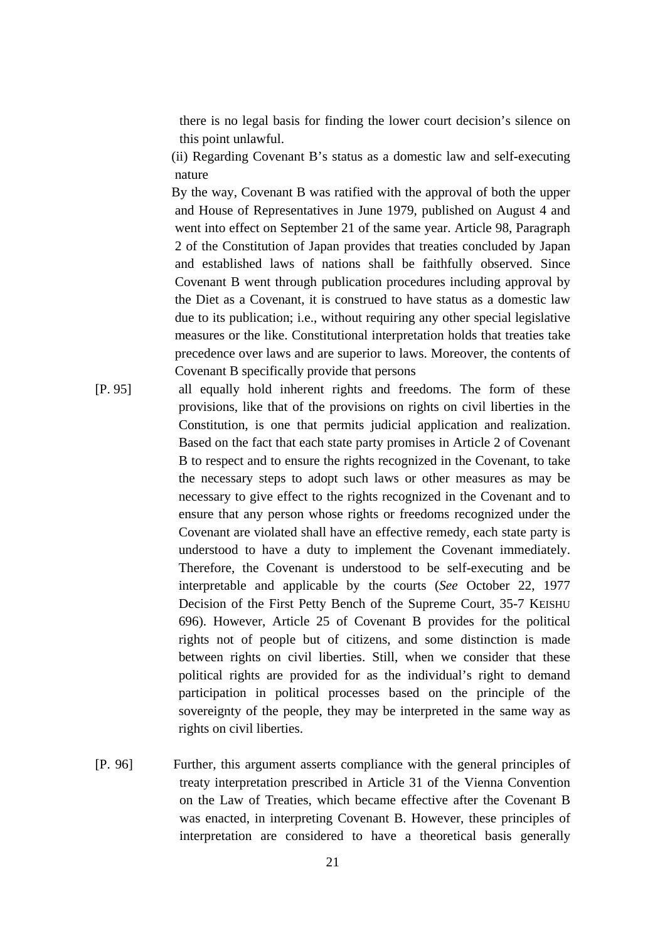there is no legal basis for finding the lower court decision's silence on this point unlawful.

(ii) Regarding Covenant B's status as a domestic law and self-executing nature

By the way, Covenant B was ratified with the approval of both the upper and House of Representatives in June 1979, published on August 4 and went into effect on September 21 of the same year. Article 98, Paragraph 2 of the Constitution of Japan provides that treaties concluded by Japan and established laws of nations shall be faithfully observed. Since Covenant B went through publication procedures including approval by the Diet as a Covenant, it is construed to have status as a domestic law due to its publication; i.e., without requiring any other special legislative measures or the like. Constitutional interpretation holds that treaties take precedence over laws and are superior to laws. Moreover, the contents of Covenant B specifically provide that persons

- [P. 95] all equally hold inherent rights and freedoms. The form of these provisions, like that of the provisions on rights on civil liberties in the Constitution, is one that permits judicial application and realization. Based on the fact that each state party promises in Article 2 of Covenant B to respect and to ensure the rights recognized in the Covenant, to take the necessary steps to adopt such laws or other measures as may be necessary to give effect to the rights recognized in the Covenant and to ensure that any person whose rights or freedoms recognized under the Covenant are violated shall have an effective remedy, each state party is understood to have a duty to implement the Covenant immediately. Therefore, the Covenant is understood to be self-executing and be interpretable and applicable by the courts (*See* October 22, 1977 Decision of the First Petty Bench of the Supreme Court, 35-7 KEISHU 696). However, Article 25 of Covenant B provides for the political rights not of people but of citizens, and some distinction is made between rights on civil liberties. Still, when we consider that these political rights are provided for as the individual's right to demand participation in political processes based on the principle of the sovereignty of the people, they may be interpreted in the same way as rights on civil liberties.
- [P. 96] Further, this argument asserts compliance with the general principles of treaty interpretation prescribed in Article 31 of the Vienna Convention on the Law of Treaties, which became effective after the Covenant B was enacted, in interpreting Covenant B. However, these principles of interpretation are considered to have a theoretical basis generally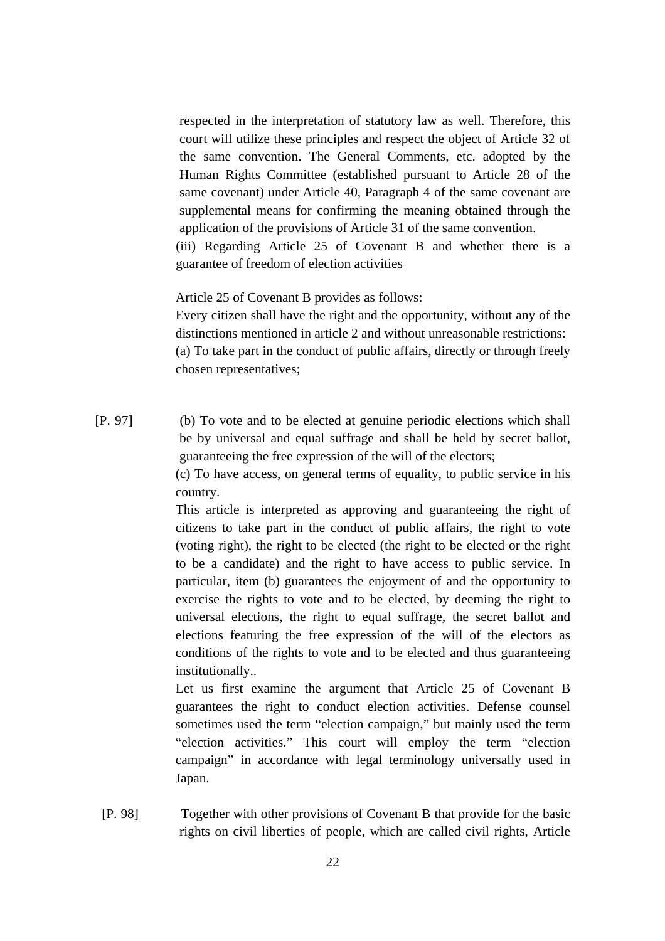respected in the interpretation of statutory law as well. Therefore, this court will utilize these principles and respect the object of Article 32 of the same convention. The General Comments, etc. adopted by the Human Rights Committee (established pursuant to Article 28 of the same covenant) under Article 40, Paragraph 4 of the same covenant are supplemental means for confirming the meaning obtained through the application of the provisions of Article 31 of the same convention. (iii) Regarding Article 25 of Covenant B and whether there is a guarantee of freedom of election activities

Article 25 of Covenant B provides as follows:

Every citizen shall have the right and the opportunity, without any of the distinctions mentioned in article 2 and without unreasonable restrictions: (a) To take part in the conduct of public affairs, directly or through freely chosen representatives;

[P. 97] (b) To vote and to be elected at genuine periodic elections which shall be by universal and equal suffrage and shall be held by secret ballot, guaranteeing the free expression of the will of the electors;

(c) To have access, on general terms of equality, to public service in his country.

This article is interpreted as approving and guaranteeing the right of citizens to take part in the conduct of public affairs, the right to vote (voting right), the right to be elected (the right to be elected or the right to be a candidate) and the right to have access to public service. In particular, item (b) guarantees the enjoyment of and the opportunity to exercise the rights to vote and to be elected, by deeming the right to universal elections, the right to equal suffrage, the secret ballot and elections featuring the free expression of the will of the electors as conditions of the rights to vote and to be elected and thus guaranteeing institutionally..

Let us first examine the argument that Article 25 of Covenant B guarantees the right to conduct election activities. Defense counsel sometimes used the term "election campaign," but mainly used the term "election activities." This court will employ the term "election campaign" in accordance with legal terminology universally used in Japan.

 [P. 98] Together with other provisions of Covenant B that provide for the basic rights on civil liberties of people, which are called civil rights, Article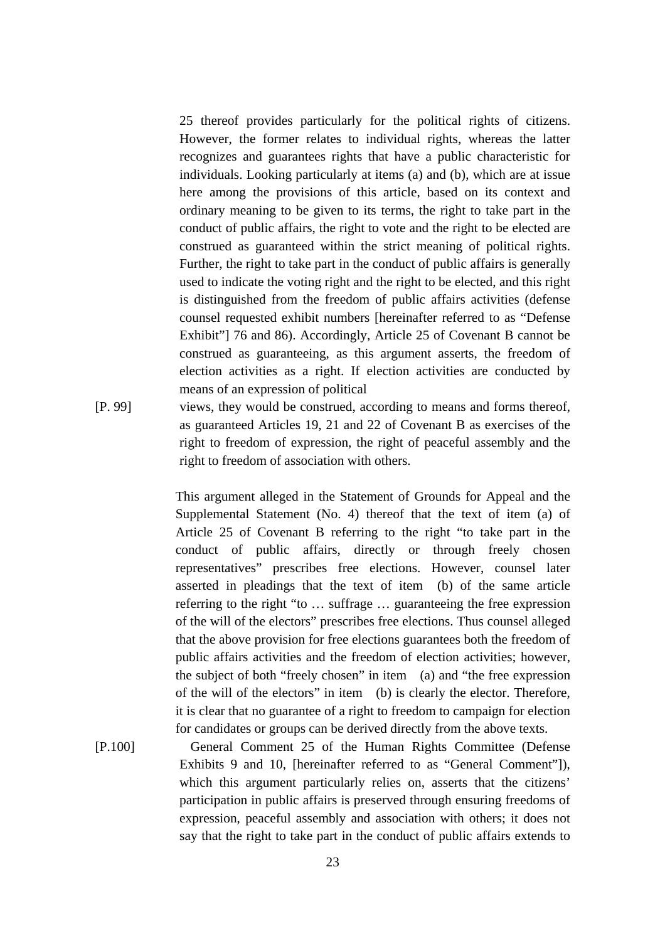25 thereof provides particularly for the political rights of citizens. However, the former relates to individual rights, whereas the latter recognizes and guarantees rights that have a public characteristic for individuals. Looking particularly at items (a) and (b), which are at issue here among the provisions of this article, based on its context and ordinary meaning to be given to its terms, the right to take part in the conduct of public affairs, the right to vote and the right to be elected are construed as guaranteed within the strict meaning of political rights. Further, the right to take part in the conduct of public affairs is generally used to indicate the voting right and the right to be elected, and this right is distinguished from the freedom of public affairs activities (defense counsel requested exhibit numbers [hereinafter referred to as "Defense Exhibit"] 76 and 86). Accordingly, Article 25 of Covenant B cannot be construed as guaranteeing, as this argument asserts, the freedom of election activities as a right. If election activities are conducted by means of an expression of political

[P. 99] views, they would be construed, according to means and forms thereof, as guaranteed Articles 19, 21 and 22 of Covenant B as exercises of the right to freedom of expression, the right of peaceful assembly and the right to freedom of association with others.

> This argument alleged in the Statement of Grounds for Appeal and the Supplemental Statement (No. 4) thereof that the text of item (a) of Article 25 of Covenant B referring to the right "to take part in the conduct of public affairs, directly or through freely chosen representatives" prescribes free elections. However, counsel later asserted in pleadings that the text of item (b) of the same article referring to the right "to … suffrage … guaranteeing the free expression of the will of the electors" prescribes free elections. Thus counsel alleged that the above provision for free elections guarantees both the freedom of public affairs activities and the freedom of election activities; however, the subject of both "freely chosen" in item (a) and "the free expression of the will of the electors" in item (b) is clearly the elector. Therefore, it is clear that no guarantee of a right to freedom to campaign for election for candidates or groups can be derived directly from the above texts.

[P.100] General Comment 25 of the Human Rights Committee (Defense Exhibits 9 and 10, [hereinafter referred to as "General Comment"]), which this argument particularly relies on, asserts that the citizens' participation in public affairs is preserved through ensuring freedoms of expression, peaceful assembly and association with others; it does not say that the right to take part in the conduct of public affairs extends to

23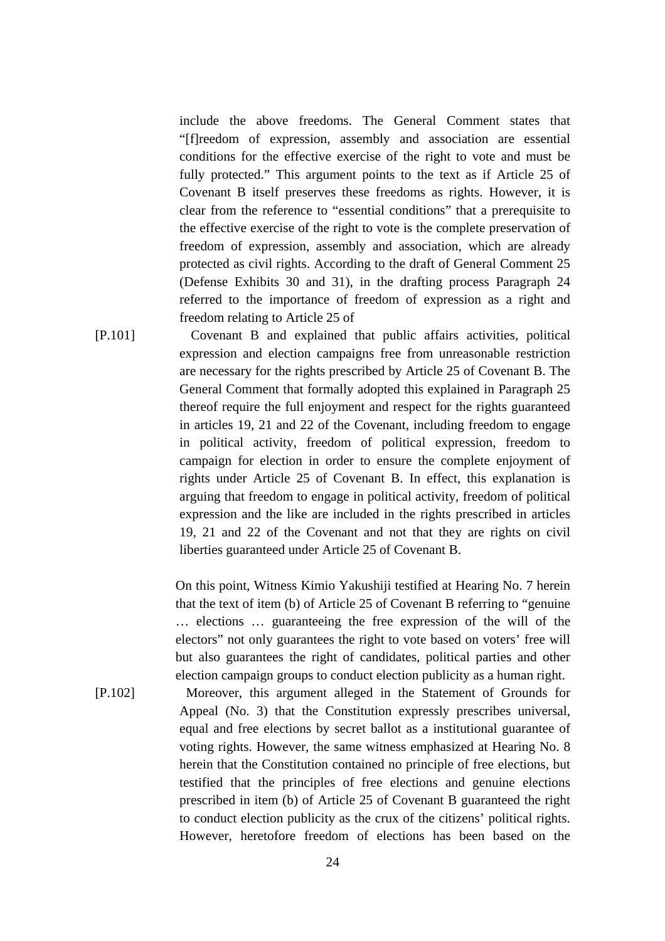include the above freedoms. The General Comment states that "[f]reedom of expression, assembly and association are essential conditions for the effective exercise of the right to vote and must be fully protected." This argument points to the text as if Article 25 of Covenant B itself preserves these freedoms as rights. However, it is clear from the reference to "essential conditions" that a prerequisite to the effective exercise of the right to vote is the complete preservation of freedom of expression, assembly and association, which are already protected as civil rights. According to the draft of General Comment 25 (Defense Exhibits 30 and 31), in the drafting process Paragraph 24 referred to the importance of freedom of expression as a right and freedom relating to Article 25 of

[P.101] Covenant B and explained that public affairs activities, political expression and election campaigns free from unreasonable restriction are necessary for the rights prescribed by Article 25 of Covenant B. The General Comment that formally adopted this explained in Paragraph 25 thereof require the full enjoyment and respect for the rights guaranteed in articles 19, 21 and 22 of the Covenant, including freedom to engage in political activity, freedom of political expression, freedom to campaign for election in order to ensure the complete enjoyment of rights under Article 25 of Covenant B. In effect, this explanation is arguing that freedom to engage in political activity, freedom of political expression and the like are included in the rights prescribed in articles 19, 21 and 22 of the Covenant and not that they are rights on civil liberties guaranteed under Article 25 of Covenant B.

> On this point, Witness Kimio Yakushiji testified at Hearing No. 7 herein that the text of item (b) of Article 25 of Covenant B referring to "genuine … elections … guaranteeing the free expression of the will of the electors" not only guarantees the right to vote based on voters' free will but also guarantees the right of candidates, political parties and other election campaign groups to conduct election publicity as a human right.

[P.102] Moreover, this argument alleged in the Statement of Grounds for Appeal (No. 3) that the Constitution expressly prescribes universal, equal and free elections by secret ballot as a institutional guarantee of voting rights. However, the same witness emphasized at Hearing No. 8 herein that the Constitution contained no principle of free elections, but testified that the principles of free elections and genuine elections prescribed in item (b) of Article 25 of Covenant B guaranteed the right to conduct election publicity as the crux of the citizens' political rights. However, heretofore freedom of elections has been based on the

24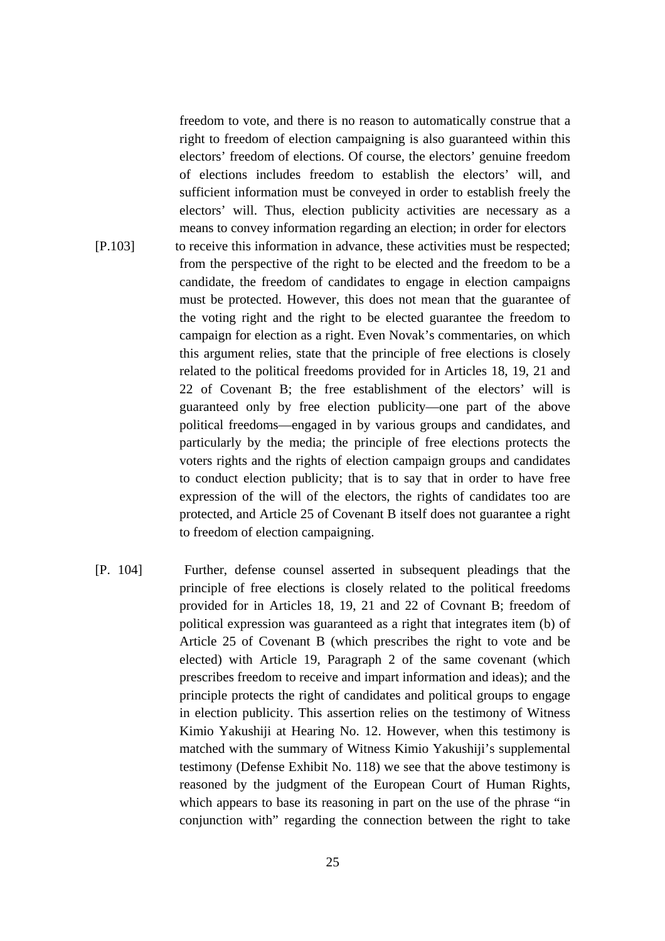freedom to vote, and there is no reason to automatically construe that a right to freedom of election campaigning is also guaranteed within this electors' freedom of elections. Of course, the electors' genuine freedom of elections includes freedom to establish the electors' will, and sufficient information must be conveyed in order to establish freely the electors' will. Thus, election publicity activities are necessary as a means to convey information regarding an election; in order for electors [P.103] to receive this information in advance, these activities must be respected; from the perspective of the right to be elected and the freedom to be a candidate, the freedom of candidates to engage in election campaigns must be protected. However, this does not mean that the guarantee of the voting right and the right to be elected guarantee the freedom to campaign for election as a right. Even Novak's commentaries, on which this argument relies, state that the principle of free elections is closely related to the political freedoms provided for in Articles 18, 19, 21 and 22 of Covenant B; the free establishment of the electors' will is guaranteed only by free election publicity—one part of the above political freedoms—engaged in by various groups and candidates, and particularly by the media; the principle of free elections protects the voters rights and the rights of election campaign groups and candidates to conduct election publicity; that is to say that in order to have free expression of the will of the electors, the rights of candidates too are protected, and Article 25 of Covenant B itself does not guarantee a right to freedom of election campaigning.

[P. 104] Further, defense counsel asserted in subsequent pleadings that the principle of free elections is closely related to the political freedoms provided for in Articles 18, 19, 21 and 22 of Covnant B; freedom of political expression was guaranteed as a right that integrates item (b) of Article 25 of Covenant B (which prescribes the right to vote and be elected) with Article 19, Paragraph 2 of the same covenant (which prescribes freedom to receive and impart information and ideas); and the principle protects the right of candidates and political groups to engage in election publicity. This assertion relies on the testimony of Witness Kimio Yakushiji at Hearing No. 12. However, when this testimony is matched with the summary of Witness Kimio Yakushiji's supplemental testimony (Defense Exhibit No. 118) we see that the above testimony is reasoned by the judgment of the European Court of Human Rights, which appears to base its reasoning in part on the use of the phrase "in" conjunction with" regarding the connection between the right to take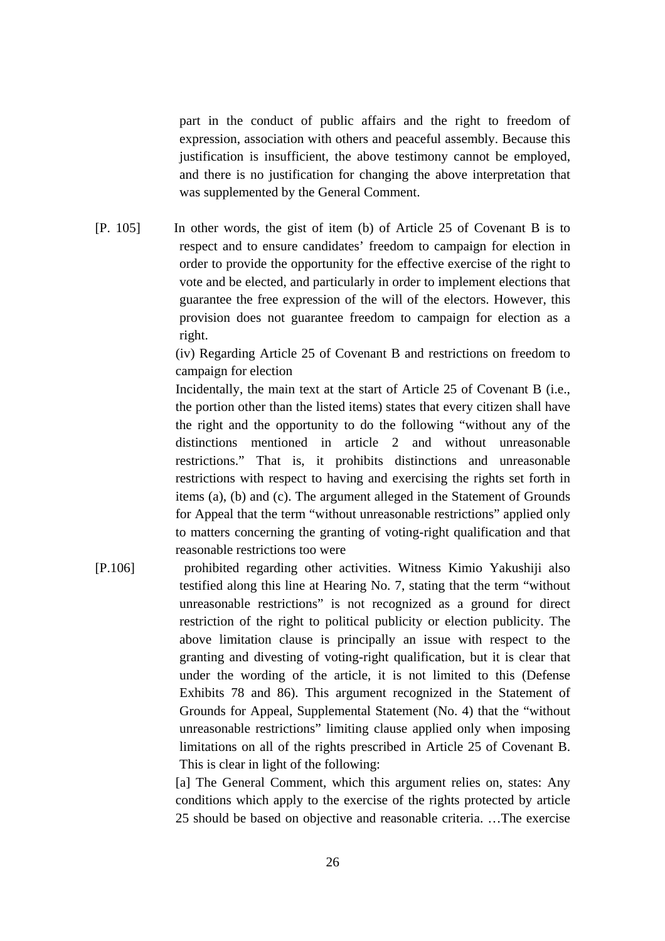part in the conduct of public affairs and the right to freedom of expression, association with others and peaceful assembly. Because this justification is insufficient, the above testimony cannot be employed, and there is no justification for changing the above interpretation that was supplemented by the General Comment.

[P. 105] In other words, the gist of item (b) of Article 25 of Covenant B is to respect and to ensure candidates' freedom to campaign for election in order to provide the opportunity for the effective exercise of the right to vote and be elected, and particularly in order to implement elections that guarantee the free expression of the will of the electors. However, this provision does not guarantee freedom to campaign for election as a right.

> (iv) Regarding Article 25 of Covenant B and restrictions on freedom to campaign for election

> Incidentally, the main text at the start of Article 25 of Covenant B (i.e., the portion other than the listed items) states that every citizen shall have the right and the opportunity to do the following "without any of the distinctions mentioned in article 2 and without unreasonable restrictions." That is, it prohibits distinctions and unreasonable restrictions with respect to having and exercising the rights set forth in items (a), (b) and (c). The argument alleged in the Statement of Grounds for Appeal that the term "without unreasonable restrictions" applied only to matters concerning the granting of voting-right qualification and that reasonable restrictions too were

[P.106] prohibited regarding other activities. Witness Kimio Yakushiji also testified along this line at Hearing No. 7, stating that the term "without unreasonable restrictions" is not recognized as a ground for direct restriction of the right to political publicity or election publicity. The above limitation clause is principally an issue with respect to the granting and divesting of voting-right qualification, but it is clear that under the wording of the article, it is not limited to this (Defense Exhibits 78 and 86). This argument recognized in the Statement of Grounds for Appeal, Supplemental Statement (No. 4) that the "without unreasonable restrictions" limiting clause applied only when imposing limitations on all of the rights prescribed in Article 25 of Covenant B. This is clear in light of the following:

> [a] The General Comment, which this argument relies on, states: Any conditions which apply to the exercise of the rights protected by article 25 should be based on objective and reasonable criteria. …The exercise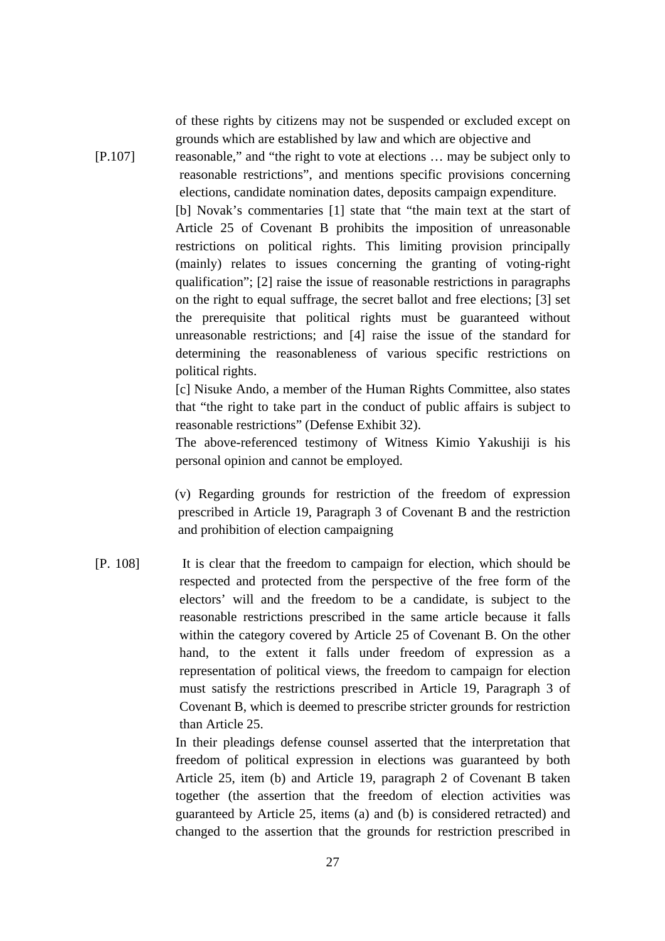of these rights by citizens may not be suspended or excluded except on grounds which are established by law and which are objective and

[P.107] reasonable," and "the right to vote at elections … may be subject only to reasonable restrictions", and mentions specific provisions concerning elections, candidate nomination dates, deposits campaign expenditure.

> [b] Novak's commentaries [1] state that "the main text at the start of Article 25 of Covenant B prohibits the imposition of unreasonable restrictions on political rights. This limiting provision principally (mainly) relates to issues concerning the granting of voting-right qualification"; [2] raise the issue of reasonable restrictions in paragraphs on the right to equal suffrage, the secret ballot and free elections; [3] set the prerequisite that political rights must be guaranteed without unreasonable restrictions; and [4] raise the issue of the standard for determining the reasonableness of various specific restrictions on political rights.

> [c] Nisuke Ando, a member of the Human Rights Committee, also states that "the right to take part in the conduct of public affairs is subject to reasonable restrictions" (Defense Exhibit 32).

> The above-referenced testimony of Witness Kimio Yakushiji is his personal opinion and cannot be employed.

> (v) Regarding grounds for restriction of the freedom of expression prescribed in Article 19, Paragraph 3 of Covenant B and the restriction and prohibition of election campaigning

[P. 108] It is clear that the freedom to campaign for election, which should be respected and protected from the perspective of the free form of the electors' will and the freedom to be a candidate, is subject to the reasonable restrictions prescribed in the same article because it falls within the category covered by Article 25 of Covenant B. On the other hand, to the extent it falls under freedom of expression as a representation of political views, the freedom to campaign for election must satisfy the restrictions prescribed in Article 19, Paragraph 3 of Covenant B, which is deemed to prescribe stricter grounds for restriction than Article 25.

> In their pleadings defense counsel asserted that the interpretation that freedom of political expression in elections was guaranteed by both Article 25, item (b) and Article 19, paragraph 2 of Covenant B taken together (the assertion that the freedom of election activities was guaranteed by Article 25, items (a) and (b) is considered retracted) and changed to the assertion that the grounds for restriction prescribed in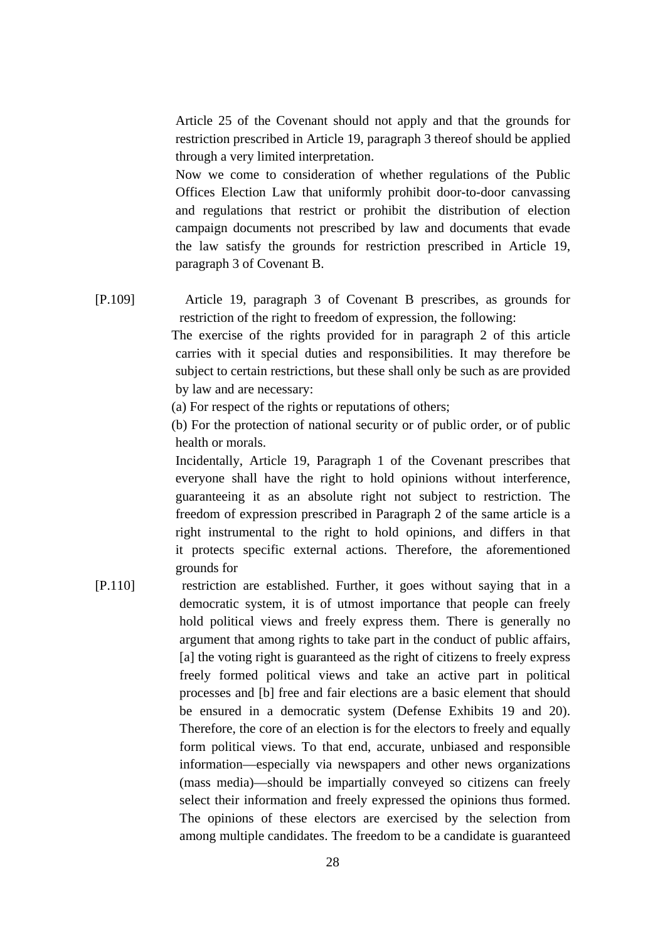Article 25 of the Covenant should not apply and that the grounds for restriction prescribed in Article 19, paragraph 3 thereof should be applied through a very limited interpretation.

Now we come to consideration of whether regulations of the Public Offices Election Law that uniformly prohibit door-to-door canvassing and regulations that restrict or prohibit the distribution of election campaign documents not prescribed by law and documents that evade the law satisfy the grounds for restriction prescribed in Article 19, paragraph 3 of Covenant B.

[P.109] Article 19, paragraph 3 of Covenant B prescribes, as grounds for restriction of the right to freedom of expression, the following:

> The exercise of the rights provided for in paragraph 2 of this article carries with it special duties and responsibilities. It may therefore be subject to certain restrictions, but these shall only be such as are provided by law and are necessary:

(a) For respect of the rights or reputations of others;

(b) For the protection of national security or of public order, or of public health or morals.

Incidentally, Article 19, Paragraph 1 of the Covenant prescribes that everyone shall have the right to hold opinions without interference, guaranteeing it as an absolute right not subject to restriction. The freedom of expression prescribed in Paragraph 2 of the same article is a right instrumental to the right to hold opinions, and differs in that it protects specific external actions. Therefore, the aforementioned grounds for

[P.110] restriction are established. Further, it goes without saying that in a democratic system, it is of utmost importance that people can freely hold political views and freely express them. There is generally no argument that among rights to take part in the conduct of public affairs, [a] the voting right is guaranteed as the right of citizens to freely express freely formed political views and take an active part in political processes and [b] free and fair elections are a basic element that should be ensured in a democratic system (Defense Exhibits 19 and 20). Therefore, the core of an election is for the electors to freely and equally form political views. To that end, accurate, unbiased and responsible information—especially via newspapers and other news organizations (mass media)—should be impartially conveyed so citizens can freely select their information and freely expressed the opinions thus formed. The opinions of these electors are exercised by the selection from among multiple candidates. The freedom to be a candidate is guaranteed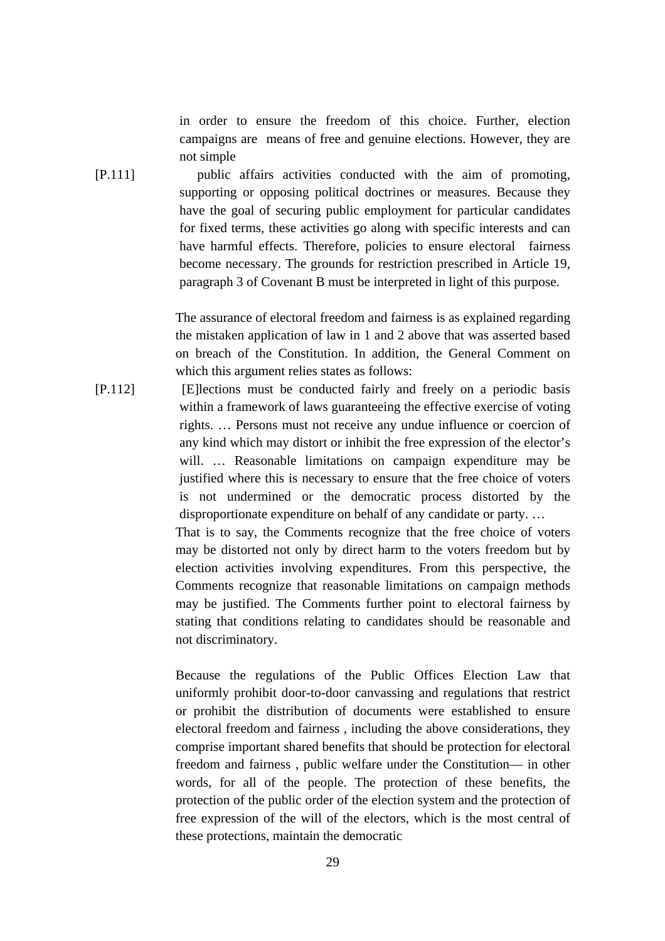in order to ensure the freedom of this choice. Further, election campaigns are means of free and genuine elections. However, they are not simple

[P.111] public affairs activities conducted with the aim of promoting, supporting or opposing political doctrines or measures. Because they have the goal of securing public employment for particular candidates for fixed terms, these activities go along with specific interests and can have harmful effects. Therefore, policies to ensure electoral fairness become necessary. The grounds for restriction prescribed in Article 19, paragraph 3 of Covenant B must be interpreted in light of this purpose.

> The assurance of electoral freedom and fairness is as explained regarding the mistaken application of law in 1 and 2 above that was asserted based on breach of the Constitution. In addition, the General Comment on which this argument relies states as follows:

[P.112] [E]lections must be conducted fairly and freely on a periodic basis within a framework of laws guaranteeing the effective exercise of voting rights. … Persons must not receive any undue influence or coercion of any kind which may distort or inhibit the free expression of the elector's will. ... Reasonable limitations on campaign expenditure may be justified where this is necessary to ensure that the free choice of voters is not undermined or the democratic process distorted by the disproportionate expenditure on behalf of any candidate or party. … That is to say, the Comments recognize that the free choice of voters may be distorted not only by direct harm to the voters freedom but by election activities involving expenditures. From this perspective, the

Comments recognize that reasonable limitations on campaign methods may be justified. The Comments further point to electoral fairness by stating that conditions relating to candidates should be reasonable and not discriminatory.

Because the regulations of the Public Offices Election Law that uniformly prohibit door-to-door canvassing and regulations that restrict or prohibit the distribution of documents were established to ensure electoral freedom and fairness , including the above considerations, they comprise important shared benefits that should be protection for electoral freedom and fairness , public welfare under the Constitution— in other words, for all of the people. The protection of these benefits, the protection of the public order of the election system and the protection of free expression of the will of the electors, which is the most central of these protections, maintain the democratic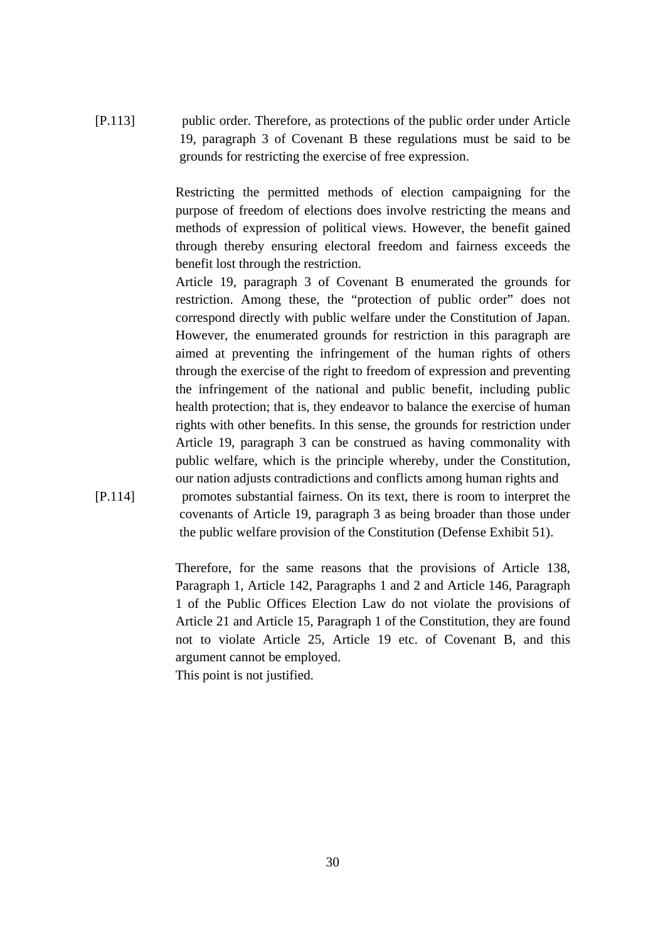[P.113] public order. Therefore, as protections of the public order under Article 19, paragraph 3 of Covenant B these regulations must be said to be grounds for restricting the exercise of free expression.

> Restricting the permitted methods of election campaigning for the purpose of freedom of elections does involve restricting the means and methods of expression of political views. However, the benefit gained through thereby ensuring electoral freedom and fairness exceeds the benefit lost through the restriction.

> Article 19, paragraph 3 of Covenant B enumerated the grounds for restriction. Among these, the "protection of public order" does not correspond directly with public welfare under the Constitution of Japan. However, the enumerated grounds for restriction in this paragraph are aimed at preventing the infringement of the human rights of others through the exercise of the right to freedom of expression and preventing the infringement of the national and public benefit, including public health protection; that is, they endeavor to balance the exercise of human rights with other benefits. In this sense, the grounds for restriction under Article 19, paragraph 3 can be construed as having commonality with public welfare, which is the principle whereby, under the Constitution, our nation adjusts contradictions and conflicts among human rights and

[P.114] promotes substantial fairness. On its text, there is room to interpret the covenants of Article 19, paragraph 3 as being broader than those under the public welfare provision of the Constitution (Defense Exhibit 51).

> Therefore, for the same reasons that the provisions of Article 138, Paragraph 1, Article 142, Paragraphs 1 and 2 and Article 146, Paragraph 1 of the Public Offices Election Law do not violate the provisions of Article 21 and Article 15, Paragraph 1 of the Constitution, they are found not to violate Article 25, Article 19 etc. of Covenant B, and this argument cannot be employed.

This point is not justified.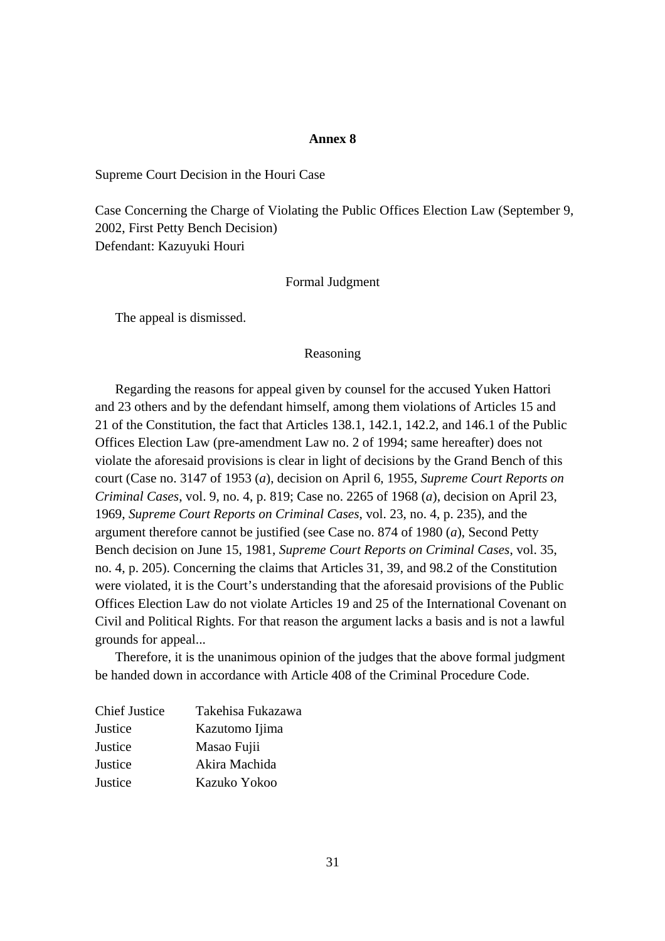#### **Annex 8**

Supreme Court Decision in the Houri Case

Case Concerning the Charge of Violating the Public Offices Election Law (September 9, 2002, First Petty Bench Decision) Defendant: Kazuyuki Houri

#### Formal Judgment

The appeal is dismissed.

#### Reasoning

 Regarding the reasons for appeal given by counsel for the accused Yuken Hattori and 23 others and by the defendant himself, among them violations of Articles 15 and 21 of the Constitution, the fact that Articles 138.1, 142.1, 142.2, and 146.1 of the Public Offices Election Law (pre-amendment Law no. 2 of 1994; same hereafter) does not violate the aforesaid provisions is clear in light of decisions by the Grand Bench of this court (Case no. 3147 of 1953 (*a*), decision on April 6, 1955, *Supreme Court Reports on Criminal Cases*, vol. 9, no. 4, p. 819; Case no. 2265 of 1968 (*a*), decision on April 23, 1969, *Supreme Court Reports on Criminal Cases*, vol. 23, no. 4, p. 235), and the argument therefore cannot be justified (see Case no. 874 of 1980 (*a*), Second Petty Bench decision on June 15, 1981, *Supreme Court Reports on Criminal Cases*, vol. 35, no. 4, p. 205). Concerning the claims that Articles 31, 39, and 98.2 of the Constitution were violated, it is the Court's understanding that the aforesaid provisions of the Public Offices Election Law do not violate Articles 19 and 25 of the International Covenant on Civil and Political Rights. For that reason the argument lacks a basis and is not a lawful grounds for appeal...

 Therefore, it is the unanimous opinion of the judges that the above formal judgment be handed down in accordance with Article 408 of the Criminal Procedure Code.

| <b>Chief Justice</b> | Takehisa Fukazawa |
|----------------------|-------------------|
| Justice              | Kazutomo Ijima    |
| Justice              | Masao Fujii       |
| Justice              | Akira Machida     |
| Justice              | Kazuko Yokoo      |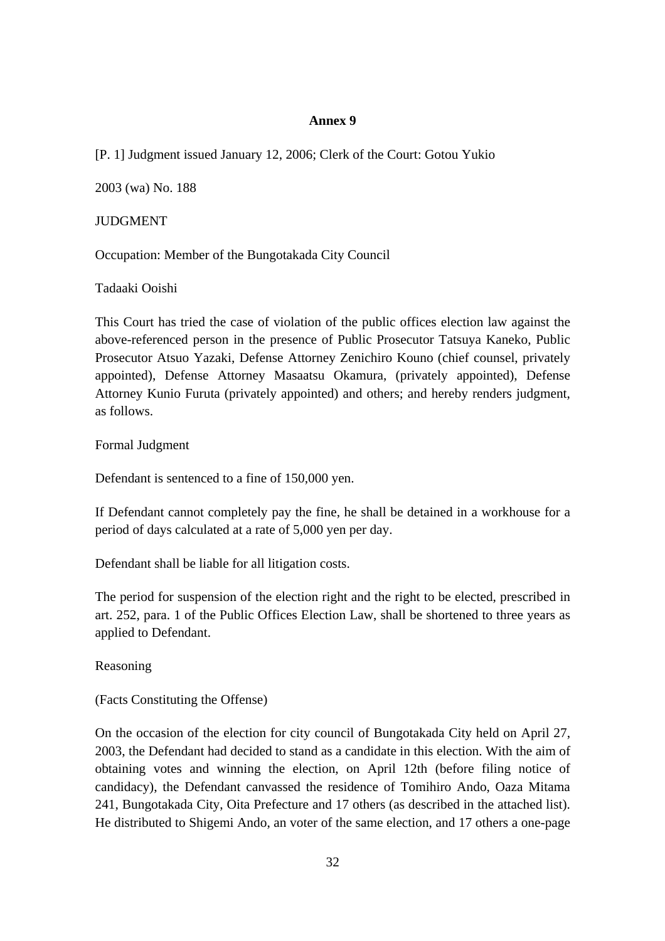## **Annex 9**

[P. 1] Judgment issued January 12, 2006; Clerk of the Court: Gotou Yukio

2003 (wa) No. 188

## JUDGMENT

Occupation: Member of the Bungotakada City Council

Tadaaki Ooishi

This Court has tried the case of violation of the public offices election law against the above-referenced person in the presence of Public Prosecutor Tatsuya Kaneko, Public Prosecutor Atsuo Yazaki, Defense Attorney Zenichiro Kouno (chief counsel, privately appointed), Defense Attorney Masaatsu Okamura, (privately appointed), Defense Attorney Kunio Furuta (privately appointed) and others; and hereby renders judgment, as follows.

Formal Judgment

Defendant is sentenced to a fine of 150,000 yen.

If Defendant cannot completely pay the fine, he shall be detained in a workhouse for a period of days calculated at a rate of 5,000 yen per day.

Defendant shall be liable for all litigation costs.

The period for suspension of the election right and the right to be elected, prescribed in art. 252, para. 1 of the Public Offices Election Law, shall be shortened to three years as applied to Defendant.

Reasoning

(Facts Constituting the Offense)

On the occasion of the election for city council of Bungotakada City held on April 27, 2003, the Defendant had decided to stand as a candidate in this election. With the aim of obtaining votes and winning the election, on April 12th (before filing notice of candidacy), the Defendant canvassed the residence of Tomihiro Ando, Oaza Mitama 241, Bungotakada City, Oita Prefecture and 17 others (as described in the attached list). He distributed to Shigemi Ando, an voter of the same election, and 17 others a one-page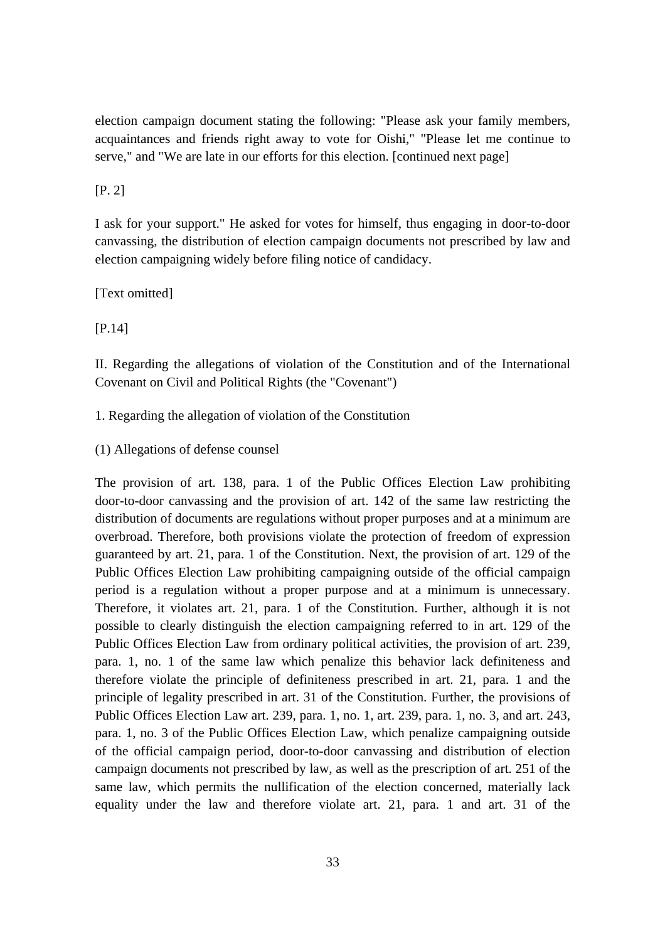election campaign document stating the following: "Please ask your family members, acquaintances and friends right away to vote for Oishi," "Please let me continue to serve," and "We are late in our efforts for this election. [continued next page]

## [P. 2]

I ask for your support." He asked for votes for himself, thus engaging in door-to-door canvassing, the distribution of election campaign documents not prescribed by law and election campaigning widely before filing notice of candidacy.

[Text omitted]

[P.14]

II. Regarding the allegations of violation of the Constitution and of the International Covenant on Civil and Political Rights (the "Covenant")

1. Regarding the allegation of violation of the Constitution

(1) Allegations of defense counsel

The provision of art. 138, para. 1 of the Public Offices Election Law prohibiting door-to-door canvassing and the provision of art. 142 of the same law restricting the distribution of documents are regulations without proper purposes and at a minimum are overbroad. Therefore, both provisions violate the protection of freedom of expression guaranteed by art. 21, para. 1 of the Constitution. Next, the provision of art. 129 of the Public Offices Election Law prohibiting campaigning outside of the official campaign period is a regulation without a proper purpose and at a minimum is unnecessary. Therefore, it violates art. 21, para. 1 of the Constitution. Further, although it is not possible to clearly distinguish the election campaigning referred to in art. 129 of the Public Offices Election Law from ordinary political activities, the provision of art. 239, para. 1, no. 1 of the same law which penalize this behavior lack definiteness and therefore violate the principle of definiteness prescribed in art. 21, para. 1 and the principle of legality prescribed in art. 31 of the Constitution. Further, the provisions of Public Offices Election Law art. 239, para. 1, no. 1, art. 239, para. 1, no. 3, and art. 243, para. 1, no. 3 of the Public Offices Election Law, which penalize campaigning outside of the official campaign period, door-to-door canvassing and distribution of election campaign documents not prescribed by law, as well as the prescription of art. 251 of the same law, which permits the nullification of the election concerned, materially lack equality under the law and therefore violate art. 21, para. 1 and art. 31 of the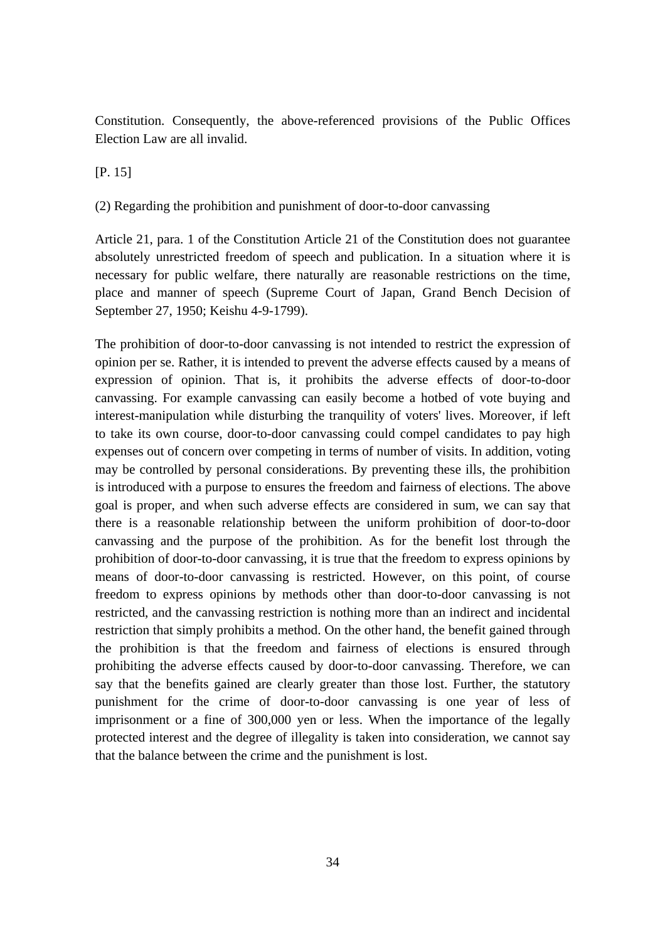Constitution. Consequently, the above-referenced provisions of the Public Offices Election Law are all invalid.

[P. 15]

(2) Regarding the prohibition and punishment of door-to-door canvassing

Article 21, para. 1 of the Constitution Article 21 of the Constitution does not guarantee absolutely unrestricted freedom of speech and publication. In a situation where it is necessary for public welfare, there naturally are reasonable restrictions on the time, place and manner of speech (Supreme Court of Japan, Grand Bench Decision of September 27, 1950; Keishu 4-9-1799).

The prohibition of door-to-door canvassing is not intended to restrict the expression of opinion per se. Rather, it is intended to prevent the adverse effects caused by a means of expression of opinion. That is, it prohibits the adverse effects of door-to-door canvassing. For example canvassing can easily become a hotbed of vote buying and interest-manipulation while disturbing the tranquility of voters' lives. Moreover, if left to take its own course, door-to-door canvassing could compel candidates to pay high expenses out of concern over competing in terms of number of visits. In addition, voting may be controlled by personal considerations. By preventing these ills, the prohibition is introduced with a purpose to ensures the freedom and fairness of elections. The above goal is proper, and when such adverse effects are considered in sum, we can say that there is a reasonable relationship between the uniform prohibition of door-to-door canvassing and the purpose of the prohibition. As for the benefit lost through the prohibition of door-to-door canvassing, it is true that the freedom to express opinions by means of door-to-door canvassing is restricted. However, on this point, of course freedom to express opinions by methods other than door-to-door canvassing is not restricted, and the canvassing restriction is nothing more than an indirect and incidental restriction that simply prohibits a method. On the other hand, the benefit gained through the prohibition is that the freedom and fairness of elections is ensured through prohibiting the adverse effects caused by door-to-door canvassing. Therefore, we can say that the benefits gained are clearly greater than those lost. Further, the statutory punishment for the crime of door-to-door canvassing is one year of less of imprisonment or a fine of 300,000 yen or less. When the importance of the legally protected interest and the degree of illegality is taken into consideration, we cannot say that the balance between the crime and the punishment is lost.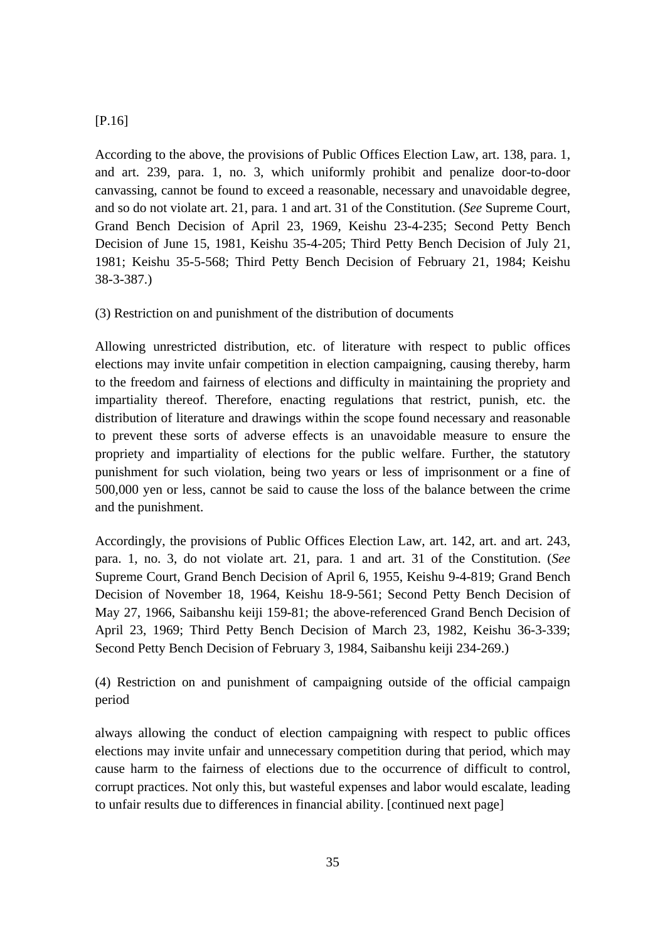## [P.16]

According to the above, the provisions of Public Offices Election Law, art. 138, para. 1, and art. 239, para. 1, no. 3, which uniformly prohibit and penalize door-to-door canvassing, cannot be found to exceed a reasonable, necessary and unavoidable degree, and so do not violate art. 21, para. 1 and art. 31 of the Constitution. (*See* Supreme Court, Grand Bench Decision of April 23, 1969, Keishu 23-4-235; Second Petty Bench Decision of June 15, 1981, Keishu 35-4-205; Third Petty Bench Decision of July 21, 1981; Keishu 35-5-568; Third Petty Bench Decision of February 21, 1984; Keishu 38-3-387.)

(3) Restriction on and punishment of the distribution of documents

Allowing unrestricted distribution, etc. of literature with respect to public offices elections may invite unfair competition in election campaigning, causing thereby, harm to the freedom and fairness of elections and difficulty in maintaining the propriety and impartiality thereof. Therefore, enacting regulations that restrict, punish, etc. the distribution of literature and drawings within the scope found necessary and reasonable to prevent these sorts of adverse effects is an unavoidable measure to ensure the propriety and impartiality of elections for the public welfare. Further, the statutory punishment for such violation, being two years or less of imprisonment or a fine of 500,000 yen or less, cannot be said to cause the loss of the balance between the crime and the punishment.

Accordingly, the provisions of Public Offices Election Law, art. 142, art. and art. 243, para. 1, no. 3, do not violate art. 21, para. 1 and art. 31 of the Constitution. (*See* Supreme Court, Grand Bench Decision of April 6, 1955, Keishu 9-4-819; Grand Bench Decision of November 18, 1964, Keishu 18-9-561; Second Petty Bench Decision of May 27, 1966, Saibanshu keiji 159-81; the above-referenced Grand Bench Decision of April 23, 1969; Third Petty Bench Decision of March 23, 1982, Keishu 36-3-339; Second Petty Bench Decision of February 3, 1984, Saibanshu keiji 234-269.)

(4) Restriction on and punishment of campaigning outside of the official campaign period

always allowing the conduct of election campaigning with respect to public offices elections may invite unfair and unnecessary competition during that period, which may cause harm to the fairness of elections due to the occurrence of difficult to control, corrupt practices. Not only this, but wasteful expenses and labor would escalate, leading to unfair results due to differences in financial ability. [continued next page]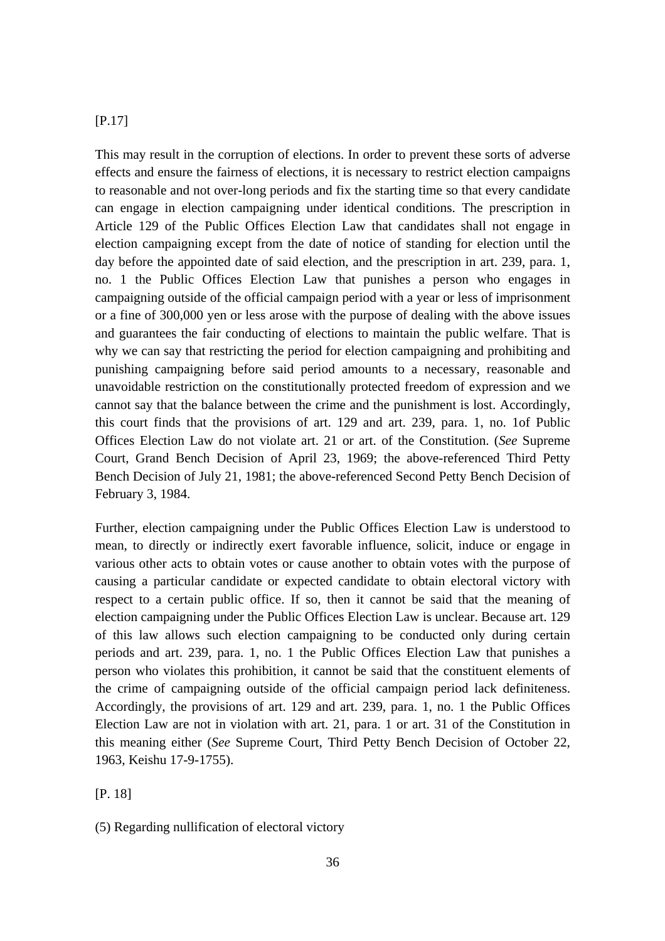## [P.17]

This may result in the corruption of elections. In order to prevent these sorts of adverse effects and ensure the fairness of elections, it is necessary to restrict election campaigns to reasonable and not over-long periods and fix the starting time so that every candidate can engage in election campaigning under identical conditions. The prescription in Article 129 of the Public Offices Election Law that candidates shall not engage in election campaigning except from the date of notice of standing for election until the day before the appointed date of said election, and the prescription in art. 239, para. 1, no. 1 the Public Offices Election Law that punishes a person who engages in campaigning outside of the official campaign period with a year or less of imprisonment or a fine of 300,000 yen or less arose with the purpose of dealing with the above issues and guarantees the fair conducting of elections to maintain the public welfare. That is why we can say that restricting the period for election campaigning and prohibiting and punishing campaigning before said period amounts to a necessary, reasonable and unavoidable restriction on the constitutionally protected freedom of expression and we cannot say that the balance between the crime and the punishment is lost. Accordingly, this court finds that the provisions of art. 129 and art. 239, para. 1, no. 1of Public Offices Election Law do not violate art. 21 or art. of the Constitution. (*See* Supreme Court, Grand Bench Decision of April 23, 1969; the above-referenced Third Petty Bench Decision of July 21, 1981; the above-referenced Second Petty Bench Decision of February 3, 1984.

Further, election campaigning under the Public Offices Election Law is understood to mean, to directly or indirectly exert favorable influence, solicit, induce or engage in various other acts to obtain votes or cause another to obtain votes with the purpose of causing a particular candidate or expected candidate to obtain electoral victory with respect to a certain public office. If so, then it cannot be said that the meaning of election campaigning under the Public Offices Election Law is unclear. Because art. 129 of this law allows such election campaigning to be conducted only during certain periods and art. 239, para. 1, no. 1 the Public Offices Election Law that punishes a person who violates this prohibition, it cannot be said that the constituent elements of the crime of campaigning outside of the official campaign period lack definiteness. Accordingly, the provisions of art. 129 and art. 239, para. 1, no. 1 the Public Offices Election Law are not in violation with art. 21, para. 1 or art. 31 of the Constitution in this meaning either (*See* Supreme Court, Third Petty Bench Decision of October 22, 1963, Keishu 17-9-1755).

[P. 18]

<sup>(5)</sup> Regarding nullification of electoral victory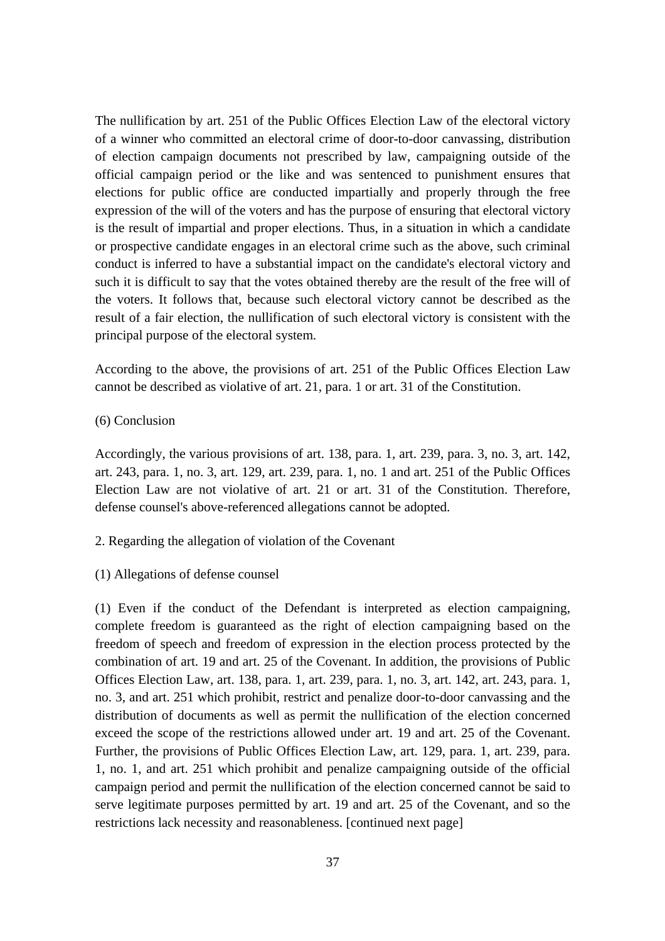The nullification by art. 251 of the Public Offices Election Law of the electoral victory of a winner who committed an electoral crime of door-to-door canvassing, distribution of election campaign documents not prescribed by law, campaigning outside of the official campaign period or the like and was sentenced to punishment ensures that elections for public office are conducted impartially and properly through the free expression of the will of the voters and has the purpose of ensuring that electoral victory is the result of impartial and proper elections. Thus, in a situation in which a candidate or prospective candidate engages in an electoral crime such as the above, such criminal conduct is inferred to have a substantial impact on the candidate's electoral victory and such it is difficult to say that the votes obtained thereby are the result of the free will of the voters. It follows that, because such electoral victory cannot be described as the result of a fair election, the nullification of such electoral victory is consistent with the principal purpose of the electoral system.

According to the above, the provisions of art. 251 of the Public Offices Election Law cannot be described as violative of art. 21, para. 1 or art. 31 of the Constitution.

## (6) Conclusion

Accordingly, the various provisions of art. 138, para. 1, art. 239, para. 3, no. 3, art. 142, art. 243, para. 1, no. 3, art. 129, art. 239, para. 1, no. 1 and art. 251 of the Public Offices Election Law are not violative of art. 21 or art. 31 of the Constitution. Therefore, defense counsel's above-referenced allegations cannot be adopted.

#### 2. Regarding the allegation of violation of the Covenant

(1) Allegations of defense counsel

(1) Even if the conduct of the Defendant is interpreted as election campaigning, complete freedom is guaranteed as the right of election campaigning based on the freedom of speech and freedom of expression in the election process protected by the combination of art. 19 and art. 25 of the Covenant. In addition, the provisions of Public Offices Election Law, art. 138, para. 1, art. 239, para. 1, no. 3, art. 142, art. 243, para. 1, no. 3, and art. 251 which prohibit, restrict and penalize door-to-door canvassing and the distribution of documents as well as permit the nullification of the election concerned exceed the scope of the restrictions allowed under art. 19 and art. 25 of the Covenant. Further, the provisions of Public Offices Election Law, art. 129, para. 1, art. 239, para. 1, no. 1, and art. 251 which prohibit and penalize campaigning outside of the official campaign period and permit the nullification of the election concerned cannot be said to serve legitimate purposes permitted by art. 19 and art. 25 of the Covenant, and so the restrictions lack necessity and reasonableness. [continued next page]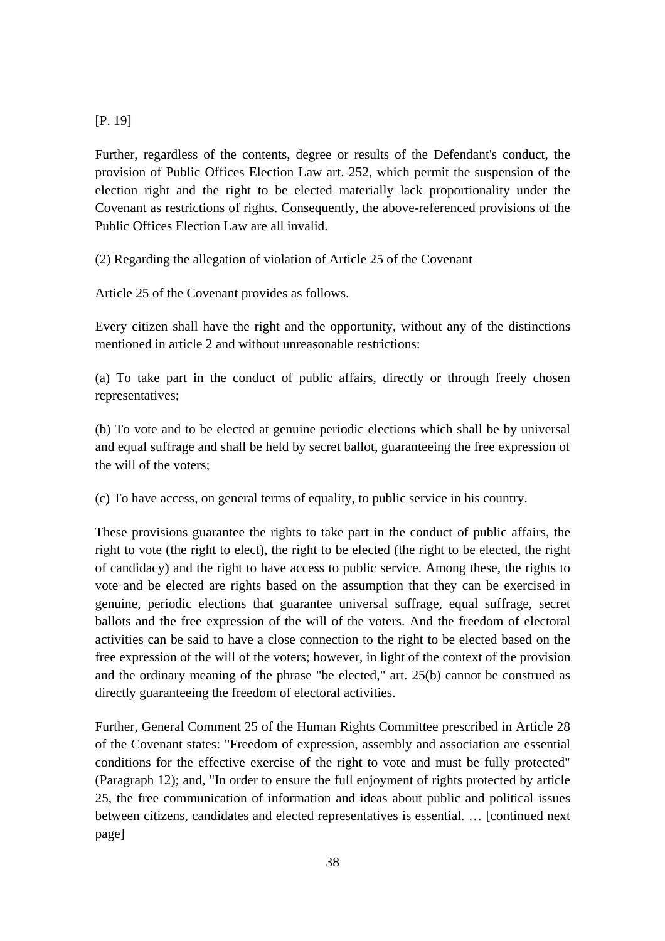## [P. 19]

Further, regardless of the contents, degree or results of the Defendant's conduct, the provision of Public Offices Election Law art. 252, which permit the suspension of the election right and the right to be elected materially lack proportionality under the Covenant as restrictions of rights. Consequently, the above-referenced provisions of the Public Offices Election Law are all invalid.

(2) Regarding the allegation of violation of Article 25 of the Covenant

Article 25 of the Covenant provides as follows.

Every citizen shall have the right and the opportunity, without any of the distinctions mentioned in article 2 and without unreasonable restrictions:

(a) To take part in the conduct of public affairs, directly or through freely chosen representatives;

(b) To vote and to be elected at genuine periodic elections which shall be by universal and equal suffrage and shall be held by secret ballot, guaranteeing the free expression of the will of the voters;

(c) To have access, on general terms of equality, to public service in his country.

These provisions guarantee the rights to take part in the conduct of public affairs, the right to vote (the right to elect), the right to be elected (the right to be elected, the right of candidacy) and the right to have access to public service. Among these, the rights to vote and be elected are rights based on the assumption that they can be exercised in genuine, periodic elections that guarantee universal suffrage, equal suffrage, secret ballots and the free expression of the will of the voters. And the freedom of electoral activities can be said to have a close connection to the right to be elected based on the free expression of the will of the voters; however, in light of the context of the provision and the ordinary meaning of the phrase "be elected," art. 25(b) cannot be construed as directly guaranteeing the freedom of electoral activities.

Further, General Comment 25 of the Human Rights Committee prescribed in Article 28 of the Covenant states: "Freedom of expression, assembly and association are essential conditions for the effective exercise of the right to vote and must be fully protected" (Paragraph 12); and, "In order to ensure the full enjoyment of rights protected by article 25, the free communication of information and ideas about public and political issues between citizens, candidates and elected representatives is essential. … [continued next page]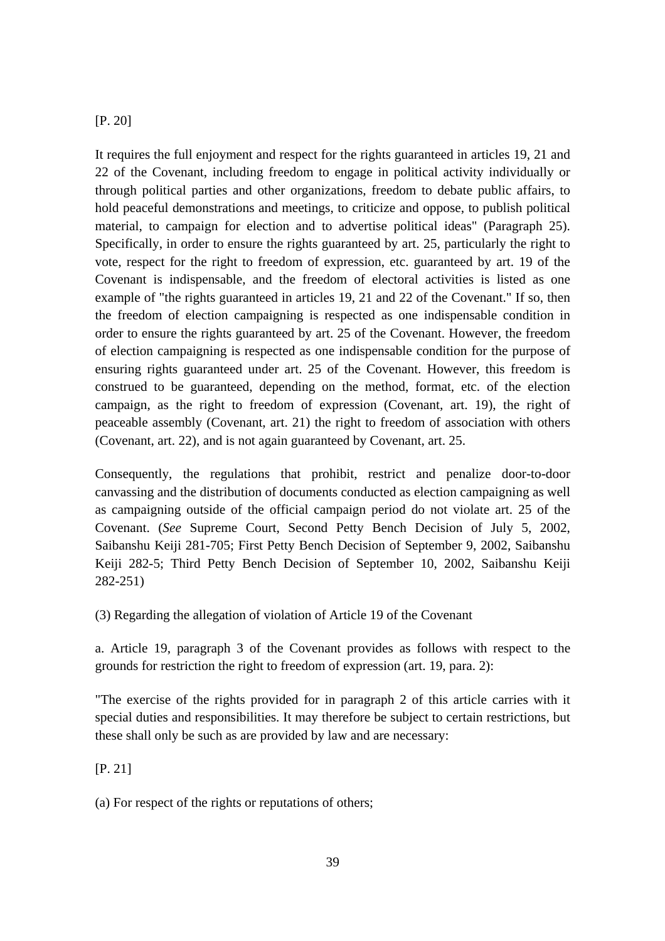## [P. 20]

It requires the full enjoyment and respect for the rights guaranteed in articles 19, 21 and 22 of the Covenant, including freedom to engage in political activity individually or through political parties and other organizations, freedom to debate public affairs, to hold peaceful demonstrations and meetings, to criticize and oppose, to publish political material, to campaign for election and to advertise political ideas" (Paragraph 25). Specifically, in order to ensure the rights guaranteed by art. 25, particularly the right to vote, respect for the right to freedom of expression, etc. guaranteed by art. 19 of the Covenant is indispensable, and the freedom of electoral activities is listed as one example of "the rights guaranteed in articles 19, 21 and 22 of the Covenant." If so, then the freedom of election campaigning is respected as one indispensable condition in order to ensure the rights guaranteed by art. 25 of the Covenant. However, the freedom of election campaigning is respected as one indispensable condition for the purpose of ensuring rights guaranteed under art. 25 of the Covenant. However, this freedom is construed to be guaranteed, depending on the method, format, etc. of the election campaign, as the right to freedom of expression (Covenant, art. 19), the right of peaceable assembly (Covenant, art. 21) the right to freedom of association with others (Covenant, art. 22), and is not again guaranteed by Covenant, art. 25.

Consequently, the regulations that prohibit, restrict and penalize door-to-door canvassing and the distribution of documents conducted as election campaigning as well as campaigning outside of the official campaign period do not violate art. 25 of the Covenant. (*See* Supreme Court, Second Petty Bench Decision of July 5, 2002, Saibanshu Keiji 281-705; First Petty Bench Decision of September 9, 2002, Saibanshu Keiji 282-5; Third Petty Bench Decision of September 10, 2002, Saibanshu Keiji 282-251)

(3) Regarding the allegation of violation of Article 19 of the Covenant

a. Article 19, paragraph 3 of the Covenant provides as follows with respect to the grounds for restriction the right to freedom of expression (art. 19, para. 2):

"The exercise of the rights provided for in paragraph 2 of this article carries with it special duties and responsibilities. It may therefore be subject to certain restrictions, but these shall only be such as are provided by law and are necessary:

[P. 21]

(a) For respect of the rights or reputations of others;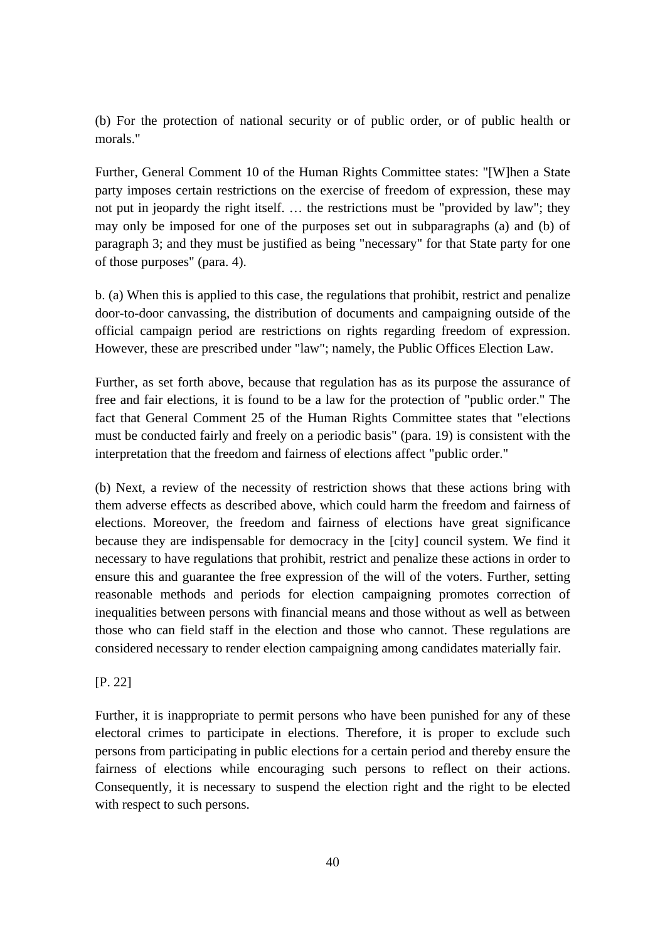(b) For the protection of national security or of public order, or of public health or morals."

Further, General Comment 10 of the Human Rights Committee states: "[W]hen a State party imposes certain restrictions on the exercise of freedom of expression, these may not put in jeopardy the right itself. … the restrictions must be "provided by law"; they may only be imposed for one of the purposes set out in subparagraphs (a) and (b) of paragraph 3; and they must be justified as being "necessary" for that State party for one of those purposes" (para. 4).

b. (a) When this is applied to this case, the regulations that prohibit, restrict and penalize door-to-door canvassing, the distribution of documents and campaigning outside of the official campaign period are restrictions on rights regarding freedom of expression. However, these are prescribed under "law"; namely, the Public Offices Election Law.

Further, as set forth above, because that regulation has as its purpose the assurance of free and fair elections, it is found to be a law for the protection of "public order." The fact that General Comment 25 of the Human Rights Committee states that "elections must be conducted fairly and freely on a periodic basis" (para. 19) is consistent with the interpretation that the freedom and fairness of elections affect "public order."

(b) Next, a review of the necessity of restriction shows that these actions bring with them adverse effects as described above, which could harm the freedom and fairness of elections. Moreover, the freedom and fairness of elections have great significance because they are indispensable for democracy in the [city] council system. We find it necessary to have regulations that prohibit, restrict and penalize these actions in order to ensure this and guarantee the free expression of the will of the voters. Further, setting reasonable methods and periods for election campaigning promotes correction of inequalities between persons with financial means and those without as well as between those who can field staff in the election and those who cannot. These regulations are considered necessary to render election campaigning among candidates materially fair.

[P. 22]

Further, it is inappropriate to permit persons who have been punished for any of these electoral crimes to participate in elections. Therefore, it is proper to exclude such persons from participating in public elections for a certain period and thereby ensure the fairness of elections while encouraging such persons to reflect on their actions. Consequently, it is necessary to suspend the election right and the right to be elected with respect to such persons.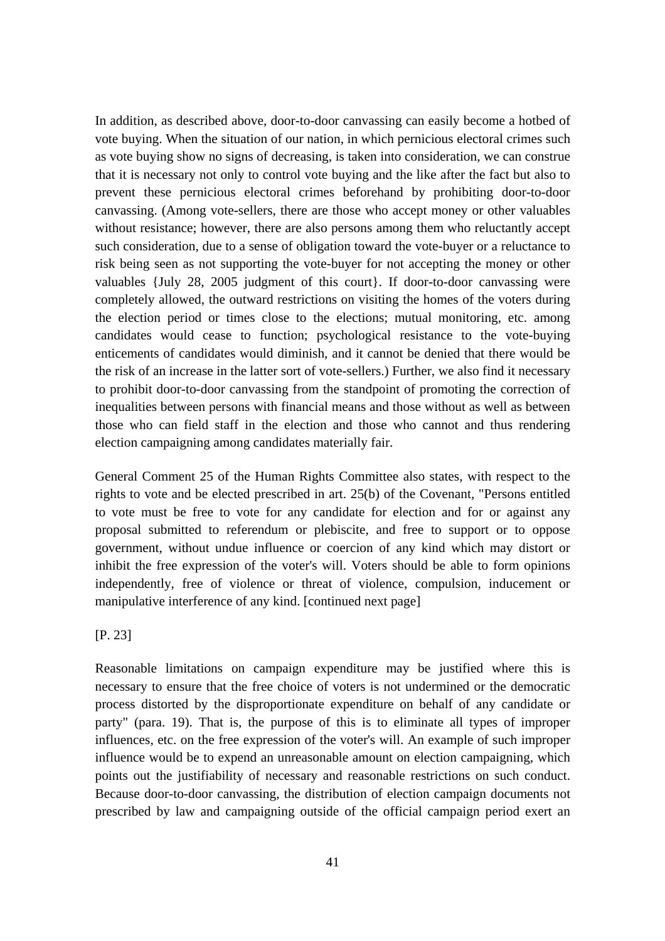In addition, as described above, door-to-door canvassing can easily become a hotbed of vote buying. When the situation of our nation, in which pernicious electoral crimes such as vote buying show no signs of decreasing, is taken into consideration, we can construe that it is necessary not only to control vote buying and the like after the fact but also to prevent these pernicious electoral crimes beforehand by prohibiting door-to-door canvassing. (Among vote-sellers, there are those who accept money or other valuables without resistance; however, there are also persons among them who reluctantly accept such consideration, due to a sense of obligation toward the vote-buyer or a reluctance to risk being seen as not supporting the vote-buyer for not accepting the money or other valuables {July 28, 2005 judgment of this court}. If door-to-door canvassing were completely allowed, the outward restrictions on visiting the homes of the voters during the election period or times close to the elections; mutual monitoring, etc. among candidates would cease to function; psychological resistance to the vote-buying enticements of candidates would diminish, and it cannot be denied that there would be the risk of an increase in the latter sort of vote-sellers.) Further, we also find it necessary to prohibit door-to-door canvassing from the standpoint of promoting the correction of inequalities between persons with financial means and those without as well as between those who can field staff in the election and those who cannot and thus rendering election campaigning among candidates materially fair.

General Comment 25 of the Human Rights Committee also states, with respect to the rights to vote and be elected prescribed in art. 25(b) of the Covenant, "Persons entitled to vote must be free to vote for any candidate for election and for or against any proposal submitted to referendum or plebiscite, and free to support or to oppose government, without undue influence or coercion of any kind which may distort or inhibit the free expression of the voter's will. Voters should be able to form opinions independently, free of violence or threat of violence, compulsion, inducement or manipulative interference of any kind. [continued next page]

[P. 23]

Reasonable limitations on campaign expenditure may be justified where this is necessary to ensure that the free choice of voters is not undermined or the democratic process distorted by the disproportionate expenditure on behalf of any candidate or party" (para. 19). That is, the purpose of this is to eliminate all types of improper influences, etc. on the free expression of the voter's will. An example of such improper influence would be to expend an unreasonable amount on election campaigning, which points out the justifiability of necessary and reasonable restrictions on such conduct. Because door-to-door canvassing, the distribution of election campaign documents not prescribed by law and campaigning outside of the official campaign period exert an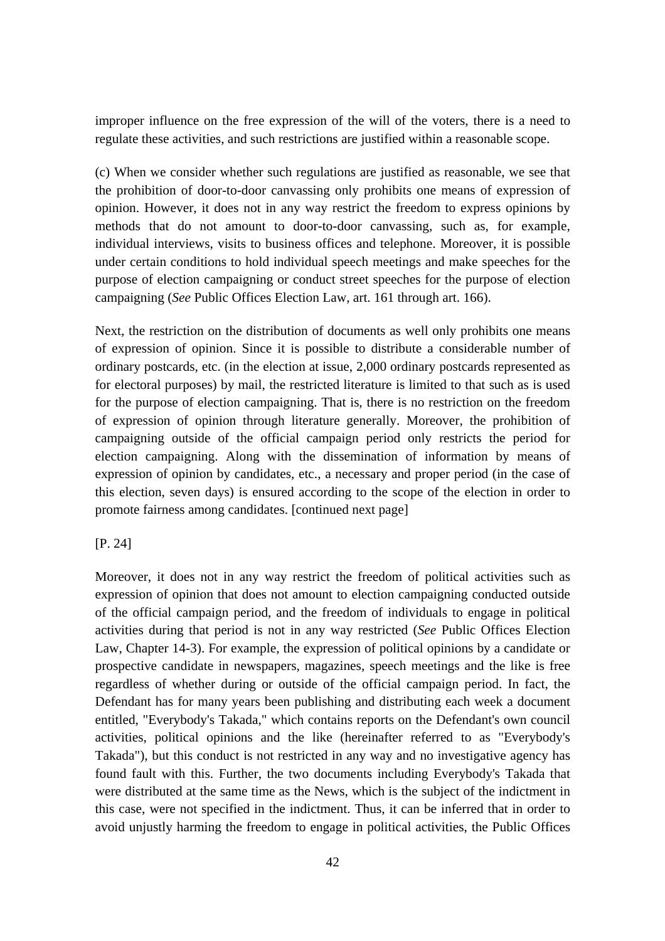improper influence on the free expression of the will of the voters, there is a need to regulate these activities, and such restrictions are justified within a reasonable scope.

(c) When we consider whether such regulations are justified as reasonable, we see that the prohibition of door-to-door canvassing only prohibits one means of expression of opinion. However, it does not in any way restrict the freedom to express opinions by methods that do not amount to door-to-door canvassing, such as, for example, individual interviews, visits to business offices and telephone. Moreover, it is possible under certain conditions to hold individual speech meetings and make speeches for the purpose of election campaigning or conduct street speeches for the purpose of election campaigning (*See* Public Offices Election Law, art. 161 through art. 166).

Next, the restriction on the distribution of documents as well only prohibits one means of expression of opinion. Since it is possible to distribute a considerable number of ordinary postcards, etc. (in the election at issue, 2,000 ordinary postcards represented as for electoral purposes) by mail, the restricted literature is limited to that such as is used for the purpose of election campaigning. That is, there is no restriction on the freedom of expression of opinion through literature generally. Moreover, the prohibition of campaigning outside of the official campaign period only restricts the period for election campaigning. Along with the dissemination of information by means of expression of opinion by candidates, etc., a necessary and proper period (in the case of this election, seven days) is ensured according to the scope of the election in order to promote fairness among candidates. [continued next page]

[P. 24]

Moreover, it does not in any way restrict the freedom of political activities such as expression of opinion that does not amount to election campaigning conducted outside of the official campaign period, and the freedom of individuals to engage in political activities during that period is not in any way restricted (*See* Public Offices Election Law, Chapter 14-3). For example, the expression of political opinions by a candidate or prospective candidate in newspapers, magazines, speech meetings and the like is free regardless of whether during or outside of the official campaign period. In fact, the Defendant has for many years been publishing and distributing each week a document entitled, "Everybody's Takada," which contains reports on the Defendant's own council activities, political opinions and the like (hereinafter referred to as "Everybody's Takada"), but this conduct is not restricted in any way and no investigative agency has found fault with this. Further, the two documents including Everybody's Takada that were distributed at the same time as the News, which is the subject of the indictment in this case, were not specified in the indictment. Thus, it can be inferred that in order to avoid unjustly harming the freedom to engage in political activities, the Public Offices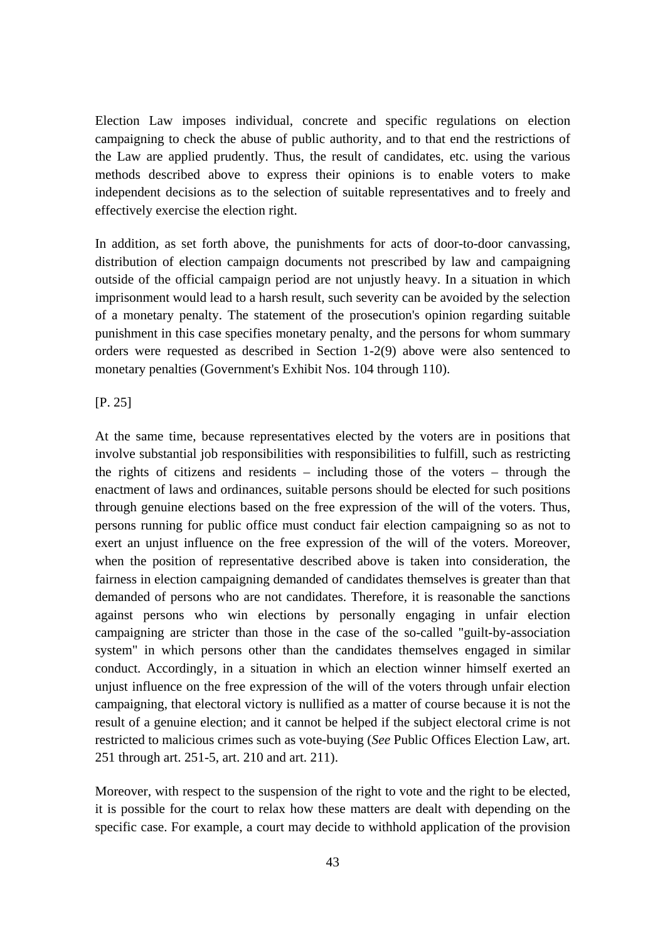Election Law imposes individual, concrete and specific regulations on election campaigning to check the abuse of public authority, and to that end the restrictions of the Law are applied prudently. Thus, the result of candidates, etc. using the various methods described above to express their opinions is to enable voters to make independent decisions as to the selection of suitable representatives and to freely and effectively exercise the election right.

In addition, as set forth above, the punishments for acts of door-to-door canvassing, distribution of election campaign documents not prescribed by law and campaigning outside of the official campaign period are not unjustly heavy. In a situation in which imprisonment would lead to a harsh result, such severity can be avoided by the selection of a monetary penalty. The statement of the prosecution's opinion regarding suitable punishment in this case specifies monetary penalty, and the persons for whom summary orders were requested as described in Section 1-2(9) above were also sentenced to monetary penalties (Government's Exhibit Nos. 104 through 110).

[P. 25]

At the same time, because representatives elected by the voters are in positions that involve substantial job responsibilities with responsibilities to fulfill, such as restricting the rights of citizens and residents – including those of the voters – through the enactment of laws and ordinances, suitable persons should be elected for such positions through genuine elections based on the free expression of the will of the voters. Thus, persons running for public office must conduct fair election campaigning so as not to exert an unjust influence on the free expression of the will of the voters. Moreover, when the position of representative described above is taken into consideration, the fairness in election campaigning demanded of candidates themselves is greater than that demanded of persons who are not candidates. Therefore, it is reasonable the sanctions against persons who win elections by personally engaging in unfair election campaigning are stricter than those in the case of the so-called "guilt-by-association system" in which persons other than the candidates themselves engaged in similar conduct. Accordingly, in a situation in which an election winner himself exerted an unjust influence on the free expression of the will of the voters through unfair election campaigning, that electoral victory is nullified as a matter of course because it is not the result of a genuine election; and it cannot be helped if the subject electoral crime is not restricted to malicious crimes such as vote-buying (*See* Public Offices Election Law, art. 251 through art. 251-5, art. 210 and art. 211).

Moreover, with respect to the suspension of the right to vote and the right to be elected, it is possible for the court to relax how these matters are dealt with depending on the specific case. For example, a court may decide to withhold application of the provision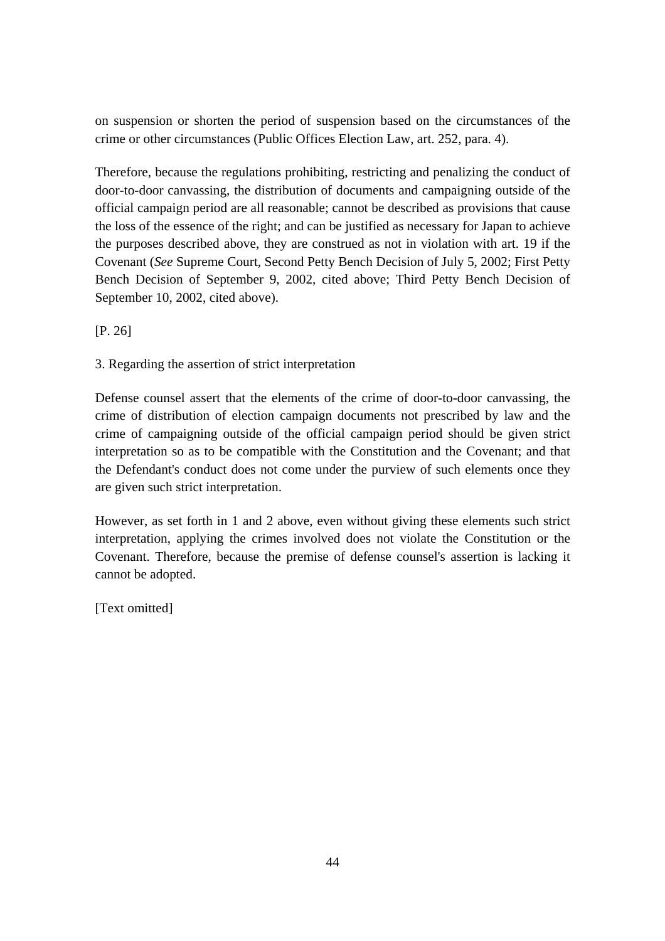on suspension or shorten the period of suspension based on the circumstances of the crime or other circumstances (Public Offices Election Law, art. 252, para. 4).

Therefore, because the regulations prohibiting, restricting and penalizing the conduct of door-to-door canvassing, the distribution of documents and campaigning outside of the official campaign period are all reasonable; cannot be described as provisions that cause the loss of the essence of the right; and can be justified as necessary for Japan to achieve the purposes described above, they are construed as not in violation with art. 19 if the Covenant (*See* Supreme Court, Second Petty Bench Decision of July 5, 2002; First Petty Bench Decision of September 9, 2002, cited above; Third Petty Bench Decision of September 10, 2002, cited above).

[P. 26]

## 3. Regarding the assertion of strict interpretation

Defense counsel assert that the elements of the crime of door-to-door canvassing, the crime of distribution of election campaign documents not prescribed by law and the crime of campaigning outside of the official campaign period should be given strict interpretation so as to be compatible with the Constitution and the Covenant; and that the Defendant's conduct does not come under the purview of such elements once they are given such strict interpretation.

However, as set forth in 1 and 2 above, even without giving these elements such strict interpretation, applying the crimes involved does not violate the Constitution or the Covenant. Therefore, because the premise of defense counsel's assertion is lacking it cannot be adopted.

[Text omitted]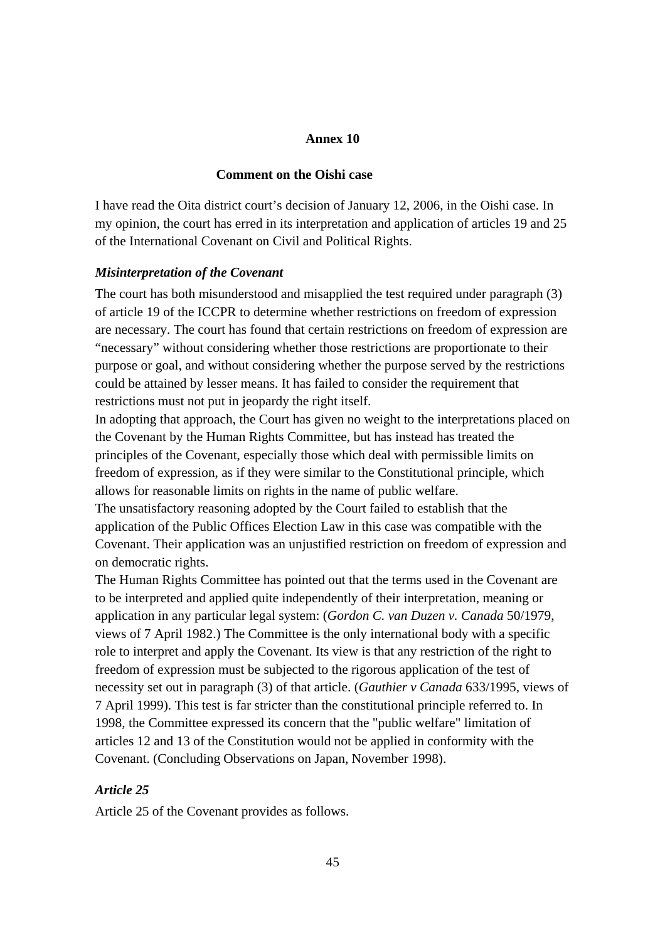### **Annex 10**

### **Comment on the Oishi case**

I have read the Oita district court's decision of January 12, 2006, in the Oishi case. In my opinion, the court has erred in its interpretation and application of articles 19 and 25 of the International Covenant on Civil and Political Rights.

#### *Misinterpretation of the Covenant*

The court has both misunderstood and misapplied the test required under paragraph (3) of article 19 of the ICCPR to determine whether restrictions on freedom of expression are necessary. The court has found that certain restrictions on freedom of expression are "necessary" without considering whether those restrictions are proportionate to their purpose or goal, and without considering whether the purpose served by the restrictions could be attained by lesser means. It has failed to consider the requirement that restrictions must not put in jeopardy the right itself.

In adopting that approach, the Court has given no weight to the interpretations placed on the Covenant by the Human Rights Committee, but has instead has treated the principles of the Covenant, especially those which deal with permissible limits on freedom of expression, as if they were similar to the Constitutional principle, which allows for reasonable limits on rights in the name of public welfare.

The unsatisfactory reasoning adopted by the Court failed to establish that the application of the Public Offices Election Law in this case was compatible with the Covenant. Their application was an unjustified restriction on freedom of expression and on democratic rights.

The Human Rights Committee has pointed out that the terms used in the Covenant are to be interpreted and applied quite independently of their interpretation, meaning or application in any particular legal system: (*Gordon C. van Duzen v. Canada* 50/1979, views of 7 April 1982.) The Committee is the only international body with a specific role to interpret and apply the Covenant. Its view is that any restriction of the right to freedom of expression must be subjected to the rigorous application of the test of necessity set out in paragraph (3) of that article. (*Gauthier v Canada* 633/1995, views of 7 April 1999). This test is far stricter than the constitutional principle referred to. In 1998, the Committee expressed its concern that the "public welfare" limitation of articles 12 and 13 of the Constitution would not be applied in conformity with the Covenant. (Concluding Observations on Japan, November 1998).

## *Article 25*

Article 25 of the Covenant provides as follows.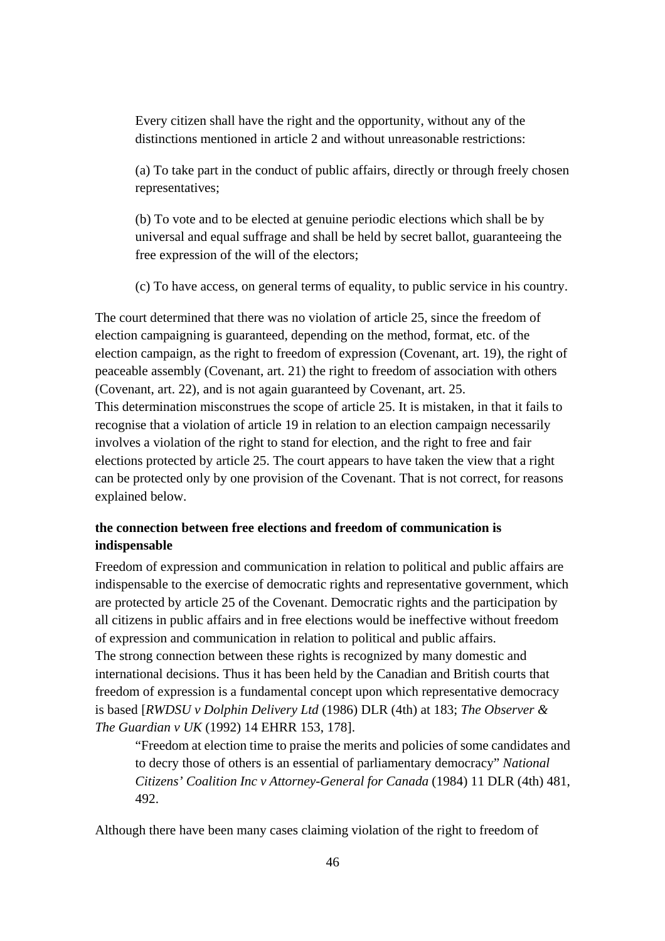Every citizen shall have the right and the opportunity, without any of the distinctions mentioned in article 2 and without unreasonable restrictions:

(a) To take part in the conduct of public affairs, directly or through freely chosen representatives;

(b) To vote and to be elected at genuine periodic elections which shall be by universal and equal suffrage and shall be held by secret ballot, guaranteeing the free expression of the will of the electors;

(c) To have access, on general terms of equality, to public service in his country.

The court determined that there was no violation of article 25, since the freedom of election campaigning is guaranteed, depending on the method, format, etc. of the election campaign, as the right to freedom of expression (Covenant, art. 19), the right of peaceable assembly (Covenant, art. 21) the right to freedom of association with others (Covenant, art. 22), and is not again guaranteed by Covenant, art. 25. This determination misconstrues the scope of article 25. It is mistaken, in that it fails to recognise that a violation of article 19 in relation to an election campaign necessarily involves a violation of the right to stand for election, and the right to free and fair elections protected by article 25. The court appears to have taken the view that a right can be protected only by one provision of the Covenant. That is not correct, for reasons explained below.

## **the connection between free elections and freedom of communication is indispensable**

Freedom of expression and communication in relation to political and public affairs are indispensable to the exercise of democratic rights and representative government, which are protected by article 25 of the Covenant. Democratic rights and the participation by all citizens in public affairs and in free elections would be ineffective without freedom of expression and communication in relation to political and public affairs. The strong connection between these rights is recognized by many domestic and international decisions. Thus it has been held by the Canadian and British courts that freedom of expression is a fundamental concept upon which representative democracy is based [*RWDSU v Dolphin Delivery Ltd* (1986) DLR (4th) at 183; *The Observer & The Guardian v UK* (1992) 14 EHRR 153, 178].

"Freedom at election time to praise the merits and policies of some candidates and to decry those of others is an essential of parliamentary democracy" *National Citizens' Coalition Inc v Attorney-General for Canada* (1984) 11 DLR (4th) 481, 492.

Although there have been many cases claiming violation of the right to freedom of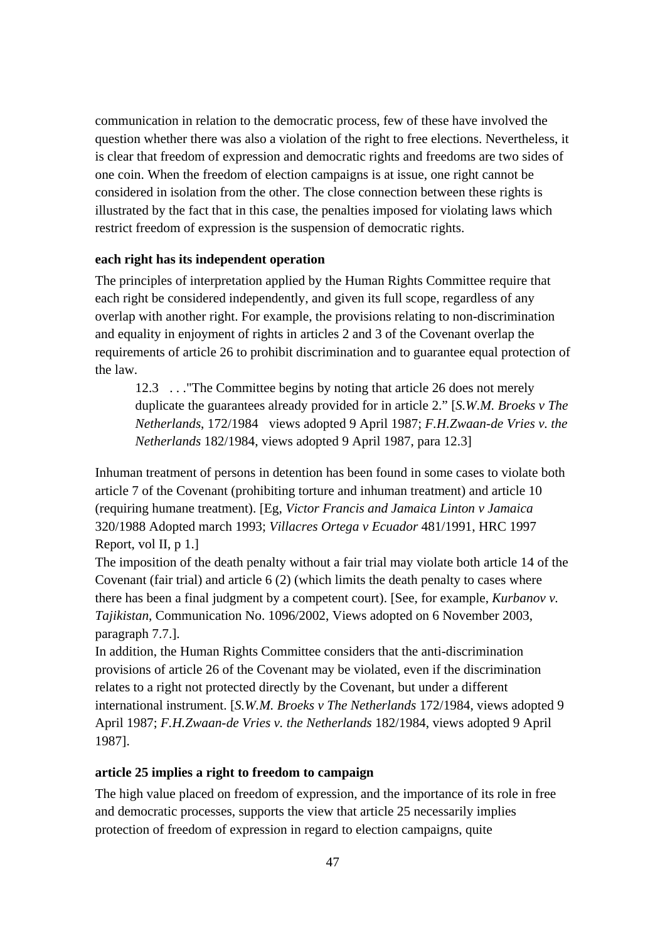communication in relation to the democratic process, few of these have involved the question whether there was also a violation of the right to free elections. Nevertheless, it is clear that freedom of expression and democratic rights and freedoms are two sides of one coin. When the freedom of election campaigns is at issue, one right cannot be considered in isolation from the other. The close connection between these rights is illustrated by the fact that in this case, the penalties imposed for violating laws which restrict freedom of expression is the suspension of democratic rights.

## **each right has its independent operation**

The principles of interpretation applied by the Human Rights Committee require that each right be considered independently, and given its full scope, regardless of any overlap with another right. For example, the provisions relating to non-discrimination and equality in enjoyment of rights in articles 2 and 3 of the Covenant overlap the requirements of article 26 to prohibit discrimination and to guarantee equal protection of the law.

12.3 . . ."The Committee begins by noting that article 26 does not merely duplicate the guarantees already provided for in article 2." [*S.W.M. Broeks v The Netherlands*, 172/1984 views adopted 9 April 1987; *F.H.Zwaan-de Vries v. the Netherlands* 182/1984, views adopted 9 April 1987, para 12.3]

Inhuman treatment of persons in detention has been found in some cases to violate both article 7 of the Covenant (prohibiting torture and inhuman treatment) and article 10 (requiring humane treatment). [Eg, *Victor Francis and Jamaica Linton v Jamaica* 320/1988 Adopted march 1993; *Villacres Ortega v Ecuador* 481/1991, HRC 1997 Report, vol II, p 1.]

The imposition of the death penalty without a fair trial may violate both article 14 of the Covenant (fair trial) and article 6 (2) (which limits the death penalty to cases where there has been a final judgment by a competent court). [See, for example, *Kurbanov v. Tajikistan*, Communication No. 1096/2002, Views adopted on 6 November 2003, paragraph 7.7.].

In addition, the Human Rights Committee considers that the anti-discrimination provisions of article 26 of the Covenant may be violated, even if the discrimination relates to a right not protected directly by the Covenant, but under a different international instrument. [*S.W.M. Broeks v The Netherlands* 172/1984, views adopted 9 April 1987; *F.H.Zwaan-de Vries v. the Netherlands* 182/1984, views adopted 9 April 1987].

## **article 25 implies a right to freedom to campaign**

The high value placed on freedom of expression, and the importance of its role in free and democratic processes, supports the view that article 25 necessarily implies protection of freedom of expression in regard to election campaigns, quite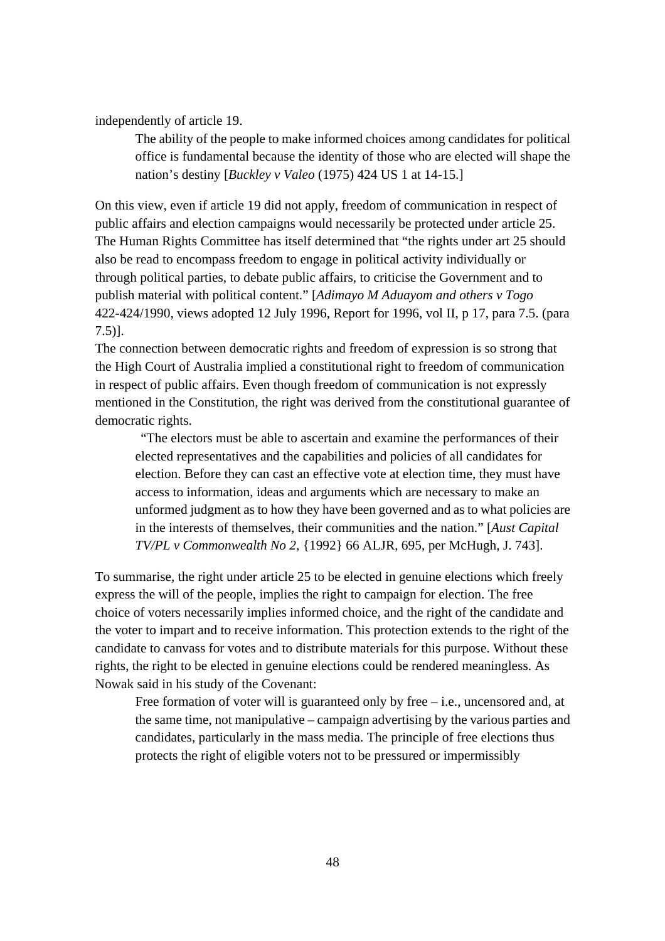independently of article 19.

The ability of the people to make informed choices among candidates for political office is fundamental because the identity of those who are elected will shape the nation's destiny [*Buckley v Valeo* (1975) 424 US 1 at 14-15.]

On this view, even if article 19 did not apply, freedom of communication in respect of public affairs and election campaigns would necessarily be protected under article 25. The Human Rights Committee has itself determined that "the rights under art 25 should also be read to encompass freedom to engage in political activity individually or through political parties, to debate public affairs, to criticise the Government and to publish material with political content." [*Adimayo M Aduayom and others v Togo* 422-424/1990, views adopted 12 July 1996, Report for 1996, vol II, p 17, para 7.5. (para 7.5)].

The connection between democratic rights and freedom of expression is so strong that the High Court of Australia implied a constitutional right to freedom of communication in respect of public affairs. Even though freedom of communication is not expressly mentioned in the Constitution, the right was derived from the constitutional guarantee of democratic rights.

 "The electors must be able to ascertain and examine the performances of their elected representatives and the capabilities and policies of all candidates for election. Before they can cast an effective vote at election time, they must have access to information, ideas and arguments which are necessary to make an unformed judgment as to how they have been governed and as to what policies are in the interests of themselves, their communities and the nation." [*Aust Capital TV/PL v Commonwealth No 2*, {1992} 66 ALJR, 695, per McHugh, J. 743].

To summarise, the right under article 25 to be elected in genuine elections which freely express the will of the people, implies the right to campaign for election. The free choice of voters necessarily implies informed choice, and the right of the candidate and the voter to impart and to receive information. This protection extends to the right of the candidate to canvass for votes and to distribute materials for this purpose. Without these rights, the right to be elected in genuine elections could be rendered meaningless. As Nowak said in his study of the Covenant:

Free formation of voter will is guaranteed only by free – i.e., uncensored and, at the same time, not manipulative – campaign advertising by the various parties and candidates, particularly in the mass media. The principle of free elections thus protects the right of eligible voters not to be pressured or impermissibly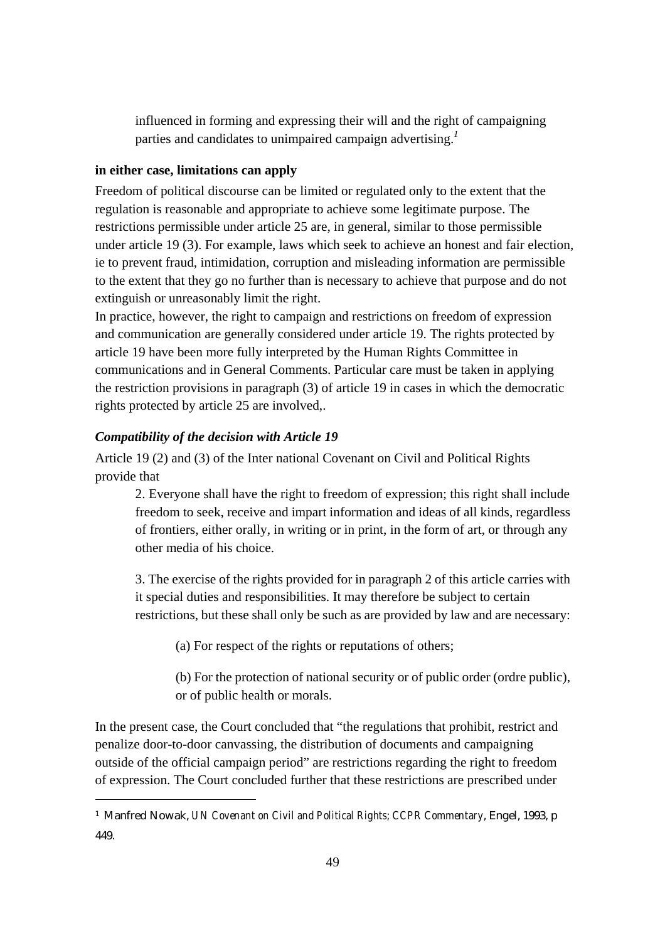influenced in forming and expressing their will and the right of campaigning parties and candidates to unimpaired campaign advertising.*<sup>1</sup>*

## **in either case, limitations can apply**

Freedom of political discourse can be limited or regulated only to the extent that the regulation is reasonable and appropriate to achieve some legitimate purpose. The restrictions permissible under article 25 are, in general, similar to those permissible under article 19 (3). For example, laws which seek to achieve an honest and fair election, ie to prevent fraud, intimidation, corruption and misleading information are permissible to the extent that they go no further than is necessary to achieve that purpose and do not extinguish or unreasonably limit the right.

In practice, however, the right to campaign and restrictions on freedom of expression and communication are generally considered under article 19. The rights protected by article 19 have been more fully interpreted by the Human Rights Committee in communications and in General Comments. Particular care must be taken in applying the restriction provisions in paragraph (3) of article 19 in cases in which the democratic rights protected by article 25 are involved,.

## *Compatibility of the decision with Article 19*

 $\overline{a}$ 

Article 19 (2) and (3) of the Inter national Covenant on Civil and Political Rights provide that

2. Everyone shall have the right to freedom of expression; this right shall include freedom to seek, receive and impart information and ideas of all kinds, regardless of frontiers, either orally, in writing or in print, in the form of art, or through any other media of his choice.

3. The exercise of the rights provided for in paragraph 2 of this article carries with it special duties and responsibilities. It may therefore be subject to certain restrictions, but these shall only be such as are provided by law and are necessary:

(a) For respect of the rights or reputations of others;

(b) For the protection of national security or of public order (ordre public), or of public health or morals.

In the present case, the Court concluded that "the regulations that prohibit, restrict and penalize door-to-door canvassing, the distribution of documents and campaigning outside of the official campaign period" are restrictions regarding the right to freedom of expression. The Court concluded further that these restrictions are prescribed under

<sup>1</sup> Manfred Nowak, *UN Covenant on Civil and Political Rights; CCPR Commentary*, Engel, 1993, p 449.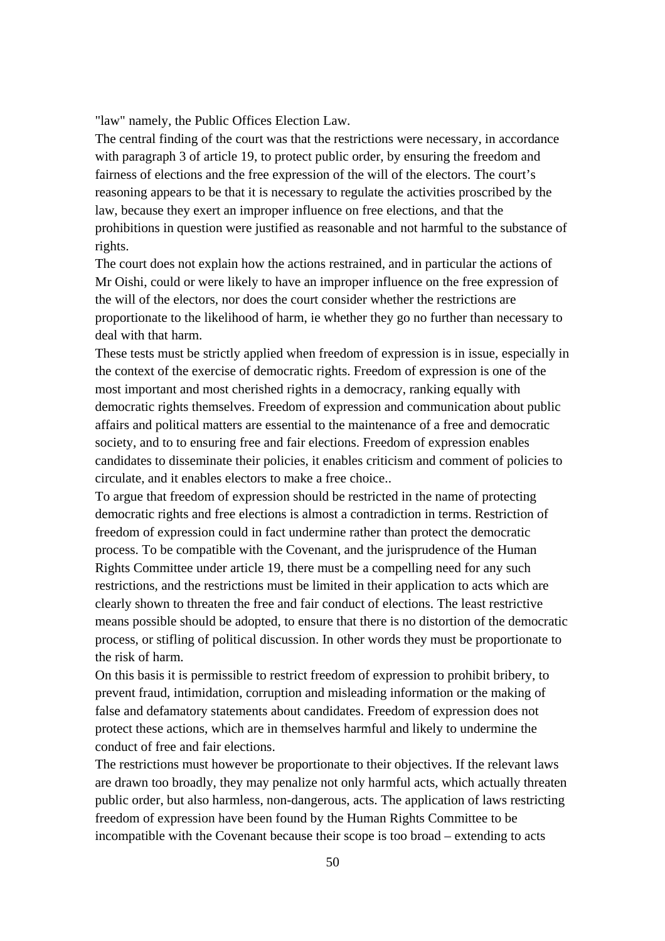"law" namely, the Public Offices Election Law.

The central finding of the court was that the restrictions were necessary, in accordance with paragraph 3 of article 19, to protect public order, by ensuring the freedom and fairness of elections and the free expression of the will of the electors. The court's reasoning appears to be that it is necessary to regulate the activities proscribed by the law, because they exert an improper influence on free elections, and that the prohibitions in question were justified as reasonable and not harmful to the substance of rights.

The court does not explain how the actions restrained, and in particular the actions of Mr Oishi, could or were likely to have an improper influence on the free expression of the will of the electors, nor does the court consider whether the restrictions are proportionate to the likelihood of harm, ie whether they go no further than necessary to deal with that harm.

These tests must be strictly applied when freedom of expression is in issue, especially in the context of the exercise of democratic rights. Freedom of expression is one of the most important and most cherished rights in a democracy, ranking equally with democratic rights themselves. Freedom of expression and communication about public affairs and political matters are essential to the maintenance of a free and democratic society, and to to ensuring free and fair elections. Freedom of expression enables candidates to disseminate their policies, it enables criticism and comment of policies to circulate, and it enables electors to make a free choice..

To argue that freedom of expression should be restricted in the name of protecting democratic rights and free elections is almost a contradiction in terms. Restriction of freedom of expression could in fact undermine rather than protect the democratic process. To be compatible with the Covenant, and the jurisprudence of the Human Rights Committee under article 19, there must be a compelling need for any such restrictions, and the restrictions must be limited in their application to acts which are clearly shown to threaten the free and fair conduct of elections. The least restrictive means possible should be adopted, to ensure that there is no distortion of the democratic process, or stifling of political discussion. In other words they must be proportionate to the risk of harm.

On this basis it is permissible to restrict freedom of expression to prohibit bribery, to prevent fraud, intimidation, corruption and misleading information or the making of false and defamatory statements about candidates. Freedom of expression does not protect these actions, which are in themselves harmful and likely to undermine the conduct of free and fair elections.

The restrictions must however be proportionate to their objectives. If the relevant laws are drawn too broadly, they may penalize not only harmful acts, which actually threaten public order, but also harmless, non-dangerous, acts. The application of laws restricting freedom of expression have been found by the Human Rights Committee to be incompatible with the Covenant because their scope is too broad – extending to acts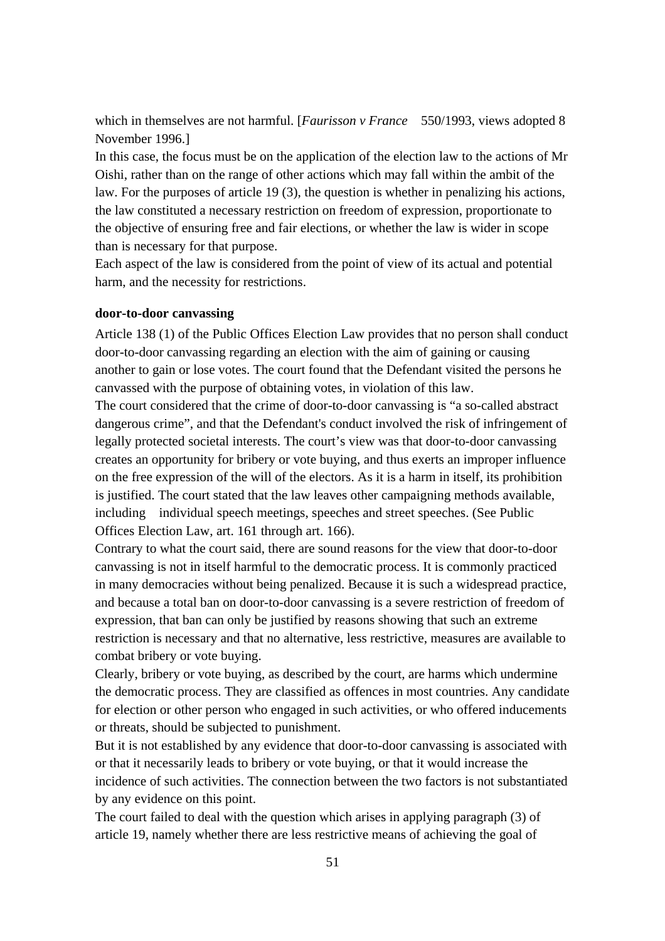which in themselves are not harmful. [*Faurisson v France* 550/1993, views adopted 8 November 1996.]

In this case, the focus must be on the application of the election law to the actions of Mr Oishi, rather than on the range of other actions which may fall within the ambit of the law. For the purposes of article 19 (3), the question is whether in penalizing his actions, the law constituted a necessary restriction on freedom of expression, proportionate to the objective of ensuring free and fair elections, or whether the law is wider in scope than is necessary for that purpose.

Each aspect of the law is considered from the point of view of its actual and potential harm, and the necessity for restrictions.

## **door-to-door canvassing**

Article 138 (1) of the Public Offices Election Law provides that no person shall conduct door-to-door canvassing regarding an election with the aim of gaining or causing another to gain or lose votes. The court found that the Defendant visited the persons he canvassed with the purpose of obtaining votes, in violation of this law.

The court considered that the crime of door-to-door canvassing is "a so-called abstract dangerous crime", and that the Defendant's conduct involved the risk of infringement of legally protected societal interests. The court's view was that door-to-door canvassing creates an opportunity for bribery or vote buying, and thus exerts an improper influence on the free expression of the will of the electors. As it is a harm in itself, its prohibition is justified. The court stated that the law leaves other campaigning methods available, including individual speech meetings, speeches and street speeches. (See Public Offices Election Law, art. 161 through art. 166).

Contrary to what the court said, there are sound reasons for the view that door-to-door canvassing is not in itself harmful to the democratic process. It is commonly practiced in many democracies without being penalized. Because it is such a widespread practice, and because a total ban on door-to-door canvassing is a severe restriction of freedom of expression, that ban can only be justified by reasons showing that such an extreme restriction is necessary and that no alternative, less restrictive, measures are available to combat bribery or vote buying.

Clearly, bribery or vote buying, as described by the court, are harms which undermine the democratic process. They are classified as offences in most countries. Any candidate for election or other person who engaged in such activities, or who offered inducements or threats, should be subjected to punishment.

But it is not established by any evidence that door-to-door canvassing is associated with or that it necessarily leads to bribery or vote buying, or that it would increase the incidence of such activities. The connection between the two factors is not substantiated by any evidence on this point.

The court failed to deal with the question which arises in applying paragraph (3) of article 19, namely whether there are less restrictive means of achieving the goal of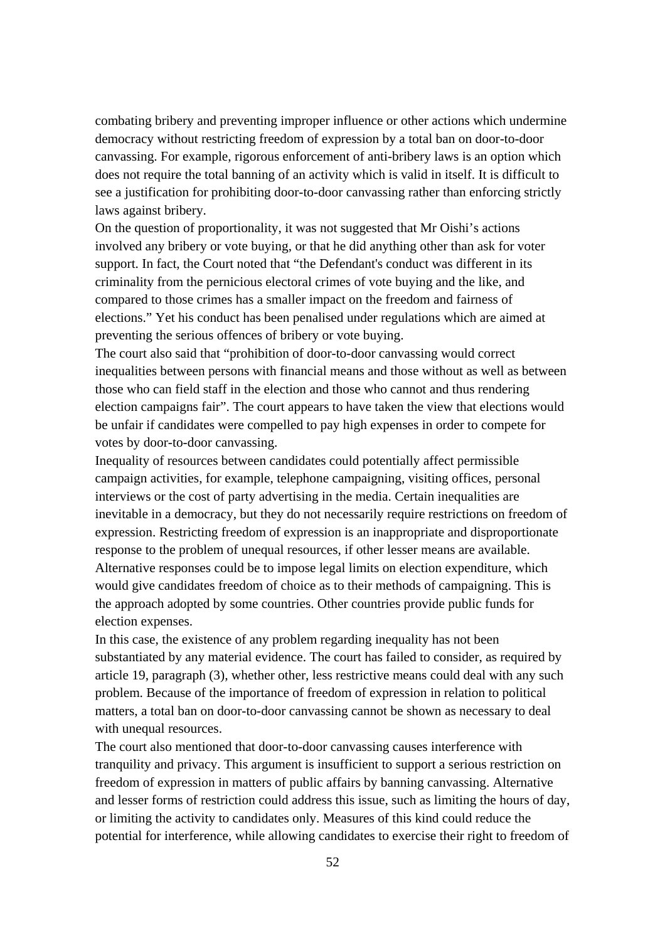combating bribery and preventing improper influence or other actions which undermine democracy without restricting freedom of expression by a total ban on door-to-door canvassing. For example, rigorous enforcement of anti-bribery laws is an option which does not require the total banning of an activity which is valid in itself. It is difficult to see a justification for prohibiting door-to-door canvassing rather than enforcing strictly laws against bribery.

On the question of proportionality, it was not suggested that Mr Oishi's actions involved any bribery or vote buying, or that he did anything other than ask for voter support. In fact, the Court noted that "the Defendant's conduct was different in its criminality from the pernicious electoral crimes of vote buying and the like, and compared to those crimes has a smaller impact on the freedom and fairness of elections." Yet his conduct has been penalised under regulations which are aimed at preventing the serious offences of bribery or vote buying.

The court also said that "prohibition of door-to-door canvassing would correct inequalities between persons with financial means and those without as well as between those who can field staff in the election and those who cannot and thus rendering election campaigns fair". The court appears to have taken the view that elections would be unfair if candidates were compelled to pay high expenses in order to compete for votes by door-to-door canvassing.

Inequality of resources between candidates could potentially affect permissible campaign activities, for example, telephone campaigning, visiting offices, personal interviews or the cost of party advertising in the media. Certain inequalities are inevitable in a democracy, but they do not necessarily require restrictions on freedom of expression. Restricting freedom of expression is an inappropriate and disproportionate response to the problem of unequal resources, if other lesser means are available. Alternative responses could be to impose legal limits on election expenditure, which would give candidates freedom of choice as to their methods of campaigning. This is the approach adopted by some countries. Other countries provide public funds for election expenses.

In this case, the existence of any problem regarding inequality has not been substantiated by any material evidence. The court has failed to consider, as required by article 19, paragraph (3), whether other, less restrictive means could deal with any such problem. Because of the importance of freedom of expression in relation to political matters, a total ban on door-to-door canvassing cannot be shown as necessary to deal with unequal resources.

The court also mentioned that door-to-door canvassing causes interference with tranquility and privacy. This argument is insufficient to support a serious restriction on freedom of expression in matters of public affairs by banning canvassing. Alternative and lesser forms of restriction could address this issue, such as limiting the hours of day, or limiting the activity to candidates only. Measures of this kind could reduce the potential for interference, while allowing candidates to exercise their right to freedom of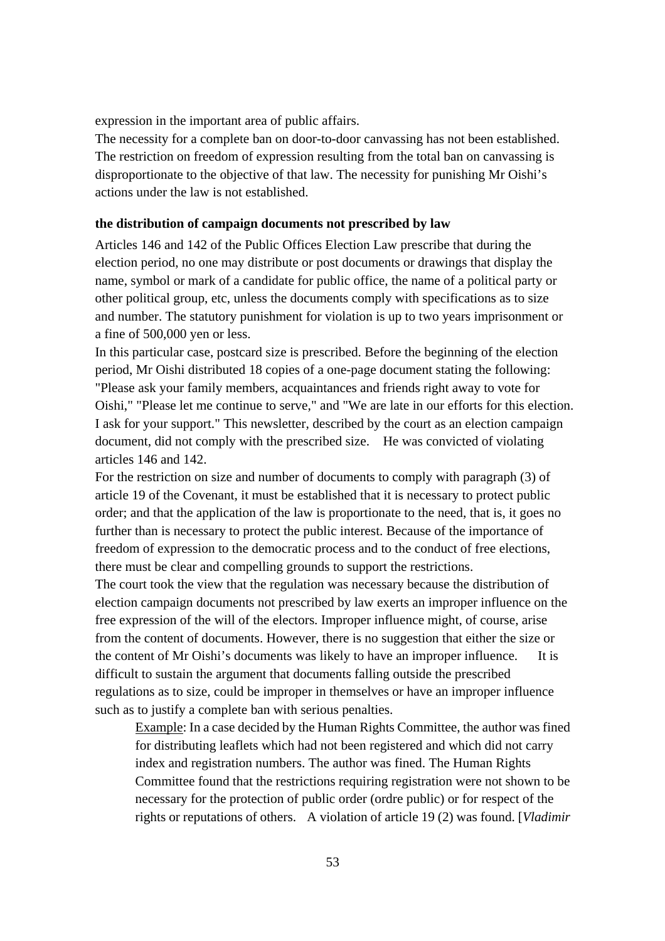expression in the important area of public affairs.

The necessity for a complete ban on door-to-door canvassing has not been established. The restriction on freedom of expression resulting from the total ban on canvassing is disproportionate to the objective of that law. The necessity for punishing Mr Oishi's actions under the law is not established.

### **the distribution of campaign documents not prescribed by law**

Articles 146 and 142 of the Public Offices Election Law prescribe that during the election period, no one may distribute or post documents or drawings that display the name, symbol or mark of a candidate for public office, the name of a political party or other political group, etc, unless the documents comply with specifications as to size and number. The statutory punishment for violation is up to two years imprisonment or a fine of 500,000 yen or less.

In this particular case, postcard size is prescribed. Before the beginning of the election period, Mr Oishi distributed 18 copies of a one-page document stating the following: "Please ask your family members, acquaintances and friends right away to vote for Oishi," "Please let me continue to serve," and "We are late in our efforts for this election. I ask for your support." This newsletter, described by the court as an election campaign document, did not comply with the prescribed size. He was convicted of violating articles 146 and 142.

For the restriction on size and number of documents to comply with paragraph (3) of article 19 of the Covenant, it must be established that it is necessary to protect public order; and that the application of the law is proportionate to the need, that is, it goes no further than is necessary to protect the public interest. Because of the importance of freedom of expression to the democratic process and to the conduct of free elections, there must be clear and compelling grounds to support the restrictions.

The court took the view that the regulation was necessary because the distribution of election campaign documents not prescribed by law exerts an improper influence on the free expression of the will of the electors. Improper influence might, of course, arise from the content of documents. However, there is no suggestion that either the size or the content of Mr Oishi's documents was likely to have an improper influence. It is difficult to sustain the argument that documents falling outside the prescribed regulations as to size, could be improper in themselves or have an improper influence such as to justify a complete ban with serious penalties.

Example: In a case decided by the Human Rights Committee, the author was fined for distributing leaflets which had not been registered and which did not carry index and registration numbers. The author was fined. The Human Rights Committee found that the restrictions requiring registration were not shown to be necessary for the protection of public order (ordre public) or for respect of the rights or reputations of others. A violation of article 19 (2) was found. [*Vladimir*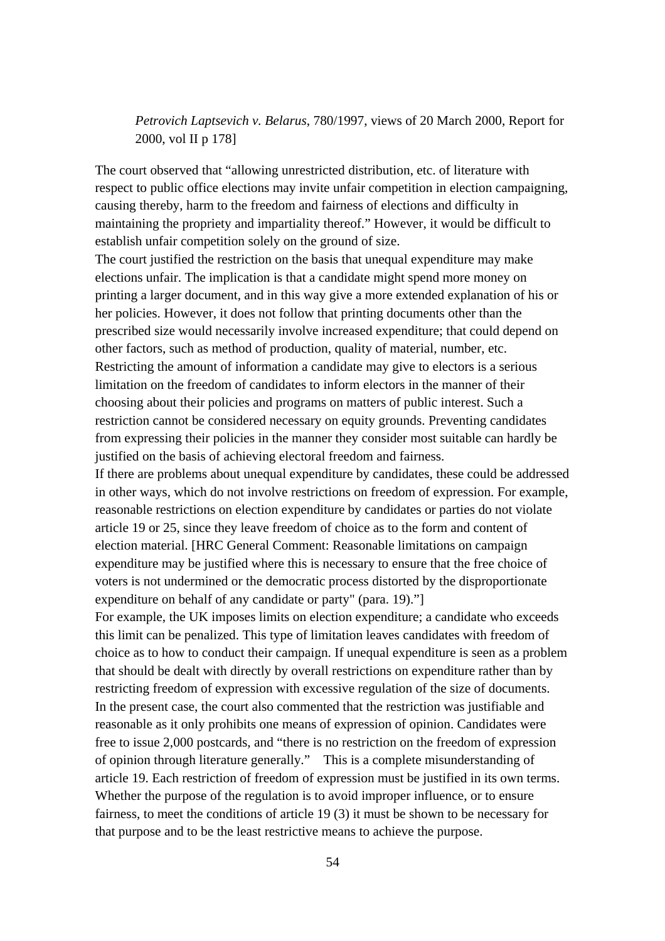*Petrovich Laptsevich v. Belarus*, 780/1997, views of 20 March 2000, Report for 2000, vol II p 178]

The court observed that "allowing unrestricted distribution, etc. of literature with respect to public office elections may invite unfair competition in election campaigning, causing thereby, harm to the freedom and fairness of elections and difficulty in maintaining the propriety and impartiality thereof." However, it would be difficult to establish unfair competition solely on the ground of size.

The court justified the restriction on the basis that unequal expenditure may make elections unfair. The implication is that a candidate might spend more money on printing a larger document, and in this way give a more extended explanation of his or her policies. However, it does not follow that printing documents other than the prescribed size would necessarily involve increased expenditure; that could depend on other factors, such as method of production, quality of material, number, etc. Restricting the amount of information a candidate may give to electors is a serious limitation on the freedom of candidates to inform electors in the manner of their choosing about their policies and programs on matters of public interest. Such a restriction cannot be considered necessary on equity grounds. Preventing candidates from expressing their policies in the manner they consider most suitable can hardly be justified on the basis of achieving electoral freedom and fairness.

If there are problems about unequal expenditure by candidates, these could be addressed in other ways, which do not involve restrictions on freedom of expression. For example, reasonable restrictions on election expenditure by candidates or parties do not violate article 19 or 25, since they leave freedom of choice as to the form and content of election material. [HRC General Comment: Reasonable limitations on campaign expenditure may be justified where this is necessary to ensure that the free choice of voters is not undermined or the democratic process distorted by the disproportionate expenditure on behalf of any candidate or party" (para. 19)."]

For example, the UK imposes limits on election expenditure; a candidate who exceeds this limit can be penalized. This type of limitation leaves candidates with freedom of choice as to how to conduct their campaign. If unequal expenditure is seen as a problem that should be dealt with directly by overall restrictions on expenditure rather than by restricting freedom of expression with excessive regulation of the size of documents. In the present case, the court also commented that the restriction was justifiable and reasonable as it only prohibits one means of expression of opinion. Candidates were free to issue 2,000 postcards, and "there is no restriction on the freedom of expression of opinion through literature generally." This is a complete misunderstanding of article 19. Each restriction of freedom of expression must be justified in its own terms. Whether the purpose of the regulation is to avoid improper influence, or to ensure fairness, to meet the conditions of article 19 (3) it must be shown to be necessary for that purpose and to be the least restrictive means to achieve the purpose.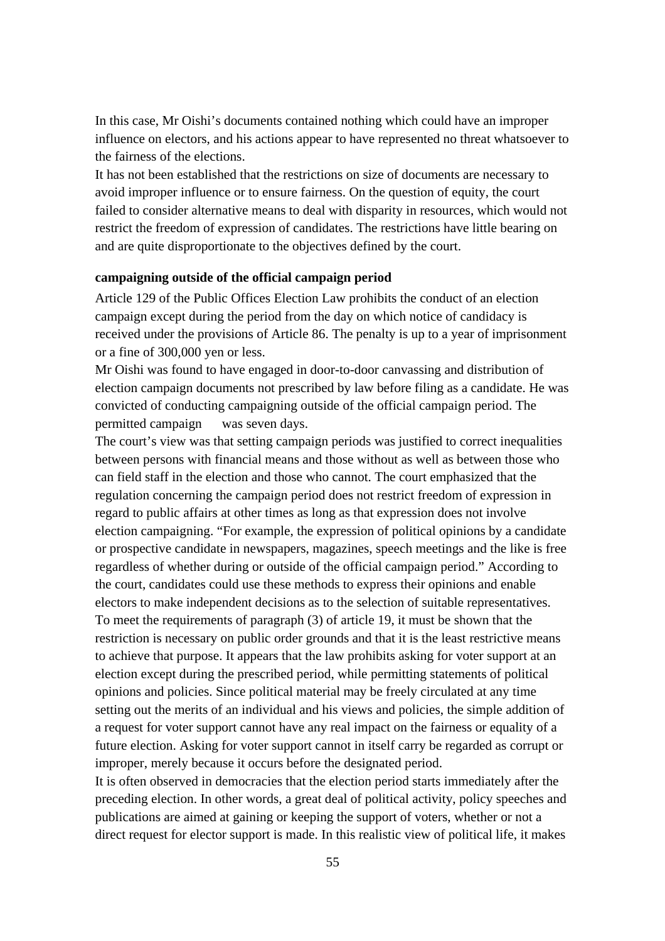In this case, Mr Oishi's documents contained nothing which could have an improper influence on electors, and his actions appear to have represented no threat whatsoever to the fairness of the elections.

It has not been established that the restrictions on size of documents are necessary to avoid improper influence or to ensure fairness. On the question of equity, the court failed to consider alternative means to deal with disparity in resources, which would not restrict the freedom of expression of candidates. The restrictions have little bearing on and are quite disproportionate to the objectives defined by the court.

## **campaigning outside of the official campaign period**

Article 129 of the Public Offices Election Law prohibits the conduct of an election campaign except during the period from the day on which notice of candidacy is received under the provisions of Article 86. The penalty is up to a year of imprisonment or a fine of 300,000 yen or less.

Mr Oishi was found to have engaged in door-to-door canvassing and distribution of election campaign documents not prescribed by law before filing as a candidate. He was convicted of conducting campaigning outside of the official campaign period. The permitted campaign was seven days.

The court's view was that setting campaign periods was justified to correct inequalities between persons with financial means and those without as well as between those who can field staff in the election and those who cannot. The court emphasized that the regulation concerning the campaign period does not restrict freedom of expression in regard to public affairs at other times as long as that expression does not involve election campaigning. "For example, the expression of political opinions by a candidate or prospective candidate in newspapers, magazines, speech meetings and the like is free regardless of whether during or outside of the official campaign period." According to the court, candidates could use these methods to express their opinions and enable electors to make independent decisions as to the selection of suitable representatives. To meet the requirements of paragraph (3) of article 19, it must be shown that the restriction is necessary on public order grounds and that it is the least restrictive means to achieve that purpose. It appears that the law prohibits asking for voter support at an election except during the prescribed period, while permitting statements of political opinions and policies. Since political material may be freely circulated at any time setting out the merits of an individual and his views and policies, the simple addition of a request for voter support cannot have any real impact on the fairness or equality of a future election. Asking for voter support cannot in itself carry be regarded as corrupt or improper, merely because it occurs before the designated period.

It is often observed in democracies that the election period starts immediately after the preceding election. In other words, a great deal of political activity, policy speeches and publications are aimed at gaining or keeping the support of voters, whether or not a direct request for elector support is made. In this realistic view of political life, it makes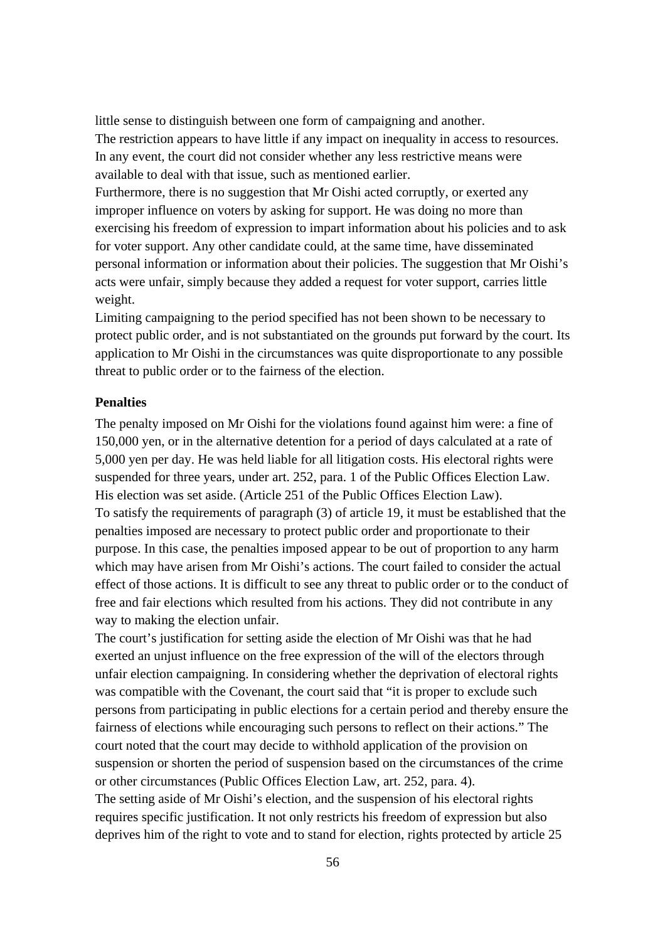little sense to distinguish between one form of campaigning and another. The restriction appears to have little if any impact on inequality in access to resources. In any event, the court did not consider whether any less restrictive means were available to deal with that issue, such as mentioned earlier.

Furthermore, there is no suggestion that Mr Oishi acted corruptly, or exerted any improper influence on voters by asking for support. He was doing no more than exercising his freedom of expression to impart information about his policies and to ask for voter support. Any other candidate could, at the same time, have disseminated personal information or information about their policies. The suggestion that Mr Oishi's acts were unfair, simply because they added a request for voter support, carries little weight.

Limiting campaigning to the period specified has not been shown to be necessary to protect public order, and is not substantiated on the grounds put forward by the court. Its application to Mr Oishi in the circumstances was quite disproportionate to any possible threat to public order or to the fairness of the election.

## **Penalties**

The penalty imposed on Mr Oishi for the violations found against him were: a fine of 150,000 yen, or in the alternative detention for a period of days calculated at a rate of 5,000 yen per day. He was held liable for all litigation costs. His electoral rights were suspended for three years, under art. 252, para. 1 of the Public Offices Election Law. His election was set aside. (Article 251 of the Public Offices Election Law). To satisfy the requirements of paragraph (3) of article 19, it must be established that the penalties imposed are necessary to protect public order and proportionate to their purpose. In this case, the penalties imposed appear to be out of proportion to any harm which may have arisen from Mr Oishi's actions. The court failed to consider the actual effect of those actions. It is difficult to see any threat to public order or to the conduct of free and fair elections which resulted from his actions. They did not contribute in any way to making the election unfair.

The court's justification for setting aside the election of Mr Oishi was that he had exerted an unjust influence on the free expression of the will of the electors through unfair election campaigning. In considering whether the deprivation of electoral rights was compatible with the Covenant, the court said that "it is proper to exclude such persons from participating in public elections for a certain period and thereby ensure the fairness of elections while encouraging such persons to reflect on their actions." The court noted that the court may decide to withhold application of the provision on suspension or shorten the period of suspension based on the circumstances of the crime or other circumstances (Public Offices Election Law, art. 252, para. 4). The setting aside of Mr Oishi's election, and the suspension of his electoral rights requires specific justification. It not only restricts his freedom of expression but also deprives him of the right to vote and to stand for election, rights protected by article 25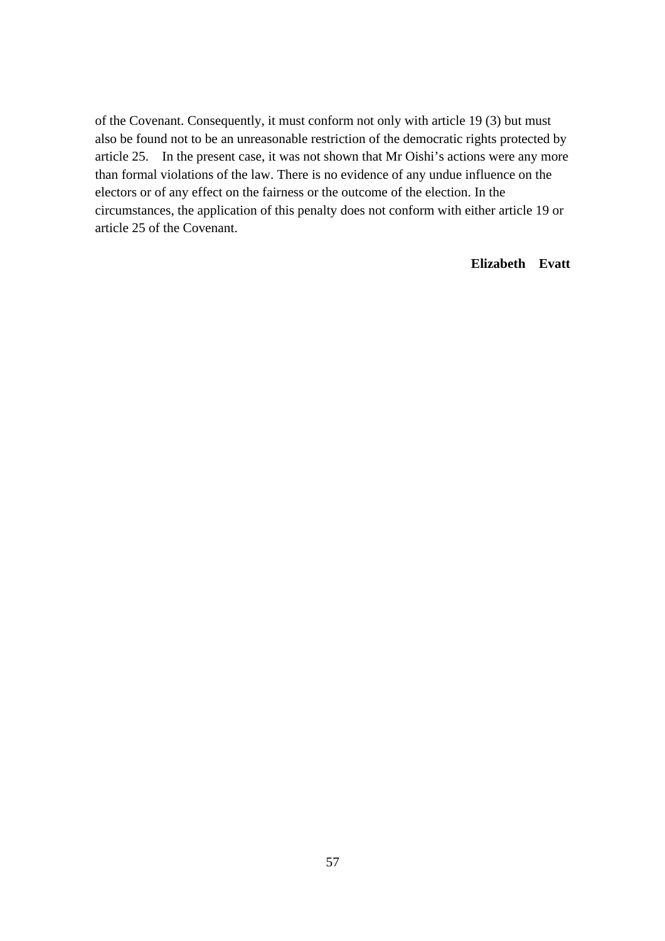of the Covenant. Consequently, it must conform not only with article 19 (3) but must also be found not to be an unreasonable restriction of the democratic rights protected by article 25. In the present case, it was not shown that Mr Oishi's actions were any more than formal violations of the law. There is no evidence of any undue influence on the electors or of any effect on the fairness or the outcome of the election. In the circumstances, the application of this penalty does not conform with either article 19 or article 25 of the Covenant.

## **Elizabeth Evatt**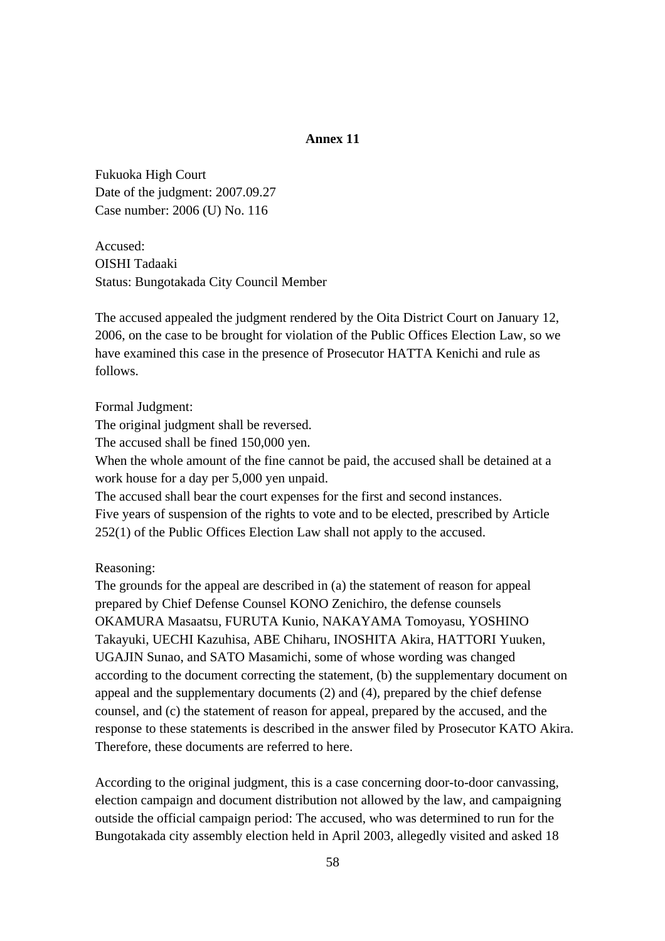## **Annex 11**

Fukuoka High Court Date of the judgment: 2007.09.27 Case number: 2006 (U) No. 116

Accused: OISHI Tadaaki Status: Bungotakada City Council Member

The accused appealed the judgment rendered by the Oita District Court on January 12, 2006, on the case to be brought for violation of the Public Offices Election Law, so we have examined this case in the presence of Prosecutor HATTA Kenichi and rule as follows.

Formal Judgment:

The original judgment shall be reversed.

The accused shall be fined 150,000 yen.

When the whole amount of the fine cannot be paid, the accused shall be detained at a work house for a day per 5,000 yen unpaid.

The accused shall bear the court expenses for the first and second instances. Five years of suspension of the rights to vote and to be elected, prescribed by Article 252(1) of the Public Offices Election Law shall not apply to the accused.

Reasoning:

The grounds for the appeal are described in (a) the statement of reason for appeal prepared by Chief Defense Counsel KONO Zenichiro, the defense counsels OKAMURA Masaatsu, FURUTA Kunio, NAKAYAMA Tomoyasu, YOSHINO Takayuki, UECHI Kazuhisa, ABE Chiharu, INOSHITA Akira, HATTORI Yuuken, UGAJIN Sunao, and SATO Masamichi, some of whose wording was changed according to the document correcting the statement, (b) the supplementary document on appeal and the supplementary documents (2) and (4), prepared by the chief defense counsel, and (c) the statement of reason for appeal, prepared by the accused, and the response to these statements is described in the answer filed by Prosecutor KATO Akira. Therefore, these documents are referred to here.

According to the original judgment, this is a case concerning door-to-door canvassing, election campaign and document distribution not allowed by the law, and campaigning outside the official campaign period: The accused, who was determined to run for the Bungotakada city assembly election held in April 2003, allegedly visited and asked 18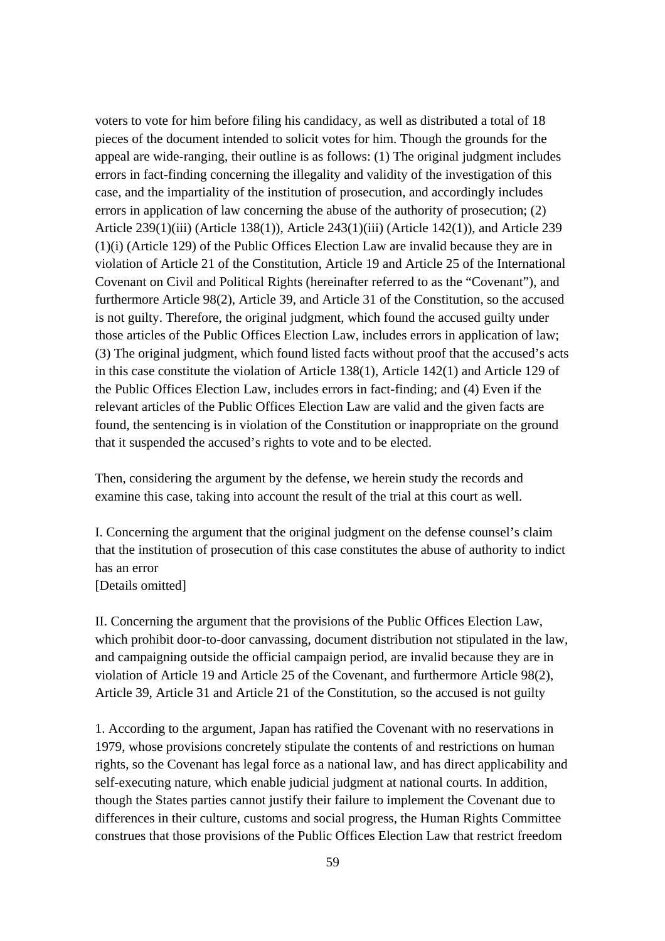voters to vote for him before filing his candidacy, as well as distributed a total of 18 pieces of the document intended to solicit votes for him. Though the grounds for the appeal are wide-ranging, their outline is as follows: (1) The original judgment includes errors in fact-finding concerning the illegality and validity of the investigation of this case, and the impartiality of the institution of prosecution, and accordingly includes errors in application of law concerning the abuse of the authority of prosecution; (2) Article 239(1)(iii) (Article 138(1)), Article 243(1)(iii) (Article 142(1)), and Article 239 (1)(i) (Article 129) of the Public Offices Election Law are invalid because they are in violation of Article 21 of the Constitution, Article 19 and Article 25 of the International Covenant on Civil and Political Rights (hereinafter referred to as the "Covenant"), and furthermore Article 98(2), Article 39, and Article 31 of the Constitution, so the accused is not guilty. Therefore, the original judgment, which found the accused guilty under those articles of the Public Offices Election Law, includes errors in application of law; (3) The original judgment, which found listed facts without proof that the accused's acts in this case constitute the violation of Article 138(1), Article 142(1) and Article 129 of the Public Offices Election Law, includes errors in fact-finding; and (4) Even if the relevant articles of the Public Offices Election Law are valid and the given facts are found, the sentencing is in violation of the Constitution or inappropriate on the ground that it suspended the accused's rights to vote and to be elected.

Then, considering the argument by the defense, we herein study the records and examine this case, taking into account the result of the trial at this court as well.

I. Concerning the argument that the original judgment on the defense counsel's claim that the institution of prosecution of this case constitutes the abuse of authority to indict has an error [Details omitted]

II. Concerning the argument that the provisions of the Public Offices Election Law, which prohibit door-to-door canvassing, document distribution not stipulated in the law, and campaigning outside the official campaign period, are invalid because they are in violation of Article 19 and Article 25 of the Covenant, and furthermore Article 98(2), Article 39, Article 31 and Article 21 of the Constitution, so the accused is not guilty

1. According to the argument, Japan has ratified the Covenant with no reservations in 1979, whose provisions concretely stipulate the contents of and restrictions on human rights, so the Covenant has legal force as a national law, and has direct applicability and self-executing nature, which enable judicial judgment at national courts. In addition, though the States parties cannot justify their failure to implement the Covenant due to differences in their culture, customs and social progress, the Human Rights Committee construes that those provisions of the Public Offices Election Law that restrict freedom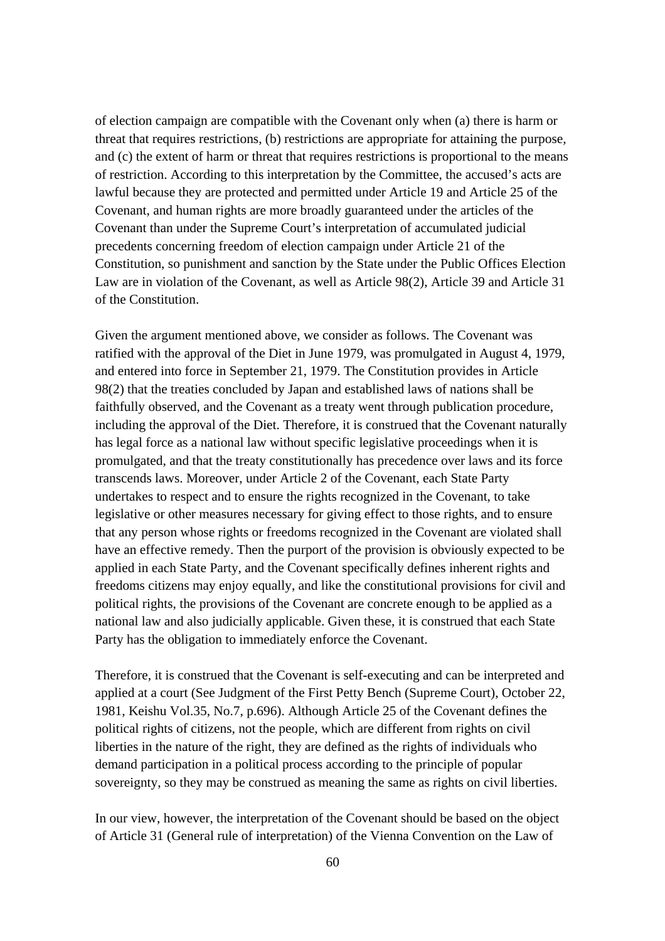of election campaign are compatible with the Covenant only when (a) there is harm or threat that requires restrictions, (b) restrictions are appropriate for attaining the purpose, and (c) the extent of harm or threat that requires restrictions is proportional to the means of restriction. According to this interpretation by the Committee, the accused's acts are lawful because they are protected and permitted under Article 19 and Article 25 of the Covenant, and human rights are more broadly guaranteed under the articles of the Covenant than under the Supreme Court's interpretation of accumulated judicial precedents concerning freedom of election campaign under Article 21 of the Constitution, so punishment and sanction by the State under the Public Offices Election Law are in violation of the Covenant, as well as Article 98(2), Article 39 and Article 31 of the Constitution.

Given the argument mentioned above, we consider as follows. The Covenant was ratified with the approval of the Diet in June 1979, was promulgated in August 4, 1979, and entered into force in September 21, 1979. The Constitution provides in Article 98(2) that the treaties concluded by Japan and established laws of nations shall be faithfully observed, and the Covenant as a treaty went through publication procedure, including the approval of the Diet. Therefore, it is construed that the Covenant naturally has legal force as a national law without specific legislative proceedings when it is promulgated, and that the treaty constitutionally has precedence over laws and its force transcends laws. Moreover, under Article 2 of the Covenant, each State Party undertakes to respect and to ensure the rights recognized in the Covenant, to take legislative or other measures necessary for giving effect to those rights, and to ensure that any person whose rights or freedoms recognized in the Covenant are violated shall have an effective remedy. Then the purport of the provision is obviously expected to be applied in each State Party, and the Covenant specifically defines inherent rights and freedoms citizens may enjoy equally, and like the constitutional provisions for civil and political rights, the provisions of the Covenant are concrete enough to be applied as a national law and also judicially applicable. Given these, it is construed that each State Party has the obligation to immediately enforce the Covenant.

Therefore, it is construed that the Covenant is self-executing and can be interpreted and applied at a court (See Judgment of the First Petty Bench (Supreme Court), October 22, 1981, Keishu Vol.35, No.7, p.696). Although Article 25 of the Covenant defines the political rights of citizens, not the people, which are different from rights on civil liberties in the nature of the right, they are defined as the rights of individuals who demand participation in a political process according to the principle of popular sovereignty, so they may be construed as meaning the same as rights on civil liberties.

In our view, however, the interpretation of the Covenant should be based on the object of Article 31 (General rule of interpretation) of the Vienna Convention on the Law of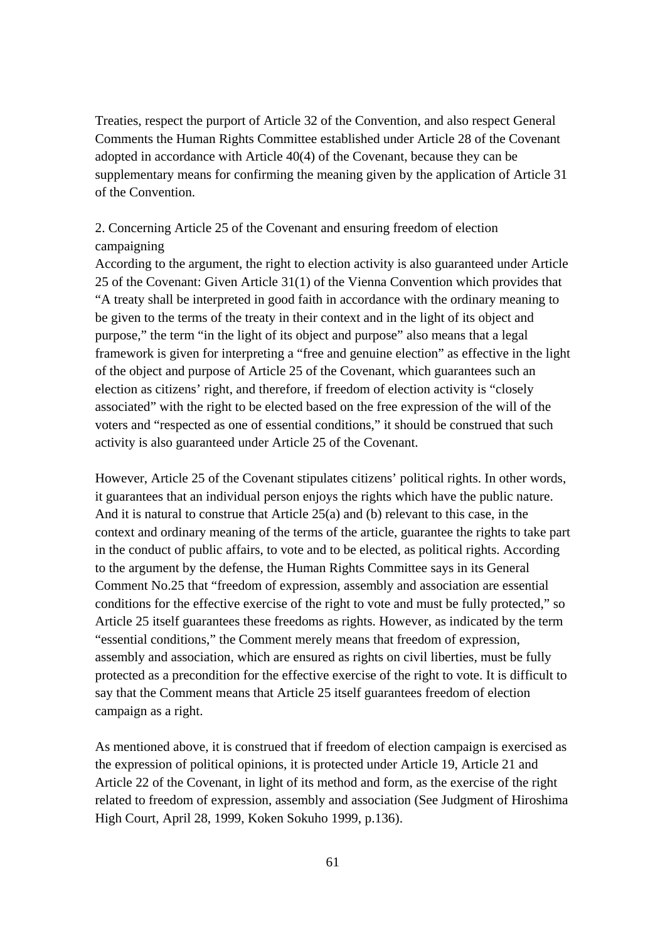Treaties, respect the purport of Article 32 of the Convention, and also respect General Comments the Human Rights Committee established under Article 28 of the Covenant adopted in accordance with Article 40(4) of the Covenant, because they can be supplementary means for confirming the meaning given by the application of Article 31 of the Convention.

## 2. Concerning Article 25 of the Covenant and ensuring freedom of election campaigning

According to the argument, the right to election activity is also guaranteed under Article 25 of the Covenant: Given Article 31(1) of the Vienna Convention which provides that "A treaty shall be interpreted in good faith in accordance with the ordinary meaning to be given to the terms of the treaty in their context and in the light of its object and purpose," the term "in the light of its object and purpose" also means that a legal framework is given for interpreting a "free and genuine election" as effective in the light of the object and purpose of Article 25 of the Covenant, which guarantees such an election as citizens' right, and therefore, if freedom of election activity is "closely associated" with the right to be elected based on the free expression of the will of the voters and "respected as one of essential conditions," it should be construed that such activity is also guaranteed under Article 25 of the Covenant.

However, Article 25 of the Covenant stipulates citizens' political rights. In other words, it guarantees that an individual person enjoys the rights which have the public nature. And it is natural to construe that Article 25(a) and (b) relevant to this case, in the context and ordinary meaning of the terms of the article, guarantee the rights to take part in the conduct of public affairs, to vote and to be elected, as political rights. According to the argument by the defense, the Human Rights Committee says in its General Comment No.25 that "freedom of expression, assembly and association are essential conditions for the effective exercise of the right to vote and must be fully protected," so Article 25 itself guarantees these freedoms as rights. However, as indicated by the term "essential conditions," the Comment merely means that freedom of expression, assembly and association, which are ensured as rights on civil liberties, must be fully protected as a precondition for the effective exercise of the right to vote. It is difficult to say that the Comment means that Article 25 itself guarantees freedom of election campaign as a right.

As mentioned above, it is construed that if freedom of election campaign is exercised as the expression of political opinions, it is protected under Article 19, Article 21 and Article 22 of the Covenant, in light of its method and form, as the exercise of the right related to freedom of expression, assembly and association (See Judgment of Hiroshima High Court, April 28, 1999, Koken Sokuho 1999, p.136).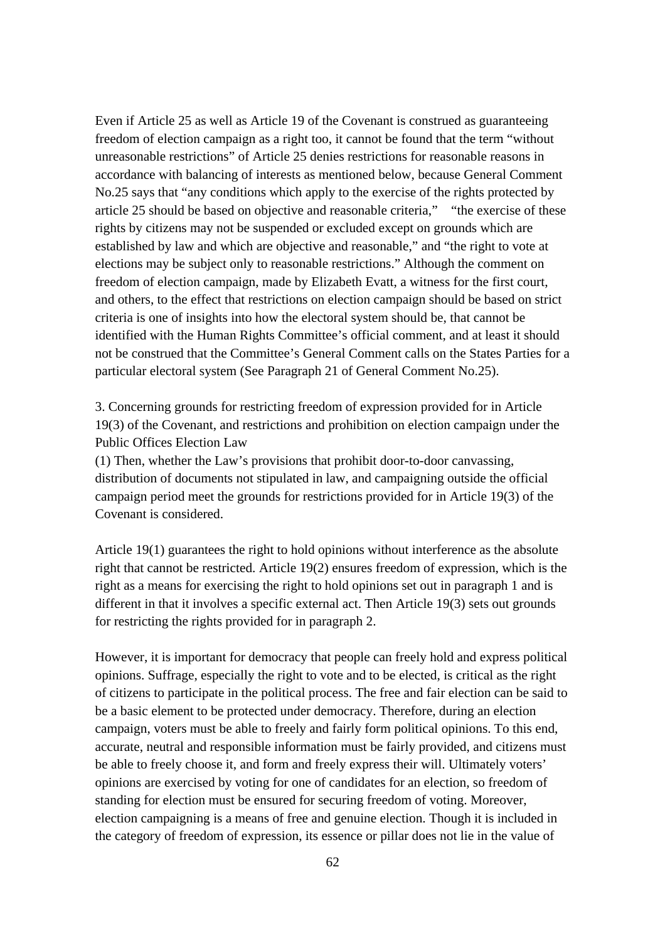Even if Article 25 as well as Article 19 of the Covenant is construed as guaranteeing freedom of election campaign as a right too, it cannot be found that the term "without unreasonable restrictions" of Article 25 denies restrictions for reasonable reasons in accordance with balancing of interests as mentioned below, because General Comment No.25 says that "any conditions which apply to the exercise of the rights protected by article 25 should be based on objective and reasonable criteria," "the exercise of these rights by citizens may not be suspended or excluded except on grounds which are established by law and which are objective and reasonable," and "the right to vote at elections may be subject only to reasonable restrictions." Although the comment on freedom of election campaign, made by Elizabeth Evatt, a witness for the first court, and others, to the effect that restrictions on election campaign should be based on strict criteria is one of insights into how the electoral system should be, that cannot be identified with the Human Rights Committee's official comment, and at least it should not be construed that the Committee's General Comment calls on the States Parties for a particular electoral system (See Paragraph 21 of General Comment No.25).

3. Concerning grounds for restricting freedom of expression provided for in Article 19(3) of the Covenant, and restrictions and prohibition on election campaign under the Public Offices Election Law

(1) Then, whether the Law's provisions that prohibit door-to-door canvassing, distribution of documents not stipulated in law, and campaigning outside the official campaign period meet the grounds for restrictions provided for in Article 19(3) of the Covenant is considered.

Article 19(1) guarantees the right to hold opinions without interference as the absolute right that cannot be restricted. Article 19(2) ensures freedom of expression, which is the right as a means for exercising the right to hold opinions set out in paragraph 1 and is different in that it involves a specific external act. Then Article 19(3) sets out grounds for restricting the rights provided for in paragraph 2.

However, it is important for democracy that people can freely hold and express political opinions. Suffrage, especially the right to vote and to be elected, is critical as the right of citizens to participate in the political process. The free and fair election can be said to be a basic element to be protected under democracy. Therefore, during an election campaign, voters must be able to freely and fairly form political opinions. To this end, accurate, neutral and responsible information must be fairly provided, and citizens must be able to freely choose it, and form and freely express their will. Ultimately voters' opinions are exercised by voting for one of candidates for an election, so freedom of standing for election must be ensured for securing freedom of voting. Moreover, election campaigning is a means of free and genuine election. Though it is included in the category of freedom of expression, its essence or pillar does not lie in the value of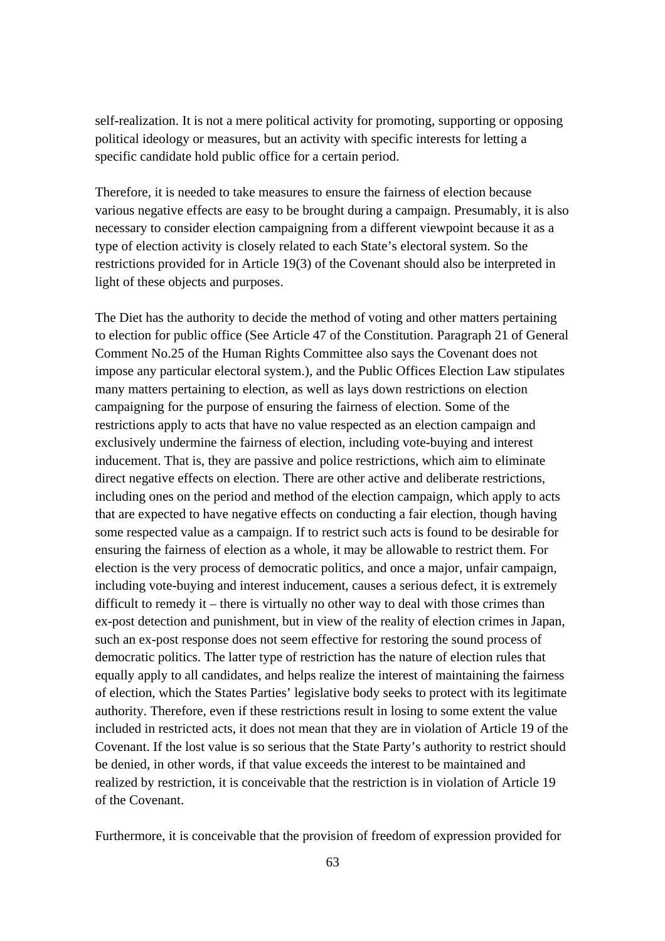self-realization. It is not a mere political activity for promoting, supporting or opposing political ideology or measures, but an activity with specific interests for letting a specific candidate hold public office for a certain period.

Therefore, it is needed to take measures to ensure the fairness of election because various negative effects are easy to be brought during a campaign. Presumably, it is also necessary to consider election campaigning from a different viewpoint because it as a type of election activity is closely related to each State's electoral system. So the restrictions provided for in Article 19(3) of the Covenant should also be interpreted in light of these objects and purposes.

The Diet has the authority to decide the method of voting and other matters pertaining to election for public office (See Article 47 of the Constitution. Paragraph 21 of General Comment No.25 of the Human Rights Committee also says the Covenant does not impose any particular electoral system.), and the Public Offices Election Law stipulates many matters pertaining to election, as well as lays down restrictions on election campaigning for the purpose of ensuring the fairness of election. Some of the restrictions apply to acts that have no value respected as an election campaign and exclusively undermine the fairness of election, including vote-buying and interest inducement. That is, they are passive and police restrictions, which aim to eliminate direct negative effects on election. There are other active and deliberate restrictions, including ones on the period and method of the election campaign, which apply to acts that are expected to have negative effects on conducting a fair election, though having some respected value as a campaign. If to restrict such acts is found to be desirable for ensuring the fairness of election as a whole, it may be allowable to restrict them. For election is the very process of democratic politics, and once a major, unfair campaign, including vote-buying and interest inducement, causes a serious defect, it is extremely difficult to remedy it – there is virtually no other way to deal with those crimes than ex-post detection and punishment, but in view of the reality of election crimes in Japan, such an ex-post response does not seem effective for restoring the sound process of democratic politics. The latter type of restriction has the nature of election rules that equally apply to all candidates, and helps realize the interest of maintaining the fairness of election, which the States Parties' legislative body seeks to protect with its legitimate authority. Therefore, even if these restrictions result in losing to some extent the value included in restricted acts, it does not mean that they are in violation of Article 19 of the Covenant. If the lost value is so serious that the State Party's authority to restrict should be denied, in other words, if that value exceeds the interest to be maintained and realized by restriction, it is conceivable that the restriction is in violation of Article 19 of the Covenant.

Furthermore, it is conceivable that the provision of freedom of expression provided for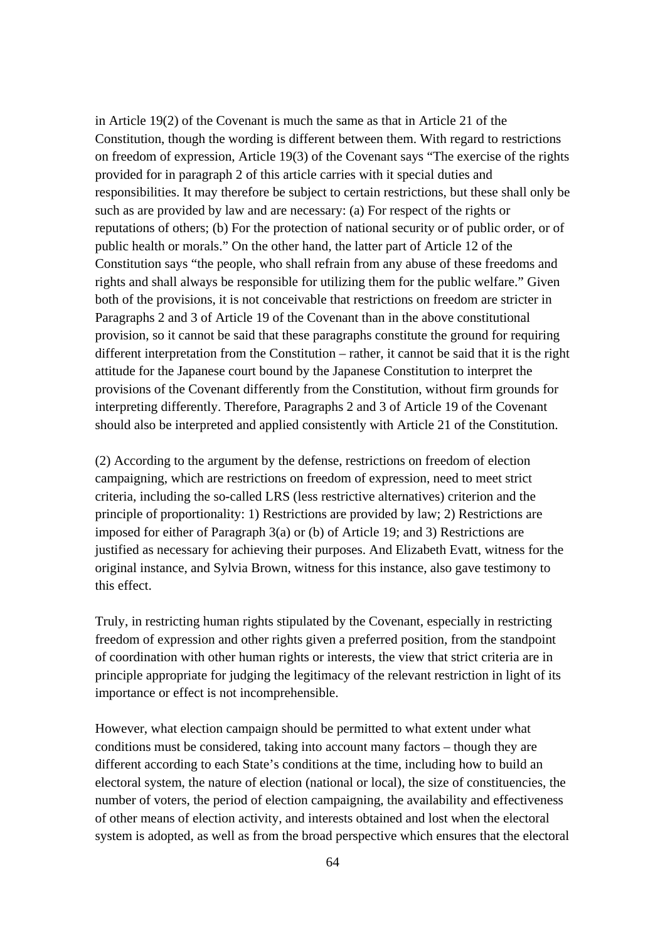in Article 19(2) of the Covenant is much the same as that in Article 21 of the Constitution, though the wording is different between them. With regard to restrictions on freedom of expression, Article 19(3) of the Covenant says "The exercise of the rights provided for in paragraph 2 of this article carries with it special duties and responsibilities. It may therefore be subject to certain restrictions, but these shall only be such as are provided by law and are necessary: (a) For respect of the rights or reputations of others; (b) For the protection of national security or of public order, or of public health or morals." On the other hand, the latter part of Article 12 of the Constitution says "the people, who shall refrain from any abuse of these freedoms and rights and shall always be responsible for utilizing them for the public welfare." Given both of the provisions, it is not conceivable that restrictions on freedom are stricter in Paragraphs 2 and 3 of Article 19 of the Covenant than in the above constitutional provision, so it cannot be said that these paragraphs constitute the ground for requiring different interpretation from the Constitution – rather, it cannot be said that it is the right attitude for the Japanese court bound by the Japanese Constitution to interpret the provisions of the Covenant differently from the Constitution, without firm grounds for interpreting differently. Therefore, Paragraphs 2 and 3 of Article 19 of the Covenant should also be interpreted and applied consistently with Article 21 of the Constitution.

(2) According to the argument by the defense, restrictions on freedom of election campaigning, which are restrictions on freedom of expression, need to meet strict criteria, including the so-called LRS (less restrictive alternatives) criterion and the principle of proportionality: 1) Restrictions are provided by law; 2) Restrictions are imposed for either of Paragraph 3(a) or (b) of Article 19; and 3) Restrictions are justified as necessary for achieving their purposes. And Elizabeth Evatt, witness for the original instance, and Sylvia Brown, witness for this instance, also gave testimony to this effect.

Truly, in restricting human rights stipulated by the Covenant, especially in restricting freedom of expression and other rights given a preferred position, from the standpoint of coordination with other human rights or interests, the view that strict criteria are in principle appropriate for judging the legitimacy of the relevant restriction in light of its importance or effect is not incomprehensible.

However, what election campaign should be permitted to what extent under what conditions must be considered, taking into account many factors – though they are different according to each State's conditions at the time, including how to build an electoral system, the nature of election (national or local), the size of constituencies, the number of voters, the period of election campaigning, the availability and effectiveness of other means of election activity, and interests obtained and lost when the electoral system is adopted, as well as from the broad perspective which ensures that the electoral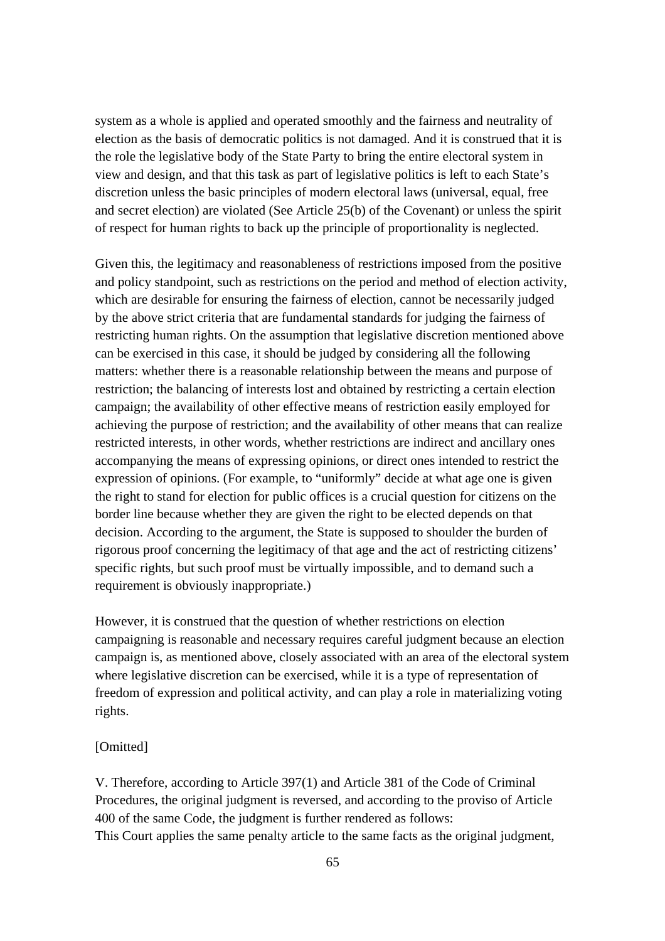system as a whole is applied and operated smoothly and the fairness and neutrality of election as the basis of democratic politics is not damaged. And it is construed that it is the role the legislative body of the State Party to bring the entire electoral system in view and design, and that this task as part of legislative politics is left to each State's discretion unless the basic principles of modern electoral laws (universal, equal, free and secret election) are violated (See Article 25(b) of the Covenant) or unless the spirit of respect for human rights to back up the principle of proportionality is neglected.

Given this, the legitimacy and reasonableness of restrictions imposed from the positive and policy standpoint, such as restrictions on the period and method of election activity, which are desirable for ensuring the fairness of election, cannot be necessarily judged by the above strict criteria that are fundamental standards for judging the fairness of restricting human rights. On the assumption that legislative discretion mentioned above can be exercised in this case, it should be judged by considering all the following matters: whether there is a reasonable relationship between the means and purpose of restriction; the balancing of interests lost and obtained by restricting a certain election campaign; the availability of other effective means of restriction easily employed for achieving the purpose of restriction; and the availability of other means that can realize restricted interests, in other words, whether restrictions are indirect and ancillary ones accompanying the means of expressing opinions, or direct ones intended to restrict the expression of opinions. (For example, to "uniformly" decide at what age one is given the right to stand for election for public offices is a crucial question for citizens on the border line because whether they are given the right to be elected depends on that decision. According to the argument, the State is supposed to shoulder the burden of rigorous proof concerning the legitimacy of that age and the act of restricting citizens' specific rights, but such proof must be virtually impossible, and to demand such a requirement is obviously inappropriate.)

However, it is construed that the question of whether restrictions on election campaigning is reasonable and necessary requires careful judgment because an election campaign is, as mentioned above, closely associated with an area of the electoral system where legislative discretion can be exercised, while it is a type of representation of freedom of expression and political activity, and can play a role in materializing voting rights.

## [Omitted]

V. Therefore, according to Article 397(1) and Article 381 of the Code of Criminal Procedures, the original judgment is reversed, and according to the proviso of Article 400 of the same Code, the judgment is further rendered as follows: This Court applies the same penalty article to the same facts as the original judgment,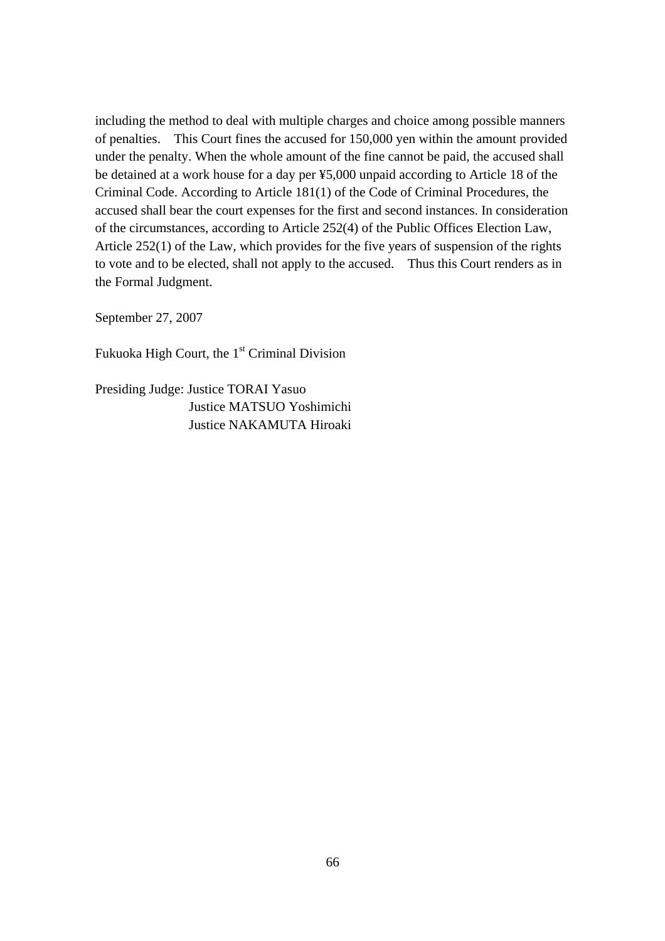including the method to deal with multiple charges and choice among possible manners of penalties. This Court fines the accused for 150,000 yen within the amount provided under the penalty. When the whole amount of the fine cannot be paid, the accused shall be detained at a work house for a day per ¥5,000 unpaid according to Article 18 of the Criminal Code. According to Article 181(1) of the Code of Criminal Procedures, the accused shall bear the court expenses for the first and second instances. In consideration of the circumstances, according to Article 252(4) of the Public Offices Election Law, Article 252(1) of the Law, which provides for the five years of suspension of the rights to vote and to be elected, shall not apply to the accused. Thus this Court renders as in the Formal Judgment.

September 27, 2007

Fukuoka High Court, the 1<sup>st</sup> Criminal Division

Presiding Judge: Justice TORAI Yasuo Justice MATSUO Yoshimichi Justice NAKAMUTA Hiroaki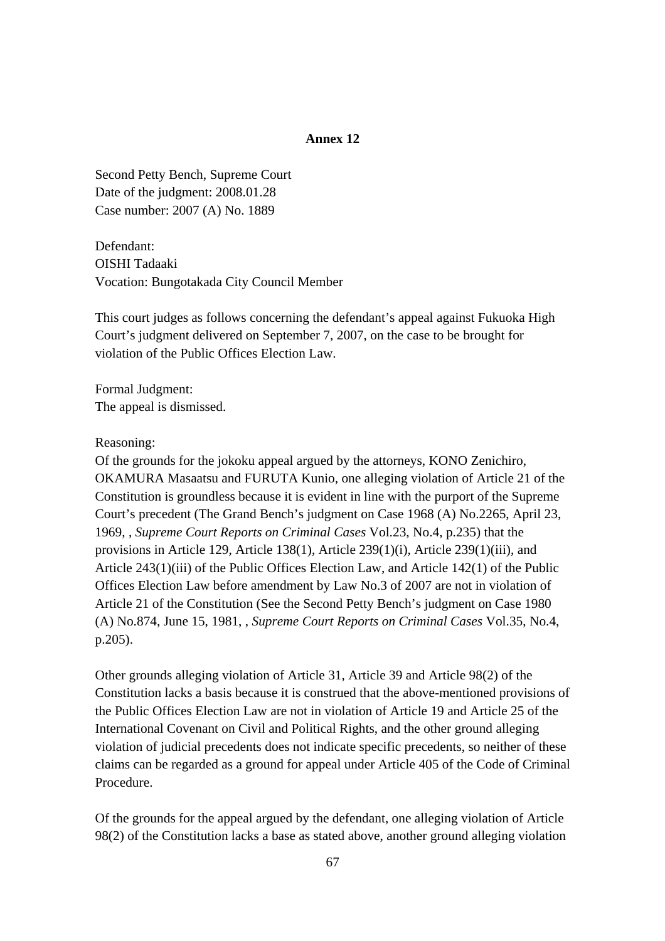## **Annex 12**

Second Petty Bench, Supreme Court Date of the judgment: 2008.01.28 Case number: 2007 (A) No. 1889

Defendant: OISHI Tadaaki Vocation: Bungotakada City Council Member

This court judges as follows concerning the defendant's appeal against Fukuoka High Court's judgment delivered on September 7, 2007, on the case to be brought for violation of the Public Offices Election Law.

Formal Judgment: The appeal is dismissed.

Reasoning:

Of the grounds for the jokoku appeal argued by the attorneys, KONO Zenichiro, OKAMURA Masaatsu and FURUTA Kunio, one alleging violation of Article 21 of the Constitution is groundless because it is evident in line with the purport of the Supreme Court's precedent (The Grand Bench's judgment on Case 1968 (A) No.2265, April 23, 1969, , *Supreme Court Reports on Criminal Cases* Vol.23, No.4, p.235) that the provisions in Article 129, Article 138(1), Article 239(1)(i), Article 239(1)(iii), and Article 243(1)(iii) of the Public Offices Election Law, and Article 142(1) of the Public Offices Election Law before amendment by Law No.3 of 2007 are not in violation of Article 21 of the Constitution (See the Second Petty Bench's judgment on Case 1980 (A) No.874, June 15, 1981, , *Supreme Court Reports on Criminal Cases* Vol.35, No.4, p.205).

Other grounds alleging violation of Article 31, Article 39 and Article 98(2) of the Constitution lacks a basis because it is construed that the above-mentioned provisions of the Public Offices Election Law are not in violation of Article 19 and Article 25 of the International Covenant on Civil and Political Rights, and the other ground alleging violation of judicial precedents does not indicate specific precedents, so neither of these claims can be regarded as a ground for appeal under Article 405 of the Code of Criminal Procedure.

Of the grounds for the appeal argued by the defendant, one alleging violation of Article 98(2) of the Constitution lacks a base as stated above, another ground alleging violation